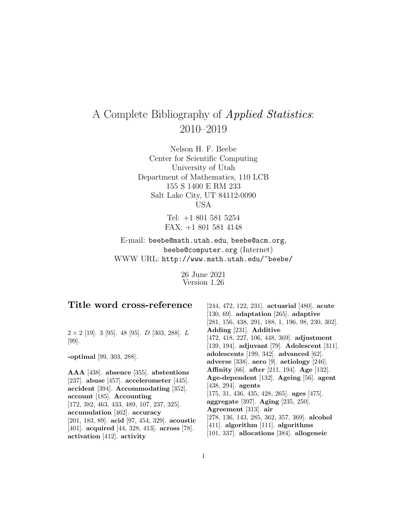# A Complete Bibliography of Applied Statistics: 2010–2019

Nelson H. F. Beebe Center for Scientific Computing University of Utah Department of Mathematics, 110 LCB 155 S 1400 E RM 233 Salt Lake City, UT 84112-0090 USA

> Tel: +1 801 581 5254 FAX: +1 801 581 4148

E-mail: beebe@math.utah.edu, beebe@acm.org, beebe@computer.org (Internet) WWW URL: http://www.math.utah.edu/~beebe/

> 26 June 2021 Version 1.26

| Title word cross-reference                                                                                                                                                                                                                                                                                                                                                  | $[244, 472, 122, 231]$ . actuarial $[480]$ . acute<br>$[130, 69]$ . adaptation $[265]$ . adaptive<br>$[281, 156, 438, 291, 188, 1, 196, 98, 230, 302].$                                                                                                                                                                                                                                    |
|-----------------------------------------------------------------------------------------------------------------------------------------------------------------------------------------------------------------------------------------------------------------------------------------------------------------------------------------------------------------------------|--------------------------------------------------------------------------------------------------------------------------------------------------------------------------------------------------------------------------------------------------------------------------------------------------------------------------------------------------------------------------------------------|
| $2 \times 2$ [19]. 3 [95]. 48 [95]. <i>D</i> [303, 288]. <i>L</i><br>$[99]$ .                                                                                                                                                                                                                                                                                               | Adding [231]. Additive<br>$[472, 418, 227, 106, 448, 369]$ . adjustment<br>[139, 194]. adjuvant [79]. Adolescent [311].                                                                                                                                                                                                                                                                    |
| -optimal $[99, 303, 288]$ .                                                                                                                                                                                                                                                                                                                                                 | adolescents $[199, 342]$ . advanced $[62]$ .<br>adverse [338]. aero [9]. aetiology [246].                                                                                                                                                                                                                                                                                                  |
| $AAA$ [438]. absence [355]. abstentions<br>[237]. abuse [457]. accelerometer [445].<br>$accident$ [394]. Accommodating [352].<br>account [185]. Accounting<br>$[172, 382, 463, 433, 489, 107, 237, 325].$<br>accumulation [462]. accuracy<br>[201, 183, 89]. acid [97, 454, 329]. acoustic<br>[401]. acquired [44, 328, 413]. across [78].<br>activation $[412]$ . activity | <b>Affinity</b> [66]. after [211, 194]. Age [132].<br>Age-dependent [132]. Ageing [56]. agent<br>$[438, 294]$ . agents<br>$[175, 31, 436, 435, 428, 265]$ . ages $[475]$ .<br>aggregate [397]. Aging [235, 250].<br>Agreement [313]. air<br>$[278, 136, 143, 285, 362, 357, 369]$ . alcohol<br>$[411]$ . algorithm $[111]$ . algorithms<br>$[101, 337]$ . allocations $[384]$ . allogeneic |

1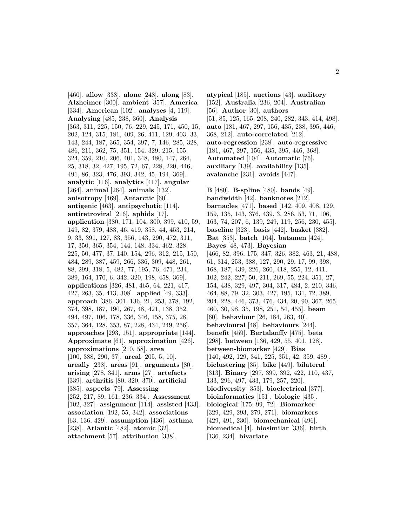[460]. **allow** [338]. **alone** [248]. **along** [83]. **Alzheimer** [300]. **ambient** [357]. **America** [334]. **American** [102]. **analyses** [4, 119]. **Analysing** [485, 238, 360]. **Analysis** [363, 311, 225, 150, 76, 229, 245, 171, 450, 15, 202, 124, 315, 181, 409, 26, 411, 129, 403, 33, 143, 244, 187, 365, 354, 397, 7, 146, 285, 328, 486, 211, 362, 75, 351, 154, 329, 215, 155, 324, 359, 210, 206, 401, 348, 480, 147, 264, 25, 318, 32, 427, 195, 72, 67, 228, 220, 446, 491, 86, 323, 476, 393, 342, 45, 194, 369]. **analytic** [116]. **analytics** [417]. **angular** [264]. **animal** [264]. **animals** [132]. **anisotropy** [469]. **Antarctic** [60]. **antigenic** [463]. **antipsychotic** [114]. **antiretroviral** [216]. **aphids** [17]. **application** [380, 171, 104, 300, 399, 410, 59, 149, 82, 379, 483, 46, 419, 358, 44, 453, 214, 9, 33, 391, 127, 83, 356, 143, 290, 472, 311, 17, 350, 365, 354, 144, 148, 334, 462, 328, 225, 50, 477, 37, 140, 154, 296, 312, 215, 150, 484, 289, 387, 459, 266, 336, 309, 448, 261, 88, 299, 318, 5, 482, 77, 195, 76, 471, 234, 389, 164, 170, 6, 342, 320, 198, 458, 369]. **applications** [326, 481, 465, 64, 221, 417, 427, 263, 35, 413, 308]. **applied** [49, 333]. **approach** [386, 301, 136, 21, 253, 378, 192, 374, 398, 187, 190, 267, 48, 421, 138, 352, 494, 497, 106, 178, 336, 346, 158, 375, 28, 357, 364, 128, 353, 87, 228, 434, 249, 256]. **approaches** [293, 151]. **appropriate** [144]. **Approximate** [61]. **approximation** [426]. **approximations** [210, 58]. **area** [100, 388, 290, 37]. **areal** [205, 5, 10]. **areally** [238]. **areas** [91]. **arguments** [80]. **arising** [278, 341]. **arms** [27]. **artefacts** [339]. **arthritis** [80, 320, 370]. **artificial** [385]. **aspects** [79]. **Assessing** [252, 217, 89, 161, 236, 334]. **Assessment** [102, 327]. **assignment** [114]. **assisted** [433]. **association** [192, 55, 342]. **associations** [63, 136, 429]. **assumption** [436]. **asthma** [238]. **Atlantic** [482]. **atomic** [32]. **attachment** [57]. **attribution** [338].

**atypical** [185]. **auctions** [43]. **auditory** [152]. **Australia** [236, 204]. **Australian** [56]. **Author** [30]. **authors** [51, 85, 125, 165, 208, 240, 282, 343, 414, 498]. **auto** [181, 467, 297, 156, 435, 238, 395, 446, 368, 212]. **auto-correlated** [212]. **auto-regression** [238]. **auto-regressive** [181, 467, 297, 156, 435, 395, 446, 368]. **Automated** [104]. **Automatic** [76]. **auxiliary** [139]. **availability** [135]. **avalanche** [231]. **avoids** [447].

**B** [480]. **B-spline** [480]. **bands** [49]. **bandwidth** [42]. **banknotes** [212]. **barnacles** [471]. **based** [142, 409, 408, 129, 159, 135, 143, 376, 439, 3, 286, 53, 71, 106, 163, 74, 207, 6, 139, 249, 119, 256, 230, 455]. **baseline** [323]. **basis** [442]. **basket** [382]. **Bat** [353]. **batch** [104]. **batsmen** [424]. **Bayes** [48, 473]. **Bayesian** [466, 82, 396, 175, 347, 326, 382, 463, 21, 488, 61, 314, 253, 388, 127, 290, 29, 17, 99, 398, 168, 187, 439, 226, 260, 418, 255, 12, 441, 102, 242, 227, 50, 211, 269, 55, 224, 351, 27, 154, 438, 329, 497, 304, 317, 484, 2, 210, 346, 464, 88, 79, 32, 303, 427, 195, 131, 72, 389, 204, 228, 446, 373, 476, 434, 20, 90, 367, 265, 460, 30, 98, 35, 198, 251, 54, 455]. **beam** [60]. **behaviour** [26, 184, 263, 40]. **behavioural** [48]. **behaviours** [244]. **benefit** [459]. **Bertalanffy** [475]. **beta** [298]. **between** [136, 429, 55, 401, 128]. **between-biomarker** [429]. **Bias** [140, 492, 129, 341, 225, 351, 42, 359, 489]. **biclustering** [35]. **bike** [449]. **bilateral** [313]. **Binary** [297, 399, 392, 422, 110, 437, 133, 296, 497, 433, 179, 257, 220]. **biodiversity** [353]. **bioelectrical** [377]. **bioinformatics** [151]. **biologic** [435]. **biological** [175, 99, 72]. **Biomarker** [329, 429, 293, 279, 271]. **biomarkers** [429, 491, 230]. **biomechanical** [496]. **biomedical** [4]. **biosimilar** [336]. **birth** [136, 234]. **bivariate**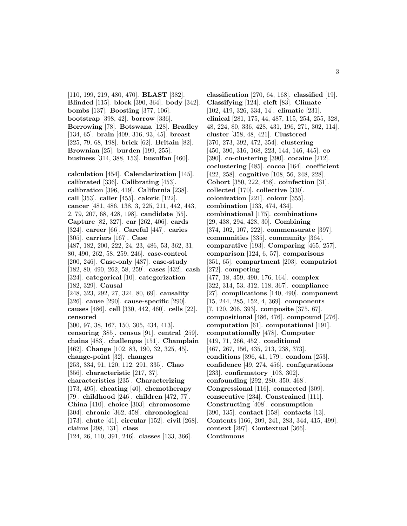[110, 199, 219, 480, 470]. **BLAST** [382]. **Blinded** [115]. **block** [390, 364]. **body** [342]. **bombs** [137]. **Boosting** [377, 106]. **bootstrap** [398, 42]. **borrow** [336]. **Borrowing** [78]. **Botswana** [128]. **Bradley** [134, 65]. **brain** [409, 316, 93, 45]. **breast** [225, 79, 68, 198]. **brick** [62]. **Britain** [82]. **Brownian** [25]. **burden** [199, 255]. **business** [314, 388, 153]. **busulfan** [460].

**calculation** [454]. **Calendarization** [145]. **calibrated** [336]. **Calibrating** [453]. **calibration** [396, 419]. **California** [238]. **call** [353]. **caller** [455]. **caloric** [122]. **cancer** [481, 486, 138, 3, 225, 211, 442, 443, 2, 79, 207, 68, 428, 198]. **candidate** [55]. **Capture** [82, 327]. **car** [262, 406]. **cards** [324]. **career** [66]. **Careful** [447]. **caries** [305]. **carriers** [167]. **Case** [487, 182, 200, 222, 24, 23, 486, 53, 362, 31, 80, 490, 262, 58, 259, 246]. **case-control** [200, 246]. **Case-only** [487]. **case-study** [182, 80, 490, 262, 58, 259]. **cases** [432]. **cash** [324]. **categorical** [10]. **categorization** [182, 329]. **Causal** [248, 323, 292, 27, 324, 80, 69]. **causality** [326]. **cause** [290]. **cause-specific** [290]. **causes** [486]. **cell** [330, 442, 460]. **cells** [22]. **censored** [300, 97, 38, 167, 150, 305, 434, 413]. **censoring** [385]. **census** [91]. **central** [259]. **chains** [483]. **challenges** [151]. **Champlain** [462]. **Change** [102, 83, 190, 32, 325, 45]. **change-point** [32]. **changes** [253, 334, 91, 120, 112, 291, 335]. **Chao** [356]. **characteristic** [217, 37]. **characteristics** [235]. **Characterizing** [173, 495]. **cheating** [40]. **chemotherapy** [79]. **childhood** [246]. **children** [472, 77]. **China** [410]. **choice** [303]. **chromosome** [304]. **chronic** [362, 458]. **chronological** [173]. **chute** [41]. **circular** [152]. **civil** [268]. **claims** [298, 131]. **class** [124, 26, 110, 391, 246]. **classes** [133, 366].

**classification** [270, 64, 168]. **classified** [19]. **Classifying** [124]. **cleft** [83]. **Climate** [102, 419, 326, 334, 14]. **climatic** [231]. **clinical** [281, 175, 44, 487, 115, 254, 255, 328, 48, 224, 80, 336, 428, 431, 196, 271, 302, 114]. **cluster** [358, 48, 421]. **Clustered** [370, 273, 392, 472, 354]. **clustering** [450, 390, 316, 168, 223, 144, 146, 445]. **co** [390]. **co-clustering** [390]. **cocaine** [212]. **coclustering** [485]. **cocoa** [164]. **coefficient** [422, 258]. **cognitive** [108, 56, 248, 228]. **Cohort** [350, 222, 458]. **coinfection** [31]. **collected** [170]. **collective** [330]. **colonization** [221]. **colour** [355]. **combination** [133, 474, 434]. **combinational** [175]. **combinations** [29, 438, 294, 428, 30]. **Combining** [374, 102, 107, 222]. **commensurate** [397]. **communities** [335]. **community** [364]. **comparative** [193]. **Comparing** [465, 257]. **comparison** [124, 6, 57]. **comparisons** [351, 65]. **compartment** [203]. **compatriot** [272]. **competing** [477, 18, 459, 490, 176, 164]. **complex** [322, 314, 53, 312, 118, 367]. **compliance** [27]. **complications** [140, 490]. **component** [15, 244, 285, 152, 4, 369]. **components** [7, 120, 206, 393]. **composite** [375, 67]. **compositional** [486, 476]. **compound** [276]. **computation** [61]. **computational** [191]. **computationally** [478]. **Computer** [419, 71, 266, 452]. **conditional** [467, 267, 156, 435, 213, 238, 373]. **conditions** [396, 41, 179]. **condom** [253]. **confidence** [49, 274, 456]. **configurations** [233]. **confirmatory** [103, 302]. **confounding** [292, 280, 350, 468]. **Congressional** [116]. **connected** [309]. **consecutive** [234]. **Constrained** [111]. **Constructing** [408]. **consumption** [390, 135]. **contact** [158]. **contacts** [13]. **Contents** [166, 209, 241, 283, 344, 415, 499]. **context** [297]. **Contextual** [366]. **Continuous**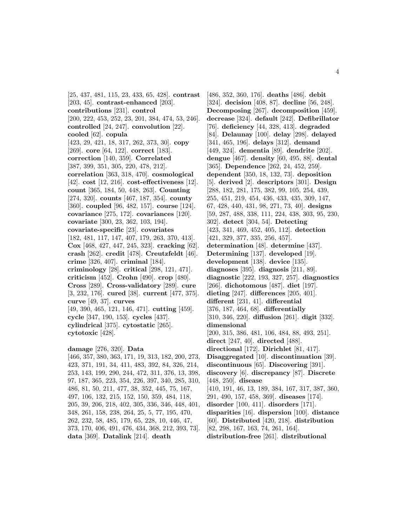[25, 437, 481, 115, 23, 433, 65, 428]. **contrast** [203, 45]. **contrast-enhanced** [203]. **contributions** [231]. **control** [200, 222, 453, 252, 23, 201, 384, 474, 53, 246]. **controlled** [24, 247]. **convolution** [22]. **cooled** [62]. **copula** [423, 29, 421, 18, 317, 262, 373, 30]. **copy** [269]. **core** [64, 122]. **correct** [183]. **correction** [140, 359]. **Correlated** [387, 399, 351, 305, 220, 478, 212]. **correlation** [363, 318, 470]. **cosmological** [42]. **cost** [12, 216]. **cost-effectiveness** [12]. **count** [365, 184, 50, 448, 263]. **Counting** [274, 320]. **counts** [467, 187, 354]. **county** [360]. **coupled** [96, 482, 157]. **course** [124]. **covariance** [275, 172]. **covariances** [120]. **covariate** [300, 23, 362, 103, 194]. **covariate-specific** [23]. **covariates** [182, 481, 117, 147, 407, 179, 263, 370, 413]. **Cox** [468, 427, 447, 245, 323]. **cracking** [62]. **crash** [262]. **credit** [478]. **Creutzfeldt** [46]. **crime** [326, 407]. **criminal** [184]. **criminology** [28]. **critical** [298, 121, 471]. **criticism** [452]. **Crohn** [490]. **crop** [480]. **Cross** [289]. **Cross-validatory** [289]. **cure** [3, 232, 176]. **cured** [38]. **current** [477, 375]. **curve** [49, 37]. **curves** [49, 390, 465, 121, 146, 471]. **cutting** [459]. **cycle** [347, 190, 153]. **cycles** [437]. **cylindrical** [375]. **cytostatic** [265]. **cytotoxic** [428]. **damage** [276, 320]. **Data** [466, 357, 380, 363, 171, 19, 313, 182, 200, 273,

423, 371, 191, 34, 411, 483, 392, 84, 326, 214, 253, 143, 199, 290, 244, 472, 311, 376, 13, 398, 97, 187, 365, 223, 354, 226, 397, 340, 285, 310, 486, 81, 50, 211, 477, 38, 352, 445, 75, 167, 497, 106, 132, 215, 152, 150, 359, 484, 118, 205, 39, 206, 218, 402, 305, 336, 346, 448, 401, 348, 261, 158, 238, 264, 25, 5, 77, 195, 470, 262, 232, 58, 485, 179, 65, 228, 10, 446, 47, 373, 170, 406, 491, 476, 434, 368, 212, 393, 73]. **data** [369]. **Datalink** [214]. **death**

[486, 352, 360, 176]. **deaths** [486]. **debit** [324]. **decision** [408, 87]. **decline** [56, 248]. **Decomposing** [267]. **decomposition** [459]. **decrease** [324]. **default** [242]. **Defibrillator** [76]. **deficiency** [44, 328, 413]. **degraded** [84]. **Delaunay** [100]. **delay** [298]. **delayed** [341, 465, 196]. **delays** [312]. **demand** [449, 324]. **dementia** [89]. **dendrite** [202]. **dengue** [467]. **density** [60, 495, 88]. **dental** [365]. **Dependence** [262, 24, 452, 259]. **dependent** [350, 18, 132, 73]. **deposition** [5]. **derived** [2]. **descriptors** [301]. **Design** [288, 182, 281, 175, 382, 99, 105, 254, 439, 255, 451, 219, 454, 436, 433, 435, 309, 147, 67, 428, 440, 431, 98, 271, 73, 40]. **designs** [59, 287, 488, 338, 111, 224, 438, 303, 95, 230, 302]. **detect** [304, 54]. **Detecting** [423, 341, 469, 452, 405, 112]. **detection** [421, 329, 377, 335, 256, 457]. **determination** [48]. **determine** [437]. **Determining** [137]. **developed** [19]. **development** [138]. **device** [135]. **diagnoses** [395]. **diagnosis** [211, 89]. **diagnostic** [222, 193, 327, 257]. **diagnostics** [266]. **dichotomous** [487]. **diet** [197]. **dieting** [247]. **differences** [205, 401]. **different** [231, 41]. **differential** [376, 187, 464, 68]. **differentially** [310, 346, 220]. **diffusion** [261]. **digit** [332]. **dimensional** [200, 315, 386, 481, 106, 484, 88, 493, 251]. **direct** [247, 40]. **directed** [488]. **directional** [172]. **Dirichlet** [81, 417]. **Disaggregated** [10]. **discontinuation** [39]. **discontinuous** [65]. **Discovering** [391]. **discovery** [6]. **discrepancy** [87]. **Discrete** [448, 250]. **disease** [410, 191, 46, 13, 189, 384, 167, 317, 387, 360, 291, 490, 157, 458, 369]. **diseases** [174]. **disorder** [100, 411]. **disorders** [171]. **disparities** [16]. **dispersion** [100]. **distance** [60]. **Distributed** [420, 218]. **distribution** [82, 298, 167, 163, 74, 261, 164]. **distribution-free** [261]. **distributional**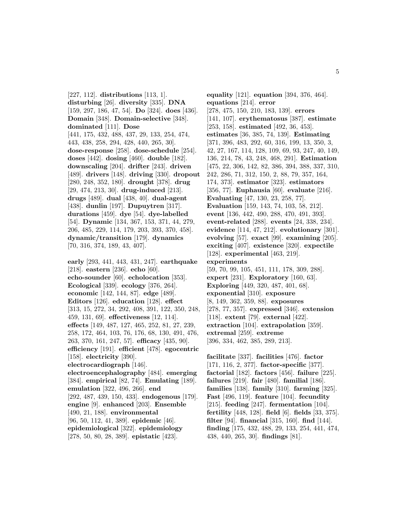[227, 112]. **distributions** [113, 1]. **disturbing** [26]. **diversity** [335]. **DNA** [159, 297, 186, 47, 54]. **Do** [324]. **does** [436]. **Domain** [348]. **Domain-selective** [348]. **dominated** [111]. **Dose** [441, 175, 432, 488, 437, 29, 133, 254, 474, 443, 438, 258, 294, 428, 440, 265, 30]. **dose-response** [258]. **dose-schedule** [254]. **doses** [442]. **dosing** [460]. **double** [182]. **downscaling** [204]. **drifter** [243]. **driven** [489]. **drivers** [148]. **driving** [330]. **dropout** [280, 248, 352, 180]. **drought** [378]. **drug** [29, 474, 213, 30]. **drug-induced** [213]. **drugs** [489]. **dual** [438, 40]. **dual-agent** [438]. **dunlin** [197]. **Dupuytren** [317]. **durations** [459]. **dye** [54]. **dye-labelled** [54]. **Dynamic** [134, 367, 153, 371, 44, 279, 206, 485, 229, 114, 179, 203, 393, 370, 458]. **dynamic/transition** [179]. **dynamics** [70, 316, 374, 189, 43, 407].

**early** [293, 441, 443, 431, 247]. **earthquake** [218]. **eastern** [236]. **echo** [60]. **echo-sounder** [60]. **echolocation** [353]. **Ecological** [339]. **ecology** [376, 264]. **economic** [142, 144, 87]. **edge** [489]. **Editors** [126]. **education** [128]. **effect** [313, 15, 272, 34, 292, 408, 391, 122, 350, 248, 459, 131, 69]. **effectiveness** [12, 114]. **effects** [149, 487, 127, 465, 252, 81, 27, 239, 258, 172, 464, 103, 76, 176, 68, 130, 491, 476, 263, 370, 161, 247, 57]. **efficacy** [435, 90]. **efficiency** [191]. **efficient** [478]. **egocentric** [158]. **electricity** [390]. **electrocardiograph** [146]. **electroencephalography** [484]. **emerging** [384]. **empirical** [82, 74]. **Emulating** [189]. **emulation** [322, 496, 266]. **end** [292, 487, 439, 150, 433]. **endogenous** [179]. **engine** [9]. **enhanced** [203]. **Ensemble** [490, 21, 188]. **environmental** [96, 50, 112, 41, 389]. **epidemic** [46]. **epidemiological** [322]. **epidemiology** [278, 50, 80, 28, 389]. **epistatic** [423].

**equality** [121]. **equation** [394, 376, 464]. **equations** [214]. **error** [278, 475, 150, 210, 183, 139]. **errors** [141, 107]. **erythematosus** [387]. **estimate** [253, 158]. **estimated** [492, 36, 453]. **estimates** [36, 385, 74, 139]. **Estimating** [371, 396, 483, 292, 60, 316, 199, 13, 350, 3, 42, 27, 167, 114, 128, 109, 69, 93, 247, 40, 149, 136, 214, 78, 43, 248, 468, 291]. **Estimation** [475, 22, 306, 142, 82, 386, 394, 388, 337, 310, 242, 286, 71, 312, 150, 2, 88, 79, 357, 164, 174, 373]. **estimator** [323]. **estimators** [356, 77]. **Euphausia** [60]. **evaluate** [216]. **Evaluating** [47, 130, 23, 258, 77]. **Evaluation** [159, 143, 74, 103, 58, 212]. **event** [136, 442, 490, 288, 470, 491, 393]. **event-related** [288]. **events** [24, 338, 234]. **evidence** [114, 47, 212]. **evolutionary** [301]. **evolving** [57]. **exact** [99]. **examining** [205]. **exciting** [407]. **existence** [320]. **expectile** [128]. **experimental** [463, 219]. **experiments** [59, 70, 99, 105, 451, 111, 178, 309, 288]. **expert** [231]. **Exploratory** [160, 63]. **Exploring** [449, 320, 487, 401, 68]. **exponential** [310]. **exposure** [8, 149, 362, 359, 88]. **exposures** [278, 77, 357]. **expressed** [346]. **extension** [118]. **extent** [79]. **external** [422]. **extraction** [104]. **extrapolation** [359]. **extremal** [259]. **extreme** [396, 334, 462, 385, 289, 213].

**facilitate** [337]. **facilities** [476]. **factor** [171, 116, 2, 377]. **factor-specific** [377]. **factorial** [182]. **factors** [456]. **failure** [225]. **failures** [219]. **fair** [480]. **familial** [186]. **families** [138]. **family** [310]. **farming** [325]. **Fast** [496, 119]. **feature** [104]. **fecundity** [215]. **feeding** [247]. **fermentation** [104]. **fertility** [448, 128]. **field** [6]. **fields** [33, 375]. **filter** [94]. **financial** [315, 160]. **find** [144]. **finding** [175, 432, 488, 29, 133, 254, 441, 474, 438, 440, 265, 30]. **findings** [81].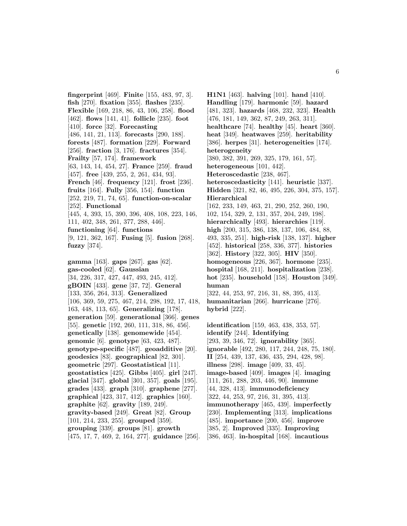**fingerprint** [469]. **Finite** [155, 483, 97, 3]. **fish** [270]. **fixation** [355]. **flashes** [235]. **Flexible** [169, 218, 86, 43, 106, 258]. **flood** [462]. **flows** [141, 41]. **follicle** [235]. **foot** [410]. **force** [32]. **Forecasting** [486, 141, 21, 113]. **forecasts** [290, 188]. **forests** [487]. **formation** [229]. **Forward** [256]. **fraction** [3, 176]. **fractures** [354]. **Frailty** [57, 174]. **framework** [63, 143, 14, 454, 27]. **France** [259]. **fraud** [457]. **free** [439, 255, 2, 261, 434, 93]. **French** [46]. **frequency** [121]. **frost** [236]. **fruits** [164]. **Fully** [356, 154]. **function** [252, 219, 71, 74, 65]. **function-on-scalar** [252]. **Functional** [445, 4, 393, 15, 390, 396, 408, 108, 223, 146, 111, 402, 348, 261, 377, 288, 446]. **functioning** [64]. **functions** [9, 121, 362, 167]. **Fusing** [5]. **fusion** [268]. **fuzzy** [374]. **gamma** [163]. **gaps** [267]. **gas** [62]. **gas-cooled** [62]. **Gaussian** [34, 226, 317, 427, 447, 493, 245, 412]. **gBOIN** [433]. **gene** [37, 72]. **General** [133, 356, 264, 313]. **Generalized** [106, 369, 59, 275, 467, 214, 298, 192, 17, 418, 163, 448, 113, 65]. **Generalizing** [178]. **generation** [59]. **generational** [366]. **genes** [55]. **genetic** [192, 260, 111, 318, 86, 456]. **genetically** [138]. **genomewide** [454]. **genomic** [6]. **genotype** [63, 423, 487]. **genotype-specific** [487]. **geoadditive** [20]. **geodesics** [83]. **geographical** [82, 301]. **geometric** [297]. **Geostatistical** [11]. **geostatistics** [425]. **Gibbs** [405]. **girl** [247]. **glacial** [347]. **global** [301, 357]. **goals** [195]. **grades** [433]. **graph** [310]. **graphene** [277]. **graphical** [423, 317, 412]. **graphics** [160]. **graphite** [62]. **gravity** [189, 249]. **gravity-based** [249]. **Great** [82]. **Group** [101, 214, 233, 255]. **grouped** [359]. **grouping** [339]. **groups** [81]. **growth** [475, 17, 7, 469, 2, 164, 277]. **guidance** [256].

**H1N1** [463]. **halving** [101]. **hand** [410]. **Handling** [179]. **harmonic** [59]. **hazard** [481, 323]. **hazards** [468, 232, 323]. **Health** [476, 181, 149, 362, 87, 249, 263, 311]. **healthcare** [74]. **healthy** [45]. **heart** [360]. **heat** [349]. **heatwaves** [259]. **heritability** [386]. **herpes** [31]. **heterogeneities** [174]. **heterogeneity** [380, 382, 391, 269, 325, 179, 161, 57]. **heterogeneous** [101, 442]. **Heteroscedastic** [238, 467]. **heteroscedasticity** [141]. **heuristic** [337]. **Hidden** [321, 82, 46, 495, 226, 304, 375, 157]. **Hierarchical** [162, 233, 149, 463, 21, 290, 252, 260, 190, 102, 154, 329, 2, 131, 357, 204, 249, 198]. **hierarchically** [493]. **hierarchies** [119]. **high** [200, 315, 386, 138, 137, 106, 484, 88, 493, 335, 251]. **high-risk** [138, 137]. **higher** [452]. **historical** [258, 336, 377]. **histories** [362]. **History** [322, 305]. **HIV** [350]. **homogeneous** [226, 367]. **hormone** [235]. **hospital** [168, 211]. **hospitalization** [238]. **hot** [235]. **household** [158]. **Houston** [349]. **human** [322, 44, 253, 97, 216, 31, 88, 395, 413]. **humanitarian** [266]. **hurricane** [276]. **hybrid** [222]. **identification** [159, 463, 438, 353, 57]. **identify** [244]. **Identifying** [293, 39, 346, 72]. **ignorability** [365]. **ignorable** [492, 280, 117, 244, 248, 75, 180]. **II** [254, 439, 137, 436, 435, 294, 428, 98]. **illness** [298]. **image** [409, 33, 45]. **image-based** [409]. **images** [4]. **imaging** [111, 261, 288, 203, 446, 90]. **immune** [44, 328, 413]. **immunodeficiency** [322, 44, 253, 97, 216, 31, 395, 413].

**immunotherapy** [465, 439]. **imperfectly** [230]. **Implementing** [313]. **implications** [485]. **importance** [200, 456]. **improve** [385, 2]. **Improved** [335]. **Improving** [386, 463]. **in-hospital** [168]. **incautious**

6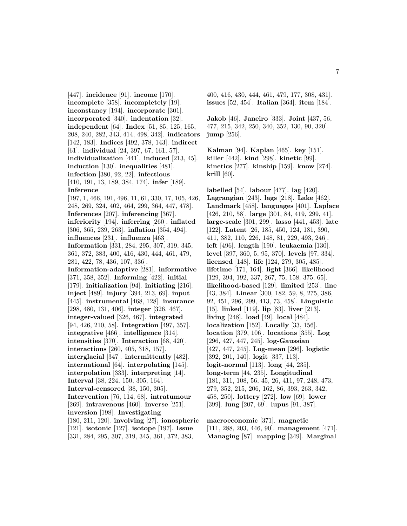[447]. **incidence** [91]. **income** [170]. **incomplete** [358]. **incompletely** [19]. **inconstancy** [194]. **incorporate** [301]. **incorporated** [340]. **indentation** [32]. **independent** [64]. **Index** [51, 85, 125, 165, 208, 240, 282, 343, 414, 498, 342]. **indicators** [142, 183]. **Indices** [492, 378, 143]. **indirect** [61]. **individual** [24, 397, 67, 161, 57]. **individualization** [441]. **induced** [213, 45]. **induction** [130]. **inequalities** [481]. **infection** [380, 92, 22]. **infectious** [410, 191, 13, 189, 384, 174]. **infer** [189]. **Inference** [197, 1, 466, 191, 496, 11, 61, 330, 17, 105, 426, 248, 269, 324, 402, 464, 299, 364, 447, 478]. **Inferences** [207]. **inferencing** [367]. **inferiority** [194]. **inferring** [260]. **inflated** [306, 365, 239, 263]. **inflation** [354, 494]. **influences** [231]. **influenza** [463]. **Information** [331, 284, 295, 307, 319, 345, 361, 372, 383, 400, 416, 430, 444, 461, 479, 281, 422, 78, 436, 107, 336]. **Information-adaptive** [281]. **informative** [371, 358, 352]. **Informing** [422]. **initial** [179]. **initialization** [94]. **initiating** [216]. **inject** [489]. **injury** [394, 213, 69]. **input** [445]. **instrumental** [468, 128]. **insurance** [298, 480, 131, 406]. **integer** [326, 467]. **integer-valued** [326, 467]. **integrated** [94, 426, 210, 58]. **Integration** [497, 357]. **integrative** [466]. **intelligence** [314]. **intensities** [370]. **Interaction** [68, 420]. **interactions** [260, 405, 318, 157]. **interglacial** [347]. **intermittently** [482]. **international** [64]. **interpolating** [145]. **interpolation** [333]. **interpreting** [14]. **Interval** [38, 224, 150, 305, 164]. **Interval-censored** [38, 150, 305]. **Intervention** [76, 114, 68]. **intratumour** [269]. **intravenous** [460]. **inverse** [251]. **inversion** [198]. **Investigating** [180, 211, 120]. **involving** [27]. **ionospheric** [121]. **isotonic** [127]. **isotope** [197]. **Issue** [331, 284, 295, 307, 319, 345, 361, 372, 383,

400, 416, 430, 444, 461, 479, 177, 308, 431]. **issues** [52, 454]. **Italian** [364]. **item** [184].

**Jakob** [46]. **Janeiro** [333]. **Joint** [437, 56, 477, 215, 342, 250, 340, 352, 130, 90, 320]. **jump** [256].

**Kalman** [94]. **Kaplan** [465]. **key** [151]. **killer** [442]. **kind** [298]. **kinetic** [99]. **kinetics** [277]. **kinship** [159]. **know** [274]. **krill** [60].

**labelled** [54]. **labour** [477]. **lag** [420]. **Lagrangian** [243]. **lags** [218]. **Lake** [462]. **Landmark** [458]. **languages** [401]. **Laplace** [426, 210, 58]. **large** [301, 84, 419, 299, 41]. **large-scale** [301, 299]. **lasso** [441, 453]. **late** [122]. **Latent** [26, 185, 450, 124, 181, 390, 411, 382, 110, 226, 148, 81, 229, 493, 246]. **left** [496]. **length** [190]. **leukaemia** [130]. **level** [397, 360, 5, 95, 370]. **levels** [97, 334]. **licensed** [148]. **life** [124, 279, 305, 485]. **lifetime** [171, 164]. **light** [366]. **likelihood** [129, 394, 192, 337, 267, 75, 158, 375, 65]. **likelihood-based** [129]. **limited** [253]. **line** [43, 384]. **Linear** [300, 182, 59, 8, 275, 386, 92, 451, 296, 299, 413, 73, 458]. **Linguistic** [15]. **linked** [119]. **lip** [83]. **liver** [213]. **living** [248]. **load** [49]. **local** [484]. **localization** [152]. **Locally** [33, 156]. **location** [379, 106]. **locations** [355]. **Log** [296, 427, 447, 245]. **log-Gaussian** [427, 447, 245]. **Log-mean** [296]. **logistic** [392, 201, 140]. **logit** [337, 113]. **logit-normal** [113]. **long** [44, 235]. **long-term** [44, 235]. **Longitudinal** [181, 311, 108, 56, 45, 26, 411, 97, 248, 473, 279, 352, 215, 206, 162, 86, 393, 263, 342, 458, 250]. **lottery** [272]. **low** [69]. **lower** [399]. **lung** [207, 69]. **lupus** [91, 387].

**macroeconomic** [371]. **magnetic** [111, 288, 203, 446, 90]. **management** [471]. **Managing** [87]. **mapping** [349]. **Marginal**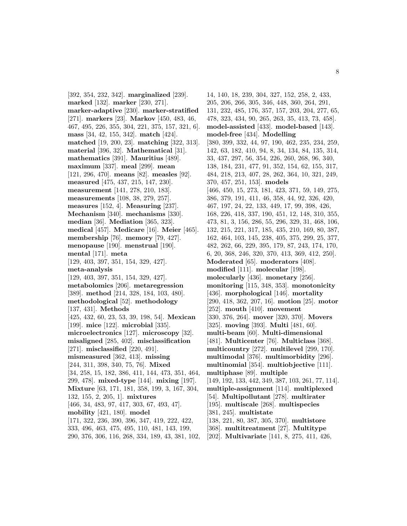[392, 354, 232, 342]. **marginalized** [239]. **marked** [132]. **marker** [230, 271]. **marker-adaptive** [230]. **marker-stratified** [271]. **markers** [23]. **Markov** [450, 483, 46, 467, 495, 226, 355, 304, 221, 375, 157, 321, 6]. **mass** [34, 42, 155, 342]. **match** [424]. **matched** [19, 200, 23]. **matching** [322, 313]. **material** [396, 32]. **Mathematical** [31]. **mathematics** [391]. **Mauritius** [489]. **maximum** [337]. **meal** [299]. **mean** [121, 296, 470]. **means** [82]. **measles** [92]. **measured** [475, 437, 215, 147, 230]. **measurement** [141, 278, 210, 183]. **measurements** [108, 38, 279, 257]. **measures** [152, 4]. **Measuring** [237]. **Mechanism** [340]. **mechanisms** [330]. **median** [36]. **Mediation** [365, 323]. **medical** [457]. **Medicare** [16]. **Meier** [465]. **membership** [76]. **memory** [79, 427]. **menopause** [190]. **menstrual** [190]. **mental** [171]. **meta** [129, 403, 397, 351, 154, 329, 427]. **meta-analysis** [129, 403, 397, 351, 154, 329, 427]. **metabolomics** [206]. **metaregression** [389]. **method** [214, 328, 184, 103, 480]. **methodological** [52]. **methodology** [137, 431]. **Methods** [425, 432, 60, 23, 53, 39, 198, 54]. **Mexican** [199]. **mice** [122]. **microbial** [335]. **microelectronics** [127]. **microscopy** [32]. **misaligned** [285, 402]. **misclassification** [271]. **misclassified** [220, 491]. **mismeasured** [362, 413]. **missing** [244, 311, 398, 340, 75, 76]. **Mixed** [34, 258, 15, 182, 386, 411, 144, 473, 351, 464, 299, 478]. **mixed-type** [144]. **mixing** [197]. **Mixture** [63, 171, 181, 358, 199, 3, 167, 304, 132, 155, 2, 205, 1]. **mixtures** [466, 34, 483, 97, 417, 303, 67, 493, 47]. **mobility** [421, 180]. **model** [171, 322, 236, 390, 396, 347, 419, 222, 422, 333, 496, 463, 475, 495, 110, 481, 143, 199, 290, 376, 306, 116, 268, 334, 189, 43, 381, 102,

14, 140, 18, 239, 304, 327, 152, 258, 2, 433, 205, 206, 266, 305, 346, 448, 360, 264, 291, 131, 232, 485, 176, 357, 157, 203, 204, 277, 65, 478, 323, 434, 90, 265, 263, 35, 413, 73, 458]. **model-assisted** [433]. **model-based** [143]. **model-free** [434]. **Modelling** [380, 399, 332, 44, 97, 190, 462, 235, 234, 259, 142, 63, 182, 410, 94, 8, 34, 134, 84, 135, 314, 33, 437, 297, 56, 354, 226, 260, 268, 96, 340, 138, 184, 231, 477, 91, 352, 154, 62, 155, 317, 484, 218, 213, 407, 28, 262, 364, 10, 321, 249, 370, 457, 251, 153]. **models** [466, 450, 15, 273, 181, 423, 371, 59, 149, 275, 386, 379, 191, 411, 46, 358, 44, 92, 326, 420, 467, 197, 24, 22, 133, 449, 17, 99, 398, 426, 168, 226, 418, 337, 190, 451, 12, 148, 310, 355, 473, 81, 3, 156, 286, 55, 296, 329, 31, 468, 106, 132, 215, 221, 317, 185, 435, 210, 169, 80, 387, 162, 464, 103, 145, 238, 405, 375, 299, 25, 377, 482, 262, 66, 229, 395, 179, 87, 243, 174, 170, 6, 20, 368, 246, 320, 370, 413, 369, 412, 250]. **Moderated** [65]. **moderators** [408]. **modified** [111]. **molecular** [198]. **molecularly** [436]. **monetary** [256]. **monitoring** [115, 348, 353]. **monotonicity** [436]. **morphological** [146]. **mortality** [290, 418, 362, 207, 16]. **motion** [25]. **motor** [252]. **mouth** [410]. **movement** [330, 376, 264]. **mover** [320, 370]. **Movers** [325]. **moving** [393]. **Multi** [481, 60]. **multi-beam** [60]. **Multi-dimensional** [481]. **Multicenter** [76]. **Multiclass** [368]. **multicountry** [272]. **multilevel** [299, 170]. **multimodal** [376]. **multimorbidity** [296]. **multinomial** [354]. **multiobjective** [111]. **multiphase** [89]. **multiple** [149, 192, 133, 442, 349, 387, 103, 261, 77, 114]. **multiple-assignment** [114]. **multiplexed** [54]. **Multipollutant** [278]. **multirater** [195]. **multiscale** [268]. **multispecies** [381, 245]. **multistate** [138, 221, 80, 387, 305, 370]. **multistore** [368]. **multitreatment** [27]. **Multitype** [202]. **Multivariate** [141, 8, 275, 411, 426,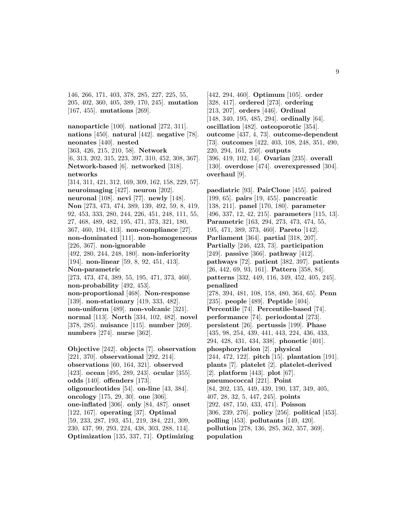146, 266, 171, 403, 378, 285, 227, 225, 55, 205, 402, 360, 405, 389, 170, 245]. **mutation** [167, 455]. **mutations** [269].

**nanoparticle** [100]. **national** [272, 311]. **nations** [450]. **natural** [442]. **negative** [78]. **neonates** [440]. **nested** [363, 426, 215, 210, 58]. **Network** [6, 313, 202, 315, 223, 397, 310, 452, 308, 367]. **Network-based** [6]. **networked** [318]. **networks** [314, 311, 421, 312, 169, 309, 162, 158, 229, 57]. **neuroimaging** [427]. **neuron** [202]. **neuronal** [108]. **nevi** [77]. **newly** [148]. **Non** [273, 473, 474, 389, 139, 492, 59, 8, 419, 92, 453, 333, 280, 244, 226, 451, 248, 111, 55, 27, 468, 489, 482, 195, 471, 373, 321, 180, 367, 460, 194, 413]. **non-compliance** [27]. **non-dominated** [111]. **non-homogeneous** [226, 367]. **non-ignorable** [492, 280, 244, 248, 180]. **non-inferiority** [194]. **non-linear** [59, 8, 92, 451, 413]. **Non-parametric** [273, 473, 474, 389, 55, 195, 471, 373, 460]. **non-probability** [492, 453]. **non-proportional** [468]. **Non-response** [139]. **non-stationary** [419, 333, 482]. **non-uniform** [489]. **non-volcanic** [321]. **normal** [113]. **North** [334, 102, 482]. **novel** [378, 285]. **nuisance** [115]. **number** [269]. **numbers** [274]. **nurse** [362]. **Objective** [242]. **objects** [7]. **observation**

[221, 370]. **observational** [292, 214]. **observations** [60, 164, 321]. **observed** [423]. **ocean** [495, 289, 243]. **ocular** [355]. **odds** [140]. **offenders** [173]. **oligonucleotides** [54]. **on-line** [43, 384]. **oncology** [175, 29, 30]. **one** [306]. **one-inflated** [306]. **only** [84, 487]. **onset** [122, 167]. **operating** [37]. **Optimal** [59, 233, 287, 193, 451, 219, 384, 221, 309, 230, 437, 99, 293, 224, 438, 303, 288, 114]. **Optimization** [135, 337, 71]. **Optimizing**

[442, 294, 460]. **Optimum** [105]. **order** [328, 417]. **ordered** [273]. **ordering** [213, 207]. **orders** [446]. **Ordinal** [148, 340, 195, 485, 294]. **ordinally** [64]. **oscillation** [482]. **osteoporotic** [354]. **outcome** [437, 4, 73]. **outcome-dependent** [73]. **outcomes** [422, 403, 108, 248, 351, 490, 220, 294, 161, 250]. **outputs** [396, 419, 102, 14]. **Ovarian** [235]. **overall** [130]. **overdose** [474]. **overexpressed** [304]. **overhaul** [9].

**paediatric** [93]. **PairClone** [455]. **paired** [199, 65]. **pairs** [19, 455]. **pancreatic** [138, 211]. **panel** [170, 180]. **parameter** [496, 337, 12, 42, 215]. **parameters** [115, 13]. **Parametric** [163, 294, 273, 473, 474, 55, 195, 471, 389, 373, 460]. **Pareto** [142]. **Parliament** [364]. **partial** [318, 207]. **Partially** [246, 423, 73]. **participation** [249]. **passive** [366]. **pathway** [412]. **pathways** [72]. **patient** [382, 397]. **patients** [26, 442, 69, 93, 161]. **Pattern** [358, 84]. **patterns** [332, 449, 116, 349, 452, 405, 245]. **penalized** [278, 394, 481, 108, 158, 480, 364, 65]. **Penn** [235]. **people** [489]. **Peptide** [404]. **Percentile** [74]. **Percentile-based** [74]. **performance** [74]. **periodontal** [273]. **persistent** [26]. **pertussis** [199]. **Phase** [435, 98, 254, 439, 441, 443, 224, 436, 433, 294, 428, 431, 434, 338]. **phonetic** [401]. **phosphorylation** [2]. **physical** [244, 472, 122]. **pitch** [15]. **plantation** [191]. **plants** [7]. **platelet** [2]. **platelet-derived** [2]. **platform** [443]. **plot** [67]. **pneumococcal** [221]. **Point** [84, 202, 135, 449, 439, 190, 137, 349, 405, 407, 28, 32, 5, 447, 245]. **points** [292, 487, 150, 433, 471]. **Poisson** [306, 239, 276]. **policy** [256]. **political** [453]. **polling** [453]. **pollutants** [149, 420]. **pollution** [278, 136, 285, 362, 357, 369]. **population**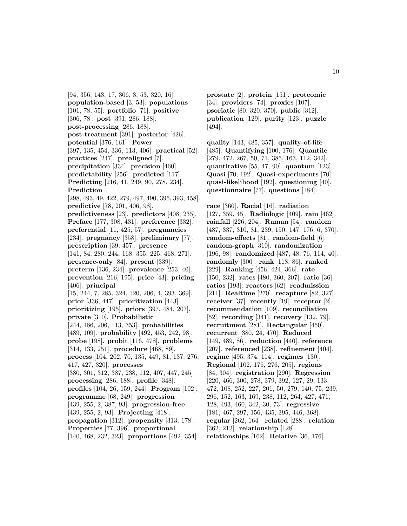[94, 356, 143, 17, 306, 3, 53, 320, 16]. **population-based** [3, 53]. **populations** [101, 78, 55]. **portfolio** [71]. **positive** [306, 78]. **post** [391, 286, 188]. **post-processing** [286, 188]. **post-treatment** [391]. **posterior** [426]. **potential** [376, 161]. **Power** [397, 135, 454, 336, 113, 406]. **practical** [52]. **practices** [247]. **prealigned** [7]. **precipitation** [334]. **precision** [460]. **predictability** [256]. **predicted** [117]. **Predicting** [216, 41, 249, 90, 278, 234]. **Prediction** [298, 493, 49, 422, 279, 497, 490, 395, 393, 458]. **predictive** [78, 201, 406, 98]. **predictiveness** [23]. **predictors** [408, 235]. **Preface** [177, 308, 431]. **preference** [332]. **preferential** [11, 425, 57]. **pregnancies** [234]. **pregnancy** [358]. **preliminary** [77]. **prescription** [39, 457]. **presence** [141, 84, 280, 244, 168, 355, 225, 468, 271]. **presence-only** [84]. **present** [339]. **preterm** [136, 234]. **prevalence** [253, 40]. **prevention** [216, 195]. **price** [43]. **pricing** [406]. **principal** [15, 244, 7, 285, 324, 120, 206, 4, 393, 369]. **prior** [336, 447]. **prioritization** [443]. **prioritizing** [195]. **priors** [397, 484, 207]. **private** [310]. **Probabilistic** [244, 186, 206, 113, 353]. **probabilities** [489, 109]. **probability** [492, 453, 242, 98]. **probe** [198]. **probit** [116, 478]. **problems** [314, 133, 251]. **procedure** [468, 89]. **process** [104, 202, 70, 135, 449, 81, 137, 276, 417, 427, 320]. **processes** [380, 301, 312, 387, 238, 112, 407, 447, 245]. **processing** [286, 188]. **profile** [348]. **profiles** [104, 26, 159, 244]. **Program** [102]. **programme** [68, 249]. **progression** [439, 255, 2, 387, 93]. **progression-free** [439, 255, 2, 93]. **Projecting** [418]. **propagation** [312]. **propensity** [313, 178]. **Properties** [77, 396]. **proportional** [140, 468, 232, 323]. **proportions** [492, 354].

**prostate** [2]. **protein** [151]. **proteomic** [34]. **providers** [74]. **proxies** [107]. **psoriatic** [80, 320, 370]. **public** [312]. **publication** [129]. **purity** [123]. **puzzle** [494].

**quality** [143, 485, 357]. **quality-of-life** [485]. **Quantifying** [100, 176]. **Quantile** [279, 472, 267, 50, 71, 385, 163, 112, 342]. **quantitative** [55, 47, 90]. **quantum** [123]. **Quasi** [70, 192]. **Quasi-experiments** [70]. **quasi-likelihood** [192]. **questioning** [40]. **questionnaire** [77]. **questions** [184].

**race** [360]. **Racial** [16]. **radiation** [127, 359, 45]. **Radiologic** [409]. **rain** [462]. **rainfall** [226, 204]. **Raman** [54]. **random** [487, 337, 310, 81, 239, 150, 147, 176, 6, 370]. **random-effects** [81]. **random-field** [6]. **random-graph** [310]. **randomization** [196, 98]. **randomized** [487, 48, 76, 114, 40]. **randomly** [300]. **rank** [118, 86]. **ranked** [229]. **Ranking** [456, 424, 366]. **rate** [150, 232]. **rates** [480, 360, 207]. **ratio** [36]. **ratios** [193]. **reactors** [62]. **readmission** [211]. **Realtime** [270]. **recapture** [82, 327]. **receiver** [37]. **recently** [19]. **receptor** [2]. **recommendation** [109]. **reconciliation** [52]. **recording** [341]. **recovery** [132, 79]. **recruitment** [281]. **Rectangular** [450]. **recurrent** [380, 24, 470]. **Reduced** [149, 489, 86]. **reduction** [440]. **reference** [207]. **referenced** [238]. **refinement** [404]. **regime** [495, 374, 114]. **regimes** [130]. **Regional** [102, 176, 276, 205]. **regions** [84, 304]. **registration** [290]. **Regression** [220, 466, 300, 278, 379, 392, 127, 29, 133, 472, 108, 252, 227, 201, 50, 279, 140, 75, 239, 296, 152, 163, 169, 238, 112, 264, 427, 471, 128, 493, 460, 342, 30, 73]. **regressive** [181, 467, 297, 156, 435, 395, 446, 368]. **regular** [262, 164]. **related** [288]. **relation** [362, 212]. **relationship** [128]. **relationships** [162]. **Relative** [36, 176].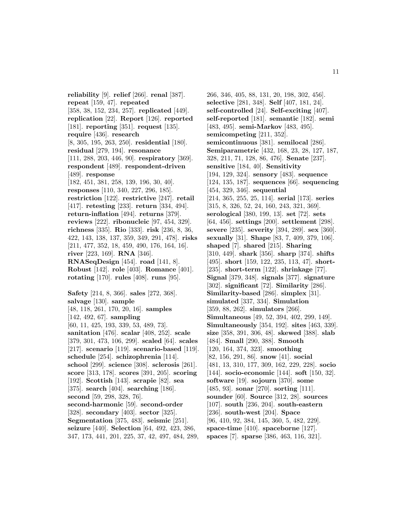**reliability** [9]. **relief** [266]. **renal** [387]. **repeat** [159, 47]. **repeated** [358, 38, 152, 234, 257]. **replicated** [449]. **replication** [22]. **Report** [126]. **reported** [181]. **reporting** [351]. **request** [135]. **require** [436]. **research** [8, 305, 195, 263, 250]. **residential** [180]. **residual** [279, 194]. **resonance** [111, 288, 203, 446, 90]. **respiratory** [369]. **respondent** [489]. **respondent-driven** [489]. **response** [182, 451, 381, 258, 139, 196, 30, 40]. **responses** [110, 340, 227, 296, 185]. **restriction** [122]. **restrictive** [247]. **retail** [417]. **retesting** [233]. **return** [334, 494]. **return-inflation** [494]. **returns** [379]. **reviews** [222]. **ribonucleic** [97, 454, 329]. **richness** [335]. **Rio** [333]. **risk** [236, 8, 36, 422, 143, 138, 137, 359, 349, 291, 478]. **risks** [211, 477, 352, 18, 459, 490, 176, 164, 16]. **river** [223, 169]. **RNA** [346]. **RNASeqDesign** [454]. **road** [141, 8]. **Robust** [142]. **role** [403]. **Romance** [401]. **rotating** [170]. **rules** [408]. **runs** [95]. **Safety** [214, 8, 366]. **sales** [272, 368]. **salvage** [130]. **sample** [48, 118, 261, 170, 20, 16]. **samples** [142, 492, 67]. **sampling** [60, 11, 425, 193, 339, 53, 489, 73]. **sanitation** [476]. **scalar** [408, 252]. **scale** [379, 301, 473, 106, 299]. **scaled** [64]. **scales** [217]. **scenario** [119]. **scenario-based** [119]. **schedule** [254]. **schizophrenia** [114]. **school** [299]. **science** [308]. **sclerosis** [261]. **score** [313, 178]. **scores** [391, 205]. **scoring** [192]. **Scottish** [143]. **scrapie** [82]. **sea** [375]. **search** [404]. **searching** [186]. **second** [59, 298, 328, 76]. **second-harmonic** [59]. **second-order** [328]. **secondary** [403]. **sector** [325]. **Segmentation** [375, 483]. **seismic** [251]. **seizure** [440]. **Selection** [64, 492, 423, 386, 347, 173, 441, 201, 225, 37, 42, 497, 484, 289,

266, 346, 405, 88, 131, 20, 198, 302, 456]. **selective** [281, 348]. **Self** [407, 181, 24]. **self-controlled** [24]. **Self-exciting** [407]. **self-reported** [181]. **semantic** [182]. **semi** [483, 495]. **semi-Markov** [483, 495]. **semicompeting** [211, 352]. **semicontinuous** [381]. **semilocal** [286]. **Semiparametric** [432, 168, 23, 28, 127, 187, 328, 211, 71, 128, 86, 476]. **Senate** [237]. **sensitive** [184, 40]. **Sensitivity** [194, 129, 324]. **sensory** [483]. **sequence** [124, 135, 187]. **sequences** [66]. **sequencing** [454, 329, 346]. **sequential** [214, 365, 255, 25, 114]. **serial** [173]. **series** [315, 8, 326, 52, 24, 160, 243, 321, 369]. **serological** [380, 199, 13]. **set** [72]. **sets** [64, 456]. **settings** [200]. **settlement** [298]. **severe** [235]. **severity** [394, 289]. **sex** [360]. **sexually** [31]. **Shape** [83, 7, 409, 379, 106]. **shaped** [7]. **shared** [215]. **Sharing** [310, 449]. **shark** [356]. **sharp** [374]. **shifts** [495]. **short** [159, 122, 235, 113, 47]. **short-** [235]. **short-term** [122]. **shrinkage** [77]. **Signal** [379, 348]. **signals** [377]. **signature** [302]. **significant** [72]. **Similarity** [286]. **Similarity-based** [286]. **simplex** [31]. **simulated** [337, 334]. **Simulation** [359, 88, 262]. **simulators** [266]. **Simultaneous** [49, 52, 394, 402, 299, 149]. **Simultaneously** [354, 192]. **sites** [463, 339]. **size** [358, 391, 306, 48]. **skewed** [388]. **slab** [484]. **Small** [290, 388]. **Smooth** [120, 164, 374, 323]. **smoothing** [82, 156, 291, 86]. **snow** [41]. **social** [481, 13, 310, 177, 309, 162, 229, 228]. **socio** [144]. **socio-economic** [144]. **soft** [150, 32]. **software** [19]. **sojourn** [370]. **some** [485, 93]. **sonar** [270]. **sorting** [111]. **sounder** [60]. **Source** [312, 28]. **sources** [107]. **south** [236, 204]. **south-eastern** [236]. **south-west** [204]. **Space** [96, 410, 92, 384, 145, 360, 5, 482, 229]. **space-time** [410]. **spaceborne** [127]. **spaces** [7]. **sparse** [386, 463, 116, 321].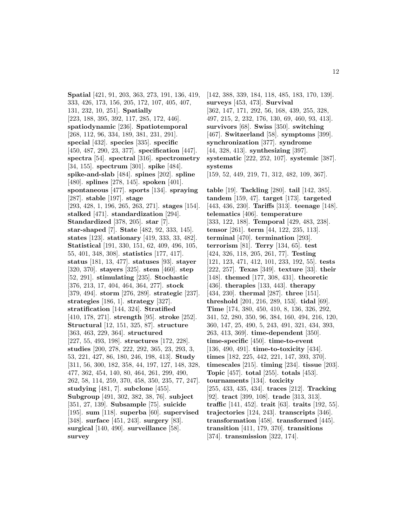**Spatial** [421, 91, 203, 363, 273, 191, 136, 419, 333, 426, 173, 156, 205, 172, 107, 405, 407, 131, 232, 10, 251]. **Spatially** [223, 188, 395, 392, 117, 285, 172, 446]. **spatiodynamic** [236]. **Spatiotemporal** [268, 112, 96, 334, 189, 381, 231, 291]. **special** [432]. **species** [335]. **specific** [450, 487, 290, 23, 377]. **specification** [447]. **spectra** [54]. **spectral** [316]. **spectrometry** [34, 155]. **spectrum** [301]. **spike** [484]. **spike-and-slab** [484]. **spines** [202]. **spline** [480]. **splines** [278, 145]. **spoken** [401]. **spontaneous** [477]. **sports** [134]. **spraying** [287]. **stable** [197]. **stage** [293, 428, 1, 196, 265, 263, 271]. **stages** [154]. **stalked** [471]. **standardization** [294]. **Standardized** [378, 205]. **star** [7]. **star-shaped** [7]. **State** [482, 92, 333, 145]. **states** [123]. **stationary** [419, 333, 33, 482]. **Statistical** [191, 330, 151, 62, 409, 496, 105, 55, 401, 348, 308]. **statistics** [177, 417]. **status** [181, 13, 477]. **statuses** [93]. **stayer** [320, 370]. **stayers** [325]. **stem** [460]. **step** [52, 291]. **stimulating** [235]. **Stochastic** [376, 213, 17, 404, 464, 364, 277]. **stock** [379, 494]. **storm** [276, 289]. **strategic** [237]. **strategies** [186, 1]. **strategy** [327]. **stratification** [144, 324]. **Stratified** [410, 178, 271]. **strength** [95]. **stroke** [252]. **Structural** [12, 151, 325, 87]. **structure** [363, 463, 229, 364]. **structured** [227, 55, 493, 198]. **structures** [172, 228]. **studies** [200, 278, 222, 292, 365, 23, 293, 3, 53, 221, 427, 86, 180, 246, 198, 413]. **Study** [311, 56, 300, 182, 358, 44, 197, 127, 148, 328, 477, 362, 454, 140, 80, 464, 261, 299, 490, 262, 58, 114, 259, 370, 458, 350, 235, 77, 247]. **studying** [481, 7]. **subclone** [455]. **Subgroup** [491, 302, 382, 38, 76]. **subject** [351, 27, 139]. **Subsample** [75]. **suicide** [195]. **sum** [118]. **superba** [60]. **supervised** [348]. **surface** [451, 243]. **surgery** [83]. **surgical** [140, 490]. **surveillance** [58]. **survey**

[142, 388, 339, 184, 118, 485, 183, 170, 139]. **surveys** [453, 473]. **Survival** [362, 147, 171, 292, 56, 168, 439, 255, 328, 497, 215, 2, 232, 176, 130, 69, 460, 93, 413]. **survivors** [68]. **Swiss** [350]. **switching** [467]. **Switzerland** [58]. **symptoms** [399]. **synchronization** [377]. **syndrome** [44, 328, 413]. **synthesizing** [397]. **systematic** [222, 252, 107]. **systemic** [387]. **systems** [159, 52, 449, 219, 71, 312, 482, 109, 367].

**table** [19]. **Tackling** [280]. **tail** [142, 385]. **tandem** [159, 47]. **target** [173]. **targeted** [443, 436, 230]. **Tariffs** [313]. **teenage** [148]. **telematics** [406]. **temperature** [333, 122, 188]. **Temporal** [429, 483, 238]. **tensor** [261]. **term** [44, 122, 235, 113]. **terminal** [470]. **termination** [293]. **terrorism** [81]. **Terry** [134, 65]. **test** [424, 326, 118, 205, 261, 77]. **Testing** [121, 123, 471, 412, 101, 233, 192, 55]. **tests** [222, 257]. **Texas** [349]. **texture** [33]. **their** [148]. **themed** [177, 308, 431]. **theoretic** [436]. **therapies** [133, 443]. **therapy** [434, 230]. **thermal** [287]. **three** [151]. **threshold** [201, 216, 289, 153]. **tidal** [69]. **Time** [174, 380, 450, 410, 8, 136, 326, 292, 341, 52, 280, 350, 96, 384, 160, 494, 216, 120, 360, 147, 25, 490, 5, 243, 491, 321, 434, 393, 263, 413, 369]. **time-dependent** [350]. **time-specific** [450]. **time-to-event** [136, 490, 491]. **time-to-toxicity** [434]. **times** [182, 225, 442, 221, 147, 393, 370]. **timescales** [215]. **timing** [234]. **tissue** [203]. **Topic** [457]. **total** [255]. **totals** [453]. **tournaments** [134]. **toxicity** [255, 433, 435, 434]. **traces** [212]. **Tracking** [92]. **tract** [399, 108]. **trade** [313, 313]. **traffic** [141, 452]. **trait** [63]. **traits** [192, 55]. **trajectories** [124, 243]. **transcripts** [346]. **transformation** [458]. **transformed** [445]. **transition** [411, 179, 370]. **transitions** [374]. **transmission** [322, 174].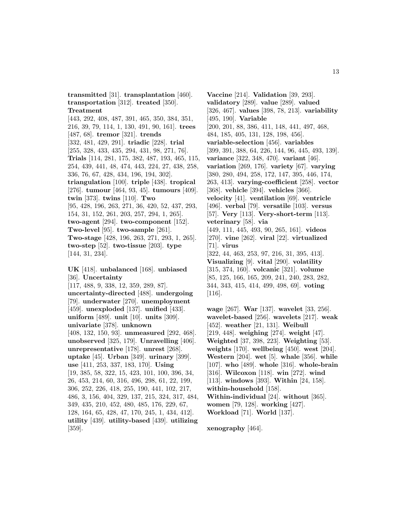**transmitted** [31]. **transplantation** [460]. **transportation** [312]. **treated** [350]. **Treatment**

[443, 292, 408, 487, 391, 465, 350, 384, 351, 216, 39, 79, 114, 1, 130, 491, 90, 161]. **trees** [487, 68]. **tremor** [321]. **trends** [332, 481, 429, 291]. **triadic** [228]. **trial** [255, 328, 433, 435, 294, 431, 98, 271, 76]. **Trials** [114, 281, 175, 382, 487, 193, 465, 115, 254, 439, 441, 48, 474, 443, 224, 27, 438, 258, 336, 76, 67, 428, 434, 196, 194, 302]. **triangulation** [100]. **triple** [438]. **tropical** [276]. **tumour** [464, 93, 45]. **tumours** [409]. **twin** [373]. **twins** [110]. **Two** [95, 428, 196, 263, 271, 36, 420, 52, 437, 293, 154, 31, 152, 261, 203, 257, 294, 1, 265]. **two-agent** [294]. **two-component** [152]. **Two-level** [95]. **two-sample** [261]. **Two-stage** [428, 196, 263, 271, 293, 1, 265]. **two-step** [52]. **two-tissue** [203]. **type** [144, 31, 234].

**UK** [418]. **unbalanced** [168]. **unbiased** [36]. **Uncertainty** [117, 488, 9, 338, 12, 359, 289, 87]. **uncertainty-directed** [488]. **undergoing** [79]. **underwater** [270]. **unemployment** [459]. **unexploded** [137]. **unified** [433]. **uniform** [489]. **unit** [10]. **units** [309]. **univariate** [378]. **unknown** [408, 132, 150, 93]. **unmeasured** [292, 468]. **unobserved** [325, 179]. **Unravelling** [406]. **unrepresentative** [178]. **unrest** [268]. **uptake** [45]. **Urban** [349]. **urinary** [399]. **use** [411, 253, 337, 183, 170]. **Using** [19, 385, 58, 322, 15, 423, 101, 100, 396, 34, 26, 453, 214, 60, 316, 496, 298, 61, 22, 199, 306, 252, 226, 418, 255, 190, 441, 102, 217, 486, 3, 156, 404, 329, 137, 215, 324, 317, 484, 349, 435, 210, 452, 480, 485, 176, 229, 67, 128, 164, 65, 428, 47, 170, 245, 1, 434, 412]. **utility** [439]. **utility-based** [439]. **utilizing** [359].

**Vaccine** [214]. **Validation** [39, 293]. **validatory** [289]. **value** [289]. **valued** [326, 467]. **values** [398, 78, 213]. **variability** [495, 190]. **Variable** [200, 201, 88, 386, 411, 148, 441, 497, 468, 484, 185, 405, 131, 128, 198, 456]. **variable-selection** [456]. **variables** [399, 391, 388, 64, 226, 144, 96, 445, 493, 139]. **variance** [322, 348, 470]. **variant** [46]. **variation** [269, 176]. **variety** [67]. **varying** [380, 280, 494, 258, 172, 147, 395, 446, 174, 263, 413]. **varying-coefficient** [258]. **vector** [368]. **vehicle** [394]. **vehicles** [366]. **velocity** [41]. **ventilation** [69]. **ventricle** [496]. **verbal** [79]. **versatile** [103]. **versus** [57]. **Very** [113]. **Very-short-term** [113]. **veterinary** [58]. **via** [449, 111, 445, 493, 90, 265, 161]. **videos** [270]. **vine** [262]. **viral** [22]. **virtualized** [71]. **virus** [322, 44, 463, 253, 97, 216, 31, 395, 413]. **Visualizing** [9]. **vital** [290]. **volatility** [315, 374, 160]. **volcanic** [321]. **volume** [85, 125, 166, 165, 209, 241, 240, 283, 282, 344, 343, 415, 414, 499, 498, 69]. **voting** [116].

**wage** [267]. **War** [137]. **wavelet** [33, 256]. **wavelet-based** [256]. **wavelets** [217]. **weak** [452]. **weather** [21, 131]. **Weibull** [219, 448]. **weighing** [274]. **weight** [47]. **Weighted** [37, 398, 223]. **Weighting** [53]. **weights** [170]. **wellbeing** [450]. **west** [204]. **Western** [204]. **wet** [5]. **whale** [356]. **while** [107]. **who** [489]. **whole** [316]. **whole-brain** [316]. **Wilcoxon** [118]. **win** [272]. **wind** [113]. **windows** [393]. **Within** [24, 158]. **within-household** [158]. **Within-individual** [24]. **without** [365]. **women** [79, 128]. **working** [427]. **Workload** [71]. **World** [137].

**xenography** [464].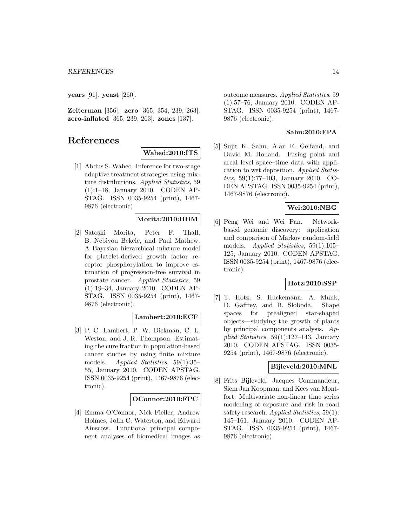**years** [91]. **yeast** [260].

**Zelterman** [356]. **zero** [365, 354, 239, 263]. **zero-inflated** [365, 239, 263]. **zones** [137].

### **References**

#### **Wahed:2010:ITS**

[1] Abdus S. Wahed. Inference for two-stage adaptive treatment strategies using mixture distributions. Applied Statistics, 59 (1):1–18, January 2010. CODEN AP-STAG. ISSN 0035-9254 (print), 1467- 9876 (electronic).

### **Morita:2010:BHM**

[2] Satoshi Morita, Peter F. Thall, B. Nebiyou Bekele, and Paul Mathew. A Bayesian hierarchical mixture model for platelet-derived growth factor receptor phosphorylation to improve estimation of progression-free survival in prostate cancer. Applied Statistics, 59 (1):19–34, January 2010. CODEN AP-STAG. ISSN 0035-9254 (print), 1467- 9876 (electronic).

### **Lambert:2010:ECF**

[3] P. C. Lambert, P. W. Dickman, C. L. Weston, and J. R. Thompson. Estimating the cure fraction in population-based cancer studies by using finite mixture models. Applied Statistics, 59(1):35– 55, January 2010. CODEN APSTAG. ISSN 0035-9254 (print), 1467-9876 (electronic).

### **OConnor:2010:FPC**

[4] Emma O'Connor, Nick Fieller, Andrew Holmes, John C. Waterton, and Edward Ainscow. Functional principal component analyses of biomedical images as outcome measures. Applied Statistics, 59 (1):57–76, January 2010. CODEN AP-STAG. ISSN 0035-9254 (print), 1467- 9876 (electronic).

### **Sahu:2010:FPA**

[5] Sujit K. Sahu, Alan E. Gelfand, and David M. Holland. Fusing point and areal level space–time data with application to wet deposition. Applied Statistics, 59(1):77–103, January 2010. CO-DEN APSTAG. ISSN 0035-9254 (print), 1467-9876 (electronic).

### **Wei:2010:NBG**

[6] Peng Wei and Wei Pan. Networkbased genomic discovery: application and comparison of Markov random-field models. Applied Statistics, 59(1):105– 125, January 2010. CODEN APSTAG. ISSN 0035-9254 (print), 1467-9876 (electronic).

### **Hotz:2010:SSP**

[7] T. Hotz, S. Huckemann, A. Munk, D. Gaffrey, and B. Sloboda. Shape spaces for prealigned star-shaped objects—studying the growth of plants by principal components analysis. Applied Statistics, 59(1):127–143, January 2010. CODEN APSTAG. ISSN 0035- 9254 (print), 1467-9876 (electronic).

#### **Bijleveld:2010:MNL**

[8] Frits Bijleveld, Jacques Commandeur, Siem Jan Koopman, and Kees van Montfort. Multivariate non-linear time series modelling of exposure and risk in road safety research. Applied Statistics, 59(1): 145–161, January 2010. CODEN AP-STAG. ISSN 0035-9254 (print), 1467- 9876 (electronic).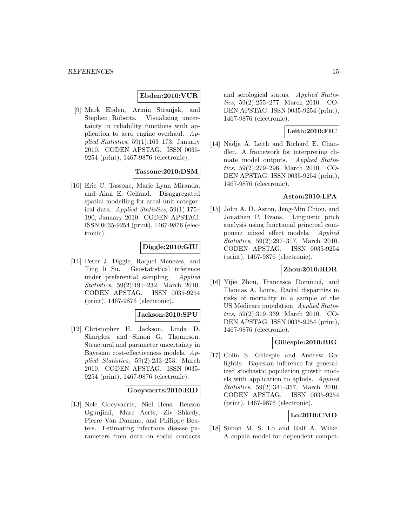### **Ebden:2010:VUR**

[9] Mark Ebden, Armin Stranjak, and Stephen Roberts. Visualizing uncertainty in reliability functions with application to aero engine overhaul. Applied Statistics,  $59(1):163-173$ , January 2010. CODEN APSTAG. ISSN 0035- 9254 (print), 1467-9876 (electronic).

### **Tassone:2010:DSM**

[10] Eric C. Tassone, Marie Lynn Miranda, and Alan E. Gelfand. Disaggregated spatial modelling for areal unit categorical data. Applied Statistics, 59(1):175– 190, January 2010. CODEN APSTAG. ISSN 0035-9254 (print), 1467-9876 (electronic).

### **Diggle:2010:GIU**

[11] Peter J. Diggle, Raquel Menezes, and Ting li Su. Geostatistical inference under preferential sampling. Applied Statistics, 59(2):191–232, March 2010. CODEN APSTAG. ISSN 0035-9254 (print), 1467-9876 (electronic).

#### **Jackson:2010:SPU**

[12] Christopher H. Jackson, Linda D. Sharples, and Simon G. Thompson. Structural and parameter uncertainty in Bayesian cost-effectiveness models. Applied Statistics, 59(2):233–253, March 2010. CODEN APSTAG. ISSN 0035- 9254 (print), 1467-9876 (electronic).

#### **Goeyvaerts:2010:EID**

[13] Nele Goeyvaerts, Niel Hens, Benson Ogunjimi, Marc Aerts, Ziv Shkedy, Pierre Van Damme, and Philippe Beutels. Estimating infectious disease parameters from data on social contacts and serological status. Applied Statistics, 59(2):255–277, March 2010. CO-DEN APSTAG. ISSN 0035-9254 (print), 1467-9876 (electronic).

### **Leith:2010:FIC**

[14] Nadja A. Leith and Richard E. Chandler. A framework for interpreting climate model outputs. Applied Statistics, 59(2):279–296, March 2010. CO-DEN APSTAG. ISSN 0035-9254 (print), 1467-9876 (electronic).

### **Aston:2010:LPA**

[15] John A. D. Aston, Jeng-Min Chiou, and Jonathan P. Evans. Linguistic pitch analysis using functional principal component mixed effect models. Applied Statistics, 59(2):297–317, March 2010. CODEN APSTAG. ISSN 0035-9254 (print), 1467-9876 (electronic).

### **Zhou:2010:RDR**

[16] Yijie Zhou, Francesca Dominici, and Thomas A. Louis. Racial disparities in risks of mortality in a sample of the US Medicare population. Applied Statistics, 59(2):319–339, March 2010. CO-DEN APSTAG. ISSN 0035-9254 (print), 1467-9876 (electronic).

### **Gillespie:2010:BIG**

[17] Colin S. Gillespie and Andrew Golightly. Bayesian inference for generalized stochastic population growth models with application to aphids. Applied Statistics, 59(2):341–357, March 2010. CODEN APSTAG. ISSN 0035-9254 (print), 1467-9876 (electronic).

### **Lo:2010:CMD**

[18] Simon M. S. Lo and Ralf A. Wilke. A copula model for dependent compet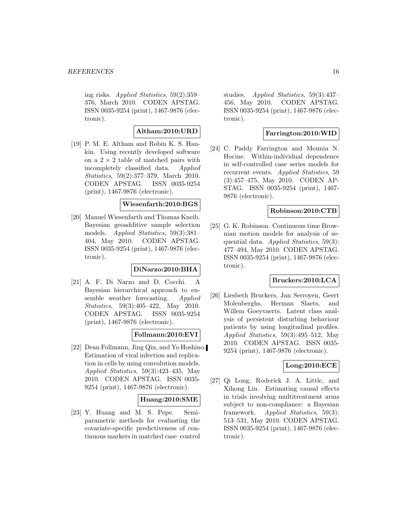ing risks. Applied Statistics, 59(2):359– 376, March 2010. CODEN APSTAG. ISSN 0035-9254 (print), 1467-9876 (electronic).

### **Altham:2010:URD**

[19] P. M. E. Altham and Robin K. S. Hankin. Using recently developed software on a  $2 \times 2$  table of matched pairs with<br>incompletely classified data. Applied incompletely classified data. Statistics, 59(2):377–379, March 2010. CODEN APSTAG. ISSN 0035-9254 (print), 1467-9876 (electronic).

### **Wiesenfarth:2010:BGS**

[20] Manuel Wiesenfarth and Thomas Kneib. Bayesian geoadditive sample selection models. Applied Statistics, 59(3):381– 404, May 2010. CODEN APSTAG. ISSN 0035-9254 (print), 1467-9876 (electronic).

### **DiNarzo:2010:BHA**

[21] A. F. Di Narzo and D. Cocchi. A Bayesian hierarchical approach to ensemble weather forecasting. Applied Statistics, 59(3):405–422, May 2010. CODEN APSTAG. ISSN 0035-9254 (print), 1467-9876 (electronic).

### **Follmann:2010:EVI**

[22] Dean Follmann, Jing Qin, and Yo Hoshino. Estimation of viral infection and replication in cells by using convolution models. Applied Statistics, 59(3):423–435, May 2010. CODEN APSTAG. ISSN 0035- 9254 (print), 1467-9876 (electronic).

### **Huang:2010:SME**

[23] Y. Huang and M. S. Pepe. Semiparametric methods for evaluating the covariate-specific predictiveness of continuous markers in matched case–control

studies. *Applied Statistics*, 59(3):437– 456, May 2010. CODEN APSTAG. ISSN 0035-9254 (print), 1467-9876 (electronic).

### **Farrington:2010:WID**

[24] C. Paddy Farrington and Mounia N. Hocine. Within-individual dependence in self-controlled case series models for recurrent events. Applied Statistics, 59 (3):457–475, May 2010. CODEN AP-STAG. ISSN 0035-9254 (print), 1467- 9876 (electronic).

### **Robinson:2010:CTB**

[25] G. K. Robinson. Continuous time Brownian motion models for analysis of sequential data. Applied Statistics, 59(3): 477–494, May 2010. CODEN APSTAG. ISSN 0035-9254 (print), 1467-9876 (electronic).

### **Bruckers:2010:LCA**

[26] Liesbeth Bruckers, Jan Serroyen, Geert Molenberghs, Herman Slaets, and Willem Goeyvaerts. Latent class analysis of persistent disturbing behaviour patients by using longitudinal profiles. Applied Statistics, 59(3):495–512, May 2010. CODEN APSTAG. ISSN 0035- 9254 (print), 1467-9876 (electronic).

### **Long:2010:ECE**

[27] Qi Long, Roderick J. A. Little, and Xihong Lin. Estimating causal effects in trials involving multitreatment arms subject to non-compliance: a Bayesian framework. Applied Statistics, 59(3): 513–531, May 2010. CODEN APSTAG. ISSN 0035-9254 (print), 1467-9876 (electronic).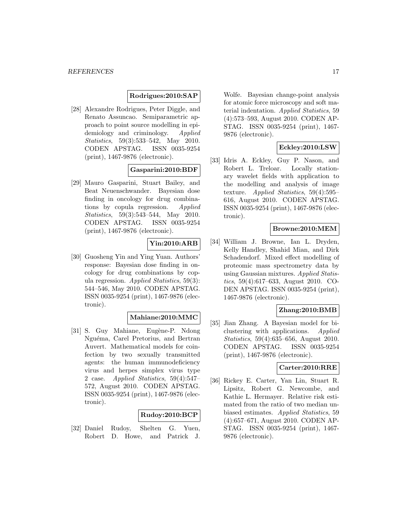#### **Rodrigues:2010:SAP**

[28] Alexandre Rodrigues, Peter Diggle, and Renato Assuncao. Semiparametric approach to point source modelling in epidemiology and criminology. Applied Statistics, 59(3):533–542, May 2010. CODEN APSTAG. ISSN 0035-9254 (print), 1467-9876 (electronic).

### **Gasparini:2010:BDF**

[29] Mauro Gasparini, Stuart Bailey, and Beat Neuenschwander. Bayesian dose finding in oncology for drug combinations by copula regression. Applied Statistics, 59(3):543–544, May 2010. CODEN APSTAG. ISSN 0035-9254 (print), 1467-9876 (electronic).

### **Yin:2010:ARB**

[30] Guosheng Yin and Ying Yuan. Authors' response: Bayesian dose finding in oncology for drug combinations by copula regression. Applied Statistics, 59(3): 544–546, May 2010. CODEN APSTAG. ISSN 0035-9254 (print), 1467-9876 (electronic).

### **Mahiane:2010:MMC**

[31] S. Guy Mahiane, Eugène-P. Ndong Nguéma, Carel Pretorius, and Bertran Auvert. Mathematical models for coinfection by two sexually transmitted agents: the human immunodeficiency virus and herpes simplex virus type 2 case. Applied Statistics, 59(4):547– 572, August 2010. CODEN APSTAG. ISSN 0035-9254 (print), 1467-9876 (electronic).

### **Rudoy:2010:BCP**

[32] Daniel Rudoy, Shelten G. Yuen, Robert D. Howe, and Patrick J.

Wolfe. Bayesian change-point analysis for atomic force microscopy and soft material indentation. Applied Statistics, 59 (4):573–593, August 2010. CODEN AP-STAG. ISSN 0035-9254 (print), 1467- 9876 (electronic).

### **Eckley:2010:LSW**

[33] Idris A. Eckley, Guy P. Nason, and Robert L. Treloar. Locally stationary wavelet fields with application to the modelling and analysis of image texture. Applied Statistics, 59(4):595– 616, August 2010. CODEN APSTAG. ISSN 0035-9254 (print), 1467-9876 (electronic).

#### **Browne:2010:MEM**

[34] William J. Browne, Ian L. Dryden, Kelly Handley, Shahid Mian, and Dirk Schadendorf. Mixed effect modelling of proteomic mass spectrometry data by using Gaussian mixtures. Applied Statistics, 59(4):617–633, August 2010. CO-DEN APSTAG. ISSN 0035-9254 (print), 1467-9876 (electronic).

### **Zhang:2010:BMB**

[35] Jian Zhang. A Bayesian model for biclustering with applications. Applied Statistics, 59(4):635–656, August 2010. CODEN APSTAG. ISSN 0035-9254 (print), 1467-9876 (electronic).

### **Carter:2010:RRE**

[36] Rickey E. Carter, Yan Lin, Stuart R. Lipsitz, Robert G. Newcombe, and Kathie L. Hermayer. Relative risk estimated from the ratio of two median unbiased estimates. Applied Statistics, 59 (4):657–671, August 2010. CODEN AP-STAG. ISSN 0035-9254 (print), 1467- 9876 (electronic).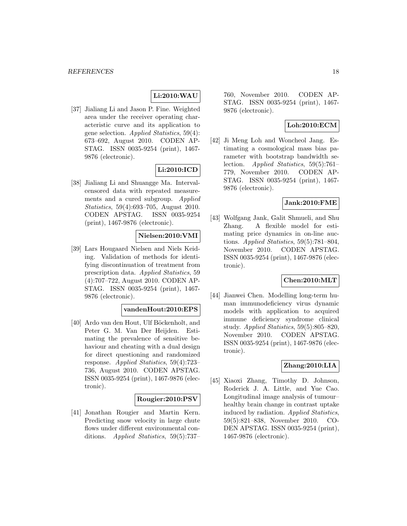### **Li:2010:WAU**

[37] Jialiang Li and Jason P. Fine. Weighted area under the receiver operating characteristic curve and its application to gene selection. Applied Statistics, 59(4): 673–692, August 2010. CODEN AP-STAG. ISSN 0035-9254 (print), 1467- 9876 (electronic).

### **Li:2010:ICD**

[38] Jialiang Li and Shuangge Ma. Intervalcensored data with repeated measurements and a cured subgroup. Applied Statistics, 59(4):693–705, August 2010. CODEN APSTAG. ISSN 0035-9254 (print), 1467-9876 (electronic).

### **Nielsen:2010:VMI**

[39] Lars Hougaard Nielsen and Niels Keiding. Validation of methods for identifying discontinuation of treatment from prescription data. Applied Statistics, 59 (4):707–722, August 2010. CODEN AP-STAG. ISSN 0035-9254 (print), 1467- 9876 (electronic).

### **vandenHout:2010:EPS**

[40] Ardo van den Hout, Ulf Böckenholt, and Peter G. M. Van Der Heijden. Estimating the prevalence of sensitive behaviour and cheating with a dual design for direct questioning and randomized response. Applied Statistics, 59(4):723– 736, August 2010. CODEN APSTAG. ISSN 0035-9254 (print), 1467-9876 (electronic).

### **Rougier:2010:PSV**

[41] Jonathan Rougier and Martin Kern. Predicting snow velocity in large chute flows under different environmental conditions. Applied Statistics, 59(5):737–

760, November 2010. CODEN AP-STAG. ISSN 0035-9254 (print), 1467- 9876 (electronic).

### **Loh:2010:ECM**

[42] Ji Meng Loh and Woncheol Jang. Estimating a cosmological mass bias parameter with bootstrap bandwidth selection. Applied Statistics, 59(5):761– 779, November 2010. CODEN AP-STAG. ISSN 0035-9254 (print), 1467- 9876 (electronic).

#### **Jank:2010:FME**

[43] Wolfgang Jank, Galit Shmueli, and Shu Zhang. A flexible model for estimating price dynamics in on-line auctions. Applied Statistics,  $59(5)$ :781–804, November 2010. CODEN APSTAG. ISSN 0035-9254 (print), 1467-9876 (electronic).

### **Chen:2010:MLT**

[44] Jianwei Chen. Modelling long-term human immunodeficiency virus dynamic models with application to acquired immune deficiency syndrome clinical study. Applied Statistics,  $59(5):805-820$ , November 2010. CODEN APSTAG. ISSN 0035-9254 (print), 1467-9876 (electronic).

### **Zhang:2010:LIA**

[45] Xiaoxi Zhang, Timothy D. Johnson, Roderick J. A. Little, and Yue Cao. Longitudinal image analysis of tumour– healthy brain change in contrast uptake induced by radiation. Applied Statistics, 59(5):821–838, November 2010. CO-DEN APSTAG. ISSN 0035-9254 (print), 1467-9876 (electronic).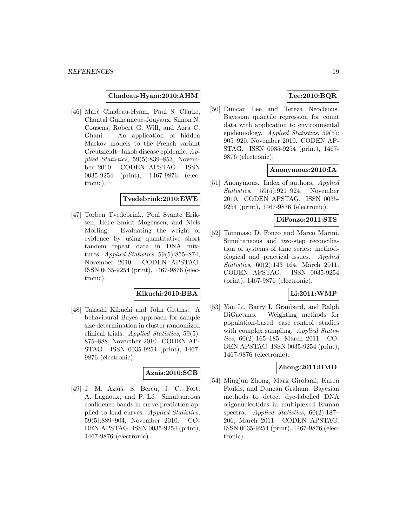#### **Chadeau-Hyam:2010:AHM**

[46] Marc Chadeau-Hyam, Paul S. Clarke, Chantal Guihenneuc-Jouyaux, Simon N. Cousens, Robert G. Will, and Azra C. Ghani. An application of hidden Markov models to the French variant Creutzfeldt–Jakob disease epidemic. Applied Statistics, 59(5):839–853, November 2010. CODEN APSTAG. ISSN 0035-9254 (print), 1467-9876 (electronic).

### **Tvedebrink:2010:EWE**

[47] Torben Tvedebrink, Poul Svante Eriksen, Helle Smidt Mogensen, and Niels Morling. Evaluating the weight of evidence by using quantitative short tandem repeat data in DNA mixtures. Applied Statistics, 59(5):855–874, November 2010. CODEN APSTAG. ISSN 0035-9254 (print), 1467-9876 (electronic).

#### **Kikuchi:2010:BBA**

[48] Takashi Kikuchi and John Gittins. A behavioural Bayes approach for sample size determination in cluster randomized clinical trials. Applied Statistics, 59(5): 875–888, November 2010. CODEN AP-STAG. ISSN 0035-9254 (print), 1467- 9876 (electronic).

### **Azais:2010:SCB**

[49] J. M. Azaïs, S. Bercu, J. C. Fort, A. Lagnoux, and P. Lé. Simultaneous confidence bands in curve prediction applied to load curves. Applied Statistics, 59(5):889–904, November 2010. CO-DEN APSTAG. ISSN 0035-9254 (print), 1467-9876 (electronic).

### **Lee:2010:BQR**

[50] Duncan Lee and Tereza Neocleous. Bayesian quantile regression for count data with application to environmental epidemiology. Applied Statistics, 59(5): 905–920, November 2010. CODEN AP-STAG. ISSN 0035-9254 (print), 1467- 9876 (electronic).

#### **Anonymous:2010:IA**

[51] Anonymous. Index of authors. Applied Statistics, 59(5):921–924, November 2010. CODEN APSTAG. ISSN 0035- 9254 (print), 1467-9876 (electronic).

### **DiFonzo:2011:STS**

[52] Tommaso Di Fonzo and Marco Marini. Simultaneous and two-step reconciliation of systems of time series: methodological and practical issues. Applied Statistics, 60(2):143–164, March 2011. CODEN APSTAG. ISSN 0035-9254 (print), 1467-9876 (electronic).

#### **Li:2011:WMP**

[53] Yan Li, Barry I. Graubard, and Ralph DiGaetano. Weighting methods for population-based case–control studies with complex sampling. Applied Statistics, 60(2):165–185, March 2011. CO-DEN APSTAG. ISSN 0035-9254 (print), 1467-9876 (electronic).

### **Zhong:2011:BMD**

[54] Mingjun Zhong, Mark Girolami, Karen Faulds, and Duncan Graham. Bayesian methods to detect dye-labelled DNA oligonucleotides in multiplexed Raman spectra. Applied Statistics, 60(2):187– 206, March 2011. CODEN APSTAG. ISSN 0035-9254 (print), 1467-9876 (electronic).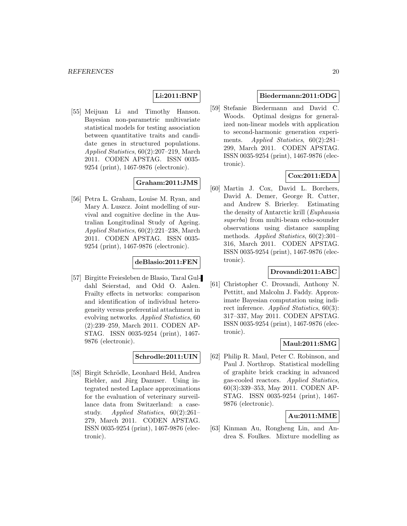### **Li:2011:BNP**

[55] Meijuan Li and Timothy Hanson. Bayesian non-parametric multivariate statistical models for testing association between quantitative traits and candidate genes in structured populations. Applied Statistics, 60(2):207–219, March 2011. CODEN APSTAG. ISSN 0035- 9254 (print), 1467-9876 (electronic).

### **Graham:2011:JMS**

[56] Petra L. Graham, Louise M. Ryan, and Mary A. Luszcz. Joint modelling of survival and cognitive decline in the Australian Longitudinal Study of Ageing. Applied Statistics, 60(2):221–238, March 2011. CODEN APSTAG. ISSN 0035- 9254 (print), 1467-9876 (electronic).

### **deBlasio:2011:FEN**

[57] Birgitte Freiesleben de Blasio, Taral Guldahl Seierstad, and Odd O. Aalen. Frailty effects in networks: comparison and identification of individual heterogeneity versus preferential attachment in evolving networks. Applied Statistics, 60 (2):239–259, March 2011. CODEN AP-STAG. ISSN 0035-9254 (print), 1467- 9876 (electronic).

### **Schrodle:2011:UIN**

[58] Birgit Schrödle, Leonhard Held, Andrea Riebler, and Jürg Danuser. Using integrated nested Laplace approximations for the evaluation of veterinary surveillance data from Switzerland: a casestudy. Applied Statistics, 60(2):261– 279, March 2011. CODEN APSTAG. ISSN 0035-9254 (print), 1467-9876 (electronic).

### **Biedermann:2011:ODG**

[59] Stefanie Biedermann and David C. Woods. Optimal designs for generalized non-linear models with application to second-harmonic generation experiments. Applied Statistics, 60(2):281– 299, March 2011. CODEN APSTAG. ISSN 0035-9254 (print), 1467-9876 (electronic).

### **Cox:2011:EDA**

[60] Martin J. Cox, David L. Borchers, David A. Demer, George R. Cutter, and Andrew S. Brierley. Estimating the density of Antarctic krill (Euphausia superba) from multi-beam echo-sounder observations using distance sampling methods. Applied Statistics, 60(2):301– 316, March 2011. CODEN APSTAG. ISSN 0035-9254 (print), 1467-9876 (electronic).

### **Drovandi:2011:ABC**

[61] Christopher C. Drovandi, Anthony N. Pettitt, and Malcolm J. Faddy. Approximate Bayesian computation using indirect inference. Applied Statistics, 60(3): 317–337, May 2011. CODEN APSTAG. ISSN 0035-9254 (print), 1467-9876 (electronic).

### **Maul:2011:SMG**

[62] Philip R. Maul, Peter C. Robinson, and Paul J. Northrop. Statistical modelling of graphite brick cracking in advanced gas-cooled reactors. Applied Statistics, 60(3):339–353, May 2011. CODEN AP-STAG. ISSN 0035-9254 (print), 1467- 9876 (electronic).

### **Au:2011:MME**

[63] Kinman Au, Rongheng Lin, and Andrea S. Foulkes. Mixture modelling as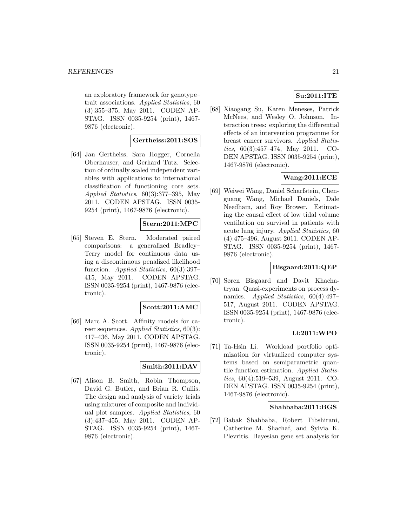an exploratory framework for genotype– trait associations. Applied Statistics, 60 (3):355–375, May 2011. CODEN AP-STAG. ISSN 0035-9254 (print), 1467- 9876 (electronic).

#### **Gertheiss:2011:SOS**

[64] Jan Gertheiss, Sara Hogger, Cornelia Oberhauser, and Gerhard Tutz. Selection of ordinally scaled independent variables with applications to international classification of functioning core sets. Applied Statistics, 60(3):377–395, May 2011. CODEN APSTAG. ISSN 0035- 9254 (print), 1467-9876 (electronic).

### **Stern:2011:MPC**

[65] Steven E. Stern. Moderated paired comparisons: a generalized Bradley– Terry model for continuous data using a discontinuous penalized likelihood function. Applied Statistics, 60(3):397– 415, May 2011. CODEN APSTAG. ISSN 0035-9254 (print), 1467-9876 (electronic).

#### **Scott:2011:AMC**

[66] Marc A. Scott. Affinity models for career sequences. Applied Statistics, 60(3): 417–436, May 2011. CODEN APSTAG. ISSN 0035-9254 (print), 1467-9876 (electronic).

### **Smith:2011:DAV**

[67] Alison B. Smith, Robin Thompson, David G. Butler, and Brian R. Cullis. The design and analysis of variety trials using mixtures of composite and individual plot samples. Applied Statistics, 60 (3):437–455, May 2011. CODEN AP-STAG. ISSN 0035-9254 (print), 1467- 9876 (electronic).

### **Su:2011:ITE**

[68] Xiaogang Su, Karen Meneses, Patrick McNees, and Wesley O. Johnson. Interaction trees: exploring the differential effects of an intervention programme for breast cancer survivors. Applied Statistics, 60(3):457–474, May 2011. CO-DEN APSTAG. ISSN 0035-9254 (print), 1467-9876 (electronic).

### **Wang:2011:ECE**

[69] Weiwei Wang, Daniel Scharfstein, Chenguang Wang, Michael Daniels, Dale Needham, and Roy Brower. Estimating the causal effect of low tidal volume ventilation on survival in patients with acute lung injury. Applied Statistics, 60 (4):475–496, August 2011. CODEN AP-STAG. ISSN 0035-9254 (print), 1467- 9876 (electronic).

#### **Bisgaard:2011:QEP**

[70] Søren Bisgaard and Davit Khachatryan. Quasi-experiments on process dynamics. Applied Statistics, 60(4):497– 517, August 2011. CODEN APSTAG. ISSN 0035-9254 (print), 1467-9876 (electronic).

### **Li:2011:WPO**

[71] Ta-Hsin Li. Workload portfolio optimization for virtualized computer systems based on semiparametric quantile function estimation. Applied Statistics, 60(4):519–539, August 2011. CO-DEN APSTAG. ISSN 0035-9254 (print), 1467-9876 (electronic).

#### **Shahbaba:2011:BGS**

[72] Babak Shahbaba, Robert Tibshirani, Catherine M. Shachaf, and Sylvia K. Plevritis. Bayesian gene set analysis for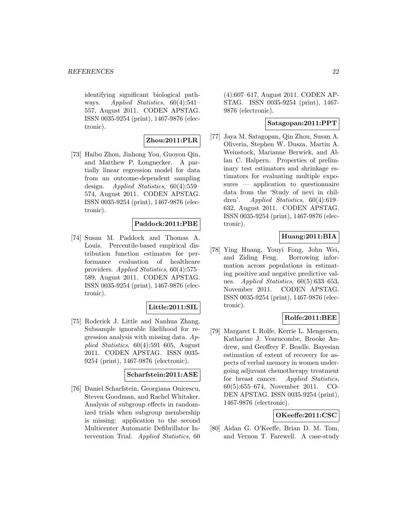identifying significant biological pathways. Applied Statistics, 60(4):541– 557, August 2011. CODEN APSTAG. ISSN 0035-9254 (print), 1467-9876 (electronic).

### **Zhou:2011:PLR**

[73] Haibo Zhou, Jinhong You, Guoyou Qin, and Matthew P. Longnecker. A partially linear regression model for data from an outcome-dependent sampling design. Applied Statistics, 60(4):559– 574, August 2011. CODEN APSTAG. ISSN 0035-9254 (print), 1467-9876 (electronic).

### **Paddock:2011:PBE**

[74] Susan M. Paddock and Thomas A. Louis. Percentile-based empirical distribution function estimates for performance evaluation of healthcare providers. Applied Statistics, 60(4):575– 589, August 2011. CODEN APSTAG. ISSN 0035-9254 (print), 1467-9876 (electronic).

### **Little:2011:SIL**

[75] Roderick J. Little and Nanhua Zhang. Subsample ignorable likelihood for regression analysis with missing data. Applied Statistics, 60(4):591–605, August 2011. CODEN APSTAG. ISSN 0035- 9254 (print), 1467-9876 (electronic).

### **Scharfstein:2011:ASE**

[76] Daniel Scharfstein, Georgiana Onicescu, Steven Goodman, and Rachel Whitaker. Analysis of subgroup effects in randomized trials when subgroup membership is missing: application to the second Multicenter Automatic Defibrillator Intervention Trial. Applied Statistics, 60

(4):607–617, August 2011. CODEN AP-STAG. ISSN 0035-9254 (print), 1467- 9876 (electronic).

### **Satagopan:2011:PPT**

[77] Jaya M. Satagopan, Qin Zhou, Susan A. Oliveria, Stephen W. Dusza, Martin A. Weinstock, Marianne Berwick, and Allan C. Halpern. Properties of preliminary test estimators and shrinkage estimators for evaluating multiple exposures — application to questionnaire data from the 'Study of nevi in children'. Applied Statistics, 60(4):619– 632, August 2011. CODEN APSTAG. ISSN 0035-9254 (print), 1467-9876 (electronic).

### **Huang:2011:BIA**

[78] Ying Huang, Youyi Fong, John Wei, and Ziding Feng. Borrowing information across populations in estimating positive and negative predictive values. Applied Statistics,  $60(5):633-653$ , November 2011. CODEN APSTAG. ISSN 0035-9254 (print), 1467-9876 (electronic).

### **Rolfe:2011:BEE**

[79] Margaret I. Rolfe, Kerrie L. Mengersen, Katharine J. Vearncombe, Brooke Andrew, and Geoffrey F. Beadle. Bayesian estimation of extent of recovery for aspects of verbal memory in women undergoing adjuvant chemotherapy treatment for breast cancer. Applied Statistics, 60(5):655–674, November 2011. CO-DEN APSTAG. ISSN 0035-9254 (print), 1467-9876 (electronic).

### **OKeeffe:2011:CSC**

[80] Aidan G. O'Keeffe, Brian D. M. Tom, and Vernon T. Farewell. A case-study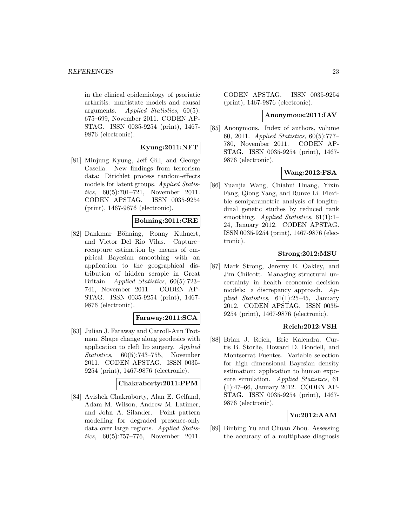in the clinical epidemiology of psoriatic arthritis: multistate models and causal arguments. Applied Statistics, 60(5): 675–699, November 2011. CODEN AP-STAG. ISSN 0035-9254 (print), 1467- 9876 (electronic).

### **Kyung:2011:NFT**

[81] Minjung Kyung, Jeff Gill, and George Casella. New findings from terrorism data: Dirichlet process random-effects models for latent groups. Applied Statistics, 60(5):701–721, November 2011. CODEN APSTAG. ISSN 0035-9254 (print), 1467-9876 (electronic).

### **Bohning:2011:CRE**

[82] Dankmar Böhning, Ronny Kuhnert, and Victor Del Rio Vilas. Capture– recapture estimation by means of empirical Bayesian smoothing with an application to the geographical distribution of hidden scrapie in Great Britain. Applied Statistics, 60(5):723– 741, November 2011. CODEN AP-STAG. ISSN 0035-9254 (print), 1467- 9876 (electronic).

### **Faraway:2011:SCA**

[83] Julian J. Faraway and Carroll-Ann Trotman. Shape change along geodesics with application to cleft lip surgery. Applied Statistics, 60(5):743–755, November 2011. CODEN APSTAG. ISSN 0035- 9254 (print), 1467-9876 (electronic).

### **Chakraborty:2011:PPM**

[84] Avishek Chakraborty, Alan E. Gelfand, Adam M. Wilson, Andrew M. Latimer, and John A. Silander. Point pattern modelling for degraded presence-only data over large regions. Applied Statistics, 60(5):757–776, November 2011.

CODEN APSTAG. ISSN 0035-9254 (print), 1467-9876 (electronic).

#### **Anonymous:2011:IAV**

[85] Anonymous. Index of authors, volume 60, 2011. Applied Statistics, 60(5):777– 780, November 2011. CODEN AP-STAG. ISSN 0035-9254 (print), 1467- 9876 (electronic).

#### **Wang:2012:FSA**

[86] Yuanjia Wang, Chiahui Huang, Yixin Fang, Qiong Yang, and Runze Li. Flexible semiparametric analysis of longitudinal genetic studies by reduced rank smoothing. Applied Statistics,  $61(1):1-$ 24, January 2012. CODEN APSTAG. ISSN 0035-9254 (print), 1467-9876 (electronic).

### **Strong:2012:MSU**

[87] Mark Strong, Jeremy E. Oakley, and Jim Chilcott. Managing structural uncertainty in health economic decision models: a discrepancy approach. Applied Statistics, 61(1):25–45, January 2012. CODEN APSTAG. ISSN 0035- 9254 (print), 1467-9876 (electronic).

### **Reich:2012:VSH**

[88] Brian J. Reich, Eric Kalendra, Curtis B. Storlie, Howard D. Bondell, and Montserrat Fuentes. Variable selection for high dimensional Bayesian density estimation: application to human exposure simulation. Applied Statistics, 61 (1):47–66, January 2012. CODEN AP-STAG. ISSN 0035-9254 (print), 1467- 9876 (electronic).

### **Yu:2012:AAM**

[89] Binbing Yu and Chuan Zhou. Assessing the accuracy of a multiphase diagnosis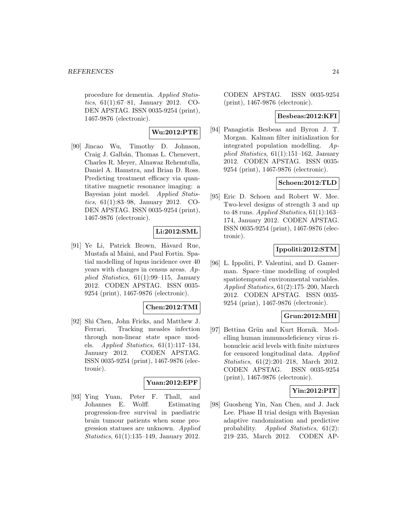procedure for dementia. Applied Statistics, 61(1):67–81, January 2012. CO-DEN APSTAG. ISSN 0035-9254 (print), 1467-9876 (electronic).

### **Wu:2012:PTE**

[90] Jincao Wu, Timothy D. Johnson, Craig J. Galbán, Thomas L. Chenevert, Charles R. Meyer, Alnawaz Rehemtulla, Daniel A. Hamstra, and Brian D. Ross. Predicting treatment efficacy via quantitative magnetic resonance imaging: a Bayesian joint model. Applied Statistics, 61(1):83–98, January 2012. CO-DEN APSTAG. ISSN 0035-9254 (print), 1467-9876 (electronic).

### **Li:2012:SML**

[91] Ye Li, Patrick Brown, Håvard Rue, Mustafa al Maini, and Paul Fortin. Spatial modelling of lupus incidence over 40 years with changes in census areas. Applied Statistics, 61(1):99–115, January 2012. CODEN APSTAG. ISSN 0035- 9254 (print), 1467-9876 (electronic).

### **Chen:2012:TMI**

[92] Shi Chen, John Fricks, and Matthew J. Ferrari. Tracking measles infection through non-linear state space models. *Applied Statistics*,  $61(1):117-134$ , January 2012. CODEN APSTAG. ISSN 0035-9254 (print), 1467-9876 (electronic).

### **Yuan:2012:EPF**

[93] Ying Yuan, Peter F. Thall, and Johannes E. Wolff. Estimating progression-free survival in paediatric brain tumour patients when some progression statuses are unknown. Applied Statistics, 61(1):135–149, January 2012.

CODEN APSTAG. ISSN 0035-9254 (print), 1467-9876 (electronic).

### **Besbeas:2012:KFI**

[94] Panagiotis Besbeas and Byron J. T. Morgan. Kalman filter initialization for integrated population modelling. Applied Statistics, 61(1):151–162, January 2012. CODEN APSTAG. ISSN 0035- 9254 (print), 1467-9876 (electronic).

### **Schoen:2012:TLD**

[95] Eric D. Schoen and Robert W. Mee. Two-level designs of strength 3 and up to 48 runs. Applied Statistics,  $61(1):163-$ 174, January 2012. CODEN APSTAG. ISSN 0035-9254 (print), 1467-9876 (electronic).

### **Ippoliti:2012:STM**

[96] L. Ippoliti, P. Valentini, and D. Gamerman. Space–time modelling of coupled spatiotemporal environmental variables. Applied Statistics, 61(2):175–200, March 2012. CODEN APSTAG. ISSN 0035- 9254 (print), 1467-9876 (electronic).

### **Grun:2012:MHI**

[97] Bettina Grün and Kurt Hornik. Modelling human immunodeficiency virus ribonucleic acid levels with finite mixtures for censored longitudinal data. Applied Statistics, 61(2):201–218, March 2012. CODEN APSTAG. ISSN 0035-9254 (print), 1467-9876 (electronic).

### **Yin:2012:PIT**

[98] Guosheng Yin, Nan Chen, and J. Jack Lee. Phase II trial design with Bayesian adaptive randomization and predictive probability. Applied Statistics, 61(2): 219–235, March 2012. CODEN AP-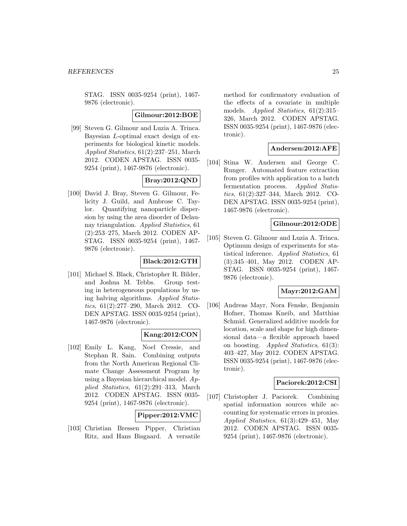STAG. ISSN 0035-9254 (print), 1467- 9876 (electronic).

#### **Gilmour:2012:BOE**

[99] Steven G. Gilmour and Luzia A. Trinca. Bayesian L-optimal exact design of experiments for biological kinetic models. Applied Statistics, 61(2):237–251, March 2012. CODEN APSTAG. ISSN 0035- 9254 (print), 1467-9876 (electronic).

### **Bray:2012:QND**

[100] David J. Bray, Steven G. Gilmour, Felicity J. Guild, and Ambrose C. Taylor. Quantifying nanoparticle dispersion by using the area disorder of Delaunay triangulation. Applied Statistics, 61 (2):253–275, March 2012. CODEN AP-STAG. ISSN 0035-9254 (print), 1467- 9876 (electronic).

### **Black:2012:GTH**

[101] Michael S. Black, Christopher R. Bilder, and Joshua M. Tebbs. Group testing in heterogeneous populations by using halving algorithms. Applied Statistics, 61(2):277–290, March 2012. CO-DEN APSTAG. ISSN 0035-9254 (print), 1467-9876 (electronic).

### **Kang:2012:CON**

[102] Emily L. Kang, Noel Cressie, and Stephan R. Sain. Combining outputs from the North American Regional Climate Change Assessment Program by using a Bayesian hierarchical model. Applied Statistics, 61(2):291–313, March 2012. CODEN APSTAG. ISSN 0035- 9254 (print), 1467-9876 (electronic).

#### **Pipper:2012:VMC**

[103] Christian Bressen Pipper, Christian Ritz, and Hans Bisgaard. A versatile method for confirmatory evaluation of the effects of a covariate in multiple models. Applied Statistics, 61(2):315– 326, March 2012. CODEN APSTAG. ISSN 0035-9254 (print), 1467-9876 (electronic).

### **Andersen:2012:AFE**

[104] Stina W. Andersen and George C. Runger. Automated feature extraction from profiles with application to a batch fermentation process. Applied Statistics, 61(2):327–344, March 2012. CO-DEN APSTAG. ISSN 0035-9254 (print), 1467-9876 (electronic).

### **Gilmour:2012:ODE**

[105] Steven G. Gilmour and Luzia A. Trinca. Optimum design of experiments for statistical inference. Applied Statistics, 61 (3):345–401, May 2012. CODEN AP-STAG. ISSN 0035-9254 (print), 1467- 9876 (electronic).

### **Mayr:2012:GAM**

[106] Andreas Mayr, Nora Fenske, Benjamin Hofner, Thomas Kneib, and Matthias Schmid. Generalized additive models for location, scale and shape for high dimensional data—a flexible approach based on boosting. Applied Statistics, 61(3): 403–427, May 2012. CODEN APSTAG. ISSN 0035-9254 (print), 1467-9876 (electronic).

### **Paciorek:2012:CSI**

[107] Christopher J. Paciorek. Combining spatial information sources while accounting for systematic errors in proxies. Applied Statistics, 61(3):429–451, May 2012. CODEN APSTAG. ISSN 0035- 9254 (print), 1467-9876 (electronic).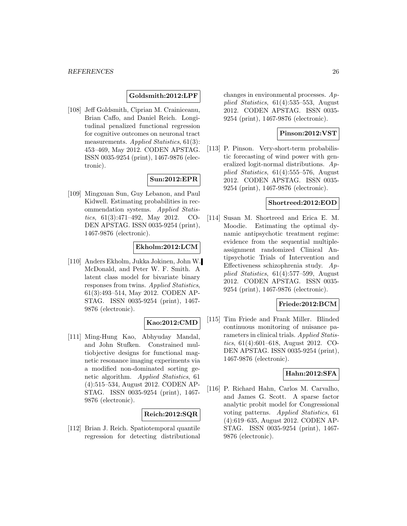#### **Goldsmith:2012:LPF**

[108] Jeff Goldsmith, Ciprian M. Crainiceanu, Brian Caffo, and Daniel Reich. Longitudinal penalized functional regression for cognitive outcomes on neuronal tract measurements. Applied Statistics, 61(3): 453–469, May 2012. CODEN APSTAG. ISSN 0035-9254 (print), 1467-9876 (electronic).

### **Sun:2012:EPR**

[109] Mingxuan Sun, Guy Lebanon, and Paul Kidwell. Estimating probabilities in recommendation systems. Applied Statistics, 61(3):471–492, May 2012. CO-DEN APSTAG. ISSN 0035-9254 (print), 1467-9876 (electronic).

### **Ekholm:2012:LCM**

[110] Anders Ekholm, Jukka Jokinen, John W. McDonald, and Peter W. F. Smith. A latent class model for bivariate binary responses from twins. Applied Statistics, 61(3):493–514, May 2012. CODEN AP-STAG. ISSN 0035-9254 (print), 1467- 9876 (electronic).

#### **Kao:2012:CMD**

[111] Ming-Hung Kao, Abhyuday Mandal, and John Stufken. Constrained multiobjective designs for functional magnetic resonance imaging experiments via a modified non-dominated sorting genetic algorithm. Applied Statistics, 61 (4):515–534, August 2012. CODEN AP-STAG. ISSN 0035-9254 (print), 1467- 9876 (electronic).

### **Reich:2012:SQR**

[112] Brian J. Reich. Spatiotemporal quantile regression for detecting distributional changes in environmental processes. Applied Statistics, 61(4):535–553, August 2012. CODEN APSTAG. ISSN 0035- 9254 (print), 1467-9876 (electronic).

### **Pinson:2012:VST**

[113] P. Pinson. Very-short-term probabilistic forecasting of wind power with generalized logit-normal distributions. Applied Statistics, 61(4):555–576, August 2012. CODEN APSTAG. ISSN 0035- 9254 (print), 1467-9876 (electronic).

#### **Shortreed:2012:EOD**

[114] Susan M. Shortreed and Erica E. M. Moodie. Estimating the optimal dynamic antipsychotic treatment regime: evidence from the sequential multipleassignment randomized Clinical Antipsychotic Trials of Intervention and Effectiveness schizophrenia study. Applied Statistics, 61(4):577–599, August 2012. CODEN APSTAG. ISSN 0035- 9254 (print), 1467-9876 (electronic).

### **Friede:2012:BCM**

[115] Tim Friede and Frank Miller. Blinded continuous monitoring of nuisance parameters in clinical trials. Applied Statistics, 61(4):601–618, August 2012. CO-DEN APSTAG. ISSN 0035-9254 (print), 1467-9876 (electronic).

### **Hahn:2012:SFA**

[116] P. Richard Hahn, Carlos M. Carvalho, and James G. Scott. A sparse factor analytic probit model for Congressional voting patterns. Applied Statistics, 61 (4):619–635, August 2012. CODEN AP-STAG. ISSN 0035-9254 (print), 1467- 9876 (electronic).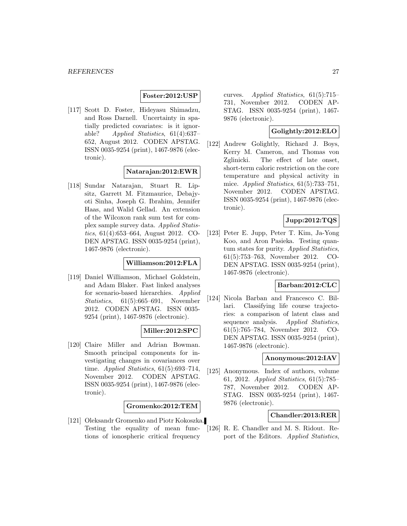### **Foster:2012:USP**

[117] Scott D. Foster, Hideyasu Shimadzu, and Ross Darnell. Uncertainty in spatially predicted covariates: is it ignorable? Applied Statistics, 61(4):637– 652, August 2012. CODEN APSTAG. ISSN 0035-9254 (print), 1467-9876 (electronic).

### **Natarajan:2012:EWR**

[118] Sundar Natarajan, Stuart R. Lipsitz, Garrett M. Fitzmaurice, Debajyoti Sinha, Joseph G. Ibrahim, Jennifer Haas, and Walid Gellad. An extension of the Wilcoxon rank sum test for complex sample survey data. Applied Statistics, 61(4):653–664, August 2012. CO-DEN APSTAG. ISSN 0035-9254 (print), 1467-9876 (electronic).

### **Williamson:2012:FLA**

[119] Daniel Williamson, Michael Goldstein, and Adam Blaker. Fast linked analyses for scenario-based hierarchies. Applied Statistics, 61(5):665–691, November 2012. CODEN APSTAG. ISSN 0035- 9254 (print), 1467-9876 (electronic).

### **Miller:2012:SPC**

[120] Claire Miller and Adrian Bowman. Smooth principal components for investigating changes in covariances over time. Applied Statistics, 61(5):693–714, November 2012. CODEN APSTAG. ISSN 0035-9254 (print), 1467-9876 (electronic).

#### **Gromenko:2012:TEM**

[121] Oleksandr Gromenko and Piotr Kokoszka. Testing the equality of mean functions of ionospheric critical frequency

curves. Applied Statistics, 61(5):715– 731, November 2012. CODEN AP-STAG. ISSN 0035-9254 (print), 1467- 9876 (electronic).

### **Golightly:2012:ELO**

[122] Andrew Golightly, Richard J. Boys, Kerry M. Cameron, and Thomas von Zglinicki. The effect of late onset, short-term caloric restriction on the core temperature and physical activity in mice. Applied Statistics,  $61(5)$ :733–751, November 2012. CODEN APSTAG. ISSN 0035-9254 (print), 1467-9876 (electronic).

### **Jupp:2012:TQS**

[123] Peter E. Jupp, Peter T. Kim, Ja-Yong Koo, and Aron Pasieka. Testing quantum states for purity. Applied Statistics, 61(5):753–763, November 2012. CO-DEN APSTAG. ISSN 0035-9254 (print), 1467-9876 (electronic).

### **Barban:2012:CLC**

[124] Nicola Barban and Francesco C. Billari. Classifying life course trajectories: a comparison of latent class and sequence analysis. Applied Statistics, 61(5):765–784, November 2012. CO-DEN APSTAG. ISSN 0035-9254 (print), 1467-9876 (electronic).

#### **Anonymous:2012:IAV**

[125] Anonymous. Index of authors, volume 61, 2012. Applied Statistics, 61(5):785– 787, November 2012. CODEN AP-STAG. ISSN 0035-9254 (print), 1467- 9876 (electronic).

### **Chandler:2013:RER**

[126] R. E. Chandler and M. S. Ridout. Report of the Editors. Applied Statistics,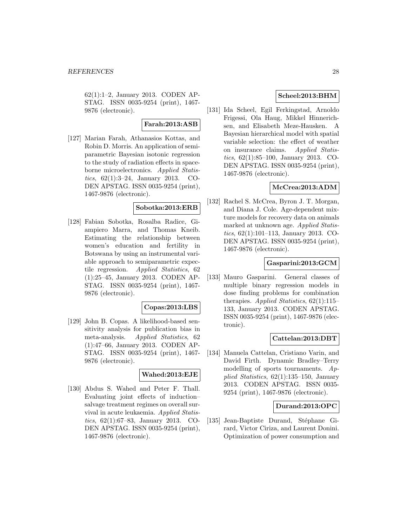62(1):1–2, January 2013. CODEN AP-STAG. ISSN 0035-9254 (print), 1467- 9876 (electronic).

### **Farah:2013:ASB**

[127] Marian Farah, Athanasios Kottas, and Robin D. Morris. An application of semiparametric Bayesian isotonic regression to the study of radiation effects in spaceborne microelectronics. Applied Statistics, 62(1):3–24, January 2013. CO-DEN APSTAG. ISSN 0035-9254 (print), 1467-9876 (electronic).

### **Sobotka:2013:ERB**

[128] Fabian Sobotka, Rosalba Radice, Giampiero Marra, and Thomas Kneib. Estimating the relationship between women's education and fertility in Botswana by using an instrumental variable approach to semiparametric expectile regression. Applied Statistics, 62 (1):25–45, January 2013. CODEN AP-STAG. ISSN 0035-9254 (print), 1467- 9876 (electronic).

### **Copas:2013:LBS**

[129] John B. Copas. A likelihood-based sensitivity analysis for publication bias in meta-analysis. Applied Statistics, 62 (1):47–66, January 2013. CODEN AP-STAG. ISSN 0035-9254 (print), 1467- 9876 (electronic).

#### **Wahed:2013:EJE**

[130] Abdus S. Wahed and Peter F. Thall. Evaluating joint effects of induction– salvage treatment regimes on overall survival in acute leukaemia. Applied Statistics, 62(1):67–83, January 2013. CO-DEN APSTAG. ISSN 0035-9254 (print), 1467-9876 (electronic).

### **Scheel:2013:BHM**

[131] Ida Scheel, Egil Ferkingstad, Arnoldo Frigessi, Ola Haug, Mikkel Hinnerichsen, and Elisabeth Meze-Hausken. A Bayesian hierarchical model with spatial variable selection: the effect of weather on insurance claims. Applied Statistics, 62(1):85–100, January 2013. CO-DEN APSTAG. ISSN 0035-9254 (print), 1467-9876 (electronic).

### **McCrea:2013:ADM**

[132] Rachel S. McCrea, Byron J. T. Morgan, and Diana J. Cole. Age-dependent mixture models for recovery data on animals marked at unknown age. Applied Statistics, 62(1):101–113, January 2013. CO-DEN APSTAG. ISSN 0035-9254 (print), 1467-9876 (electronic).

#### **Gasparini:2013:GCM**

[133] Mauro Gasparini. General classes of multiple binary regression models in dose finding problems for combination therapies. Applied Statistics,  $62(1):115-$ 133, January 2013. CODEN APSTAG. ISSN 0035-9254 (print), 1467-9876 (electronic).

### **Cattelan:2013:DBT**

[134] Manuela Cattelan, Cristiano Varin, and David Firth. Dynamic Bradley–Terry modelling of sports tournaments.  $Ap$ plied Statistics,  $62(1):135-150$ , January 2013. CODEN APSTAG. ISSN 0035- 9254 (print), 1467-9876 (electronic).

### **Durand:2013:OPC**

[135] Jean-Baptiste Durand, Stéphane Girard, Victor Ciriza, and Laurent Donini. Optimization of power consumption and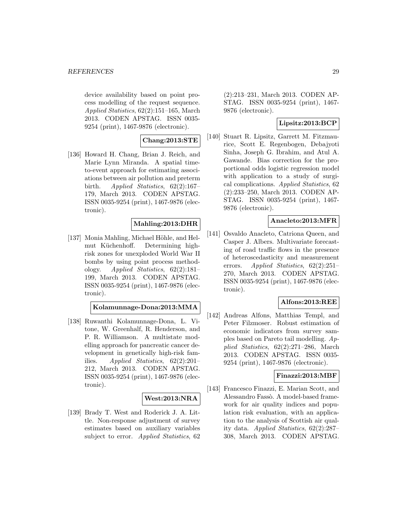device availability based on point process modelling of the request sequence. Applied Statistics, 62(2):151–165, March 2013. CODEN APSTAG. ISSN 0035- 9254 (print), 1467-9876 (electronic).

**Chang:2013:STE**

[136] Howard H. Chang, Brian J. Reich, and Marie Lynn Miranda. A spatial timeto-event approach for estimating associations between air pollution and preterm birth. Applied Statistics, 62(2):167– 179, March 2013. CODEN APSTAG. ISSN 0035-9254 (print), 1467-9876 (electronic).

#### **Mahling:2013:DHR**

[137] Monia Mahling, Michael Höhle, and Helmut Küchenhoff. Determining highrisk zones for unexploded World War II bombs by using point process methodology. Applied Statistics, 62(2):181– 199, March 2013. CODEN APSTAG. ISSN 0035-9254 (print), 1467-9876 (electronic).

**Kolamunnage-Dona:2013:MMA**

[138] Ruwanthi Kolamunnage-Dona, L. Vitone, W. Greenhalf, R. Henderson, and P. R. Williamson. A multistate modelling approach for pancreatic cancer development in genetically high-risk families. Applied Statistics, 62(2):201– 212, March 2013. CODEN APSTAG. ISSN 0035-9254 (print), 1467-9876 (electronic).

#### **West:2013:NRA**

[139] Brady T. West and Roderick J. A. Little. Non-response adjustment of survey estimates based on auxiliary variables subject to error. *Applied Statistics*, 62

(2):213–231, March 2013. CODEN AP-STAG. ISSN 0035-9254 (print), 1467- 9876 (electronic).

### **Lipsitz:2013:BCP**

[140] Stuart R. Lipsitz, Garrett M. Fitzmaurice, Scott E. Regenbogen, Debajyoti Sinha, Joseph G. Ibrahim, and Atul A. Gawande. Bias correction for the proportional odds logistic regression model with application to a study of surgical complications. Applied Statistics, 62 (2):233–250, March 2013. CODEN AP-STAG. ISSN 0035-9254 (print), 1467- 9876 (electronic).

### **Anacleto:2013:MFR**

[141] Osvaldo Anacleto, Catriona Queen, and Casper J. Albers. Multivariate forecasting of road traffic flows in the presence of heteroscedasticity and measurement errors. Applied Statistics, 62(2):251– 270, March 2013. CODEN APSTAG. ISSN 0035-9254 (print), 1467-9876 (electronic).

### **Alfons:2013:REE**

[142] Andreas Alfons, Matthias Templ, and Peter Filzmoser. Robust estimation of economic indicators from survey samples based on Pareto tail modelling. Applied Statistics, 62(2):271–286, March 2013. CODEN APSTAG. ISSN 0035- 9254 (print), 1467-9876 (electronic).

#### **Finazzi:2013:MBF**

[143] Francesco Finazzi, E. Marian Scott, and Alessandro Fassò. A model-based framework for air quality indices and population risk evaluation, with an application to the analysis of Scottish air quality data. Applied Statistics, 62(2):287– 308, March 2013. CODEN APSTAG.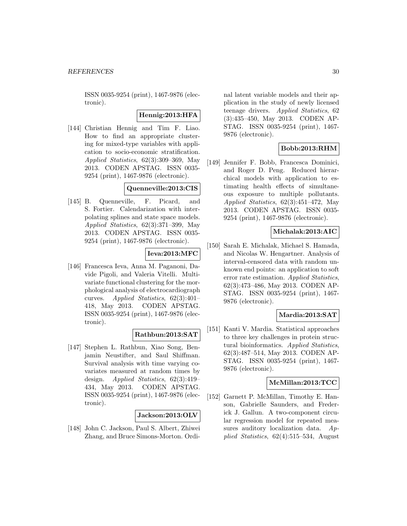ISSN 0035-9254 (print), 1467-9876 (electronic).

### **Hennig:2013:HFA**

[144] Christian Hennig and Tim F. Liao. How to find an appropriate clustering for mixed-type variables with application to socio-economic stratification. Applied Statistics, 62(3):309–369, May 2013. CODEN APSTAG. ISSN 0035- 9254 (print), 1467-9876 (electronic).

### **Quenneville:2013:CIS**

[145] B. Quenneville, F. Picard, and S. Fortier. Calendarization with interpolating splines and state space models. Applied Statistics, 62(3):371–399, May 2013. CODEN APSTAG. ISSN 0035- 9254 (print), 1467-9876 (electronic).

### **Ieva:2013:MFC**

[146] Francesca Ieva, Anna M. Paganoni, Davide Pigoli, and Valeria Vitelli. Multivariate functional clustering for the morphological analysis of electrocardiograph curves. Applied Statistics, 62(3):401– 418, May 2013. CODEN APSTAG. ISSN 0035-9254 (print), 1467-9876 (electronic).

### **Rathbun:2013:SAT**

[147] Stephen L. Rathbun, Xiao Song, Benjamin Neustifter, and Saul Shiffman. Survival analysis with time varying covariates measured at random times by design. Applied Statistics, 62(3):419– 434, May 2013. CODEN APSTAG. ISSN 0035-9254 (print), 1467-9876 (electronic).

### **Jackson:2013:OLV**

[148] John C. Jackson, Paul S. Albert, Zhiwei Zhang, and Bruce Simons-Morton. Ordinal latent variable models and their application in the study of newly licensed teenage drivers. Applied Statistics, 62 (3):435–450, May 2013. CODEN AP-STAG. ISSN 0035-9254 (print), 1467- 9876 (electronic).

### **Bobb:2013:RHM**

[149] Jennifer F. Bobb, Francesca Dominici, and Roger D. Peng. Reduced hierarchical models with application to estimating health effects of simultaneous exposure to multiple pollutants. Applied Statistics, 62(3):451–472, May 2013. CODEN APSTAG. ISSN 0035- 9254 (print), 1467-9876 (electronic).

### **Michalak:2013:AIC**

[150] Sarah E. Michalak, Michael S. Hamada, and Nicolas W. Hengartner. Analysis of interval-censored data with random unknown end points: an application to soft error rate estimation. Applied Statistics, 62(3):473–486, May 2013. CODEN AP-STAG. ISSN 0035-9254 (print), 1467- 9876 (electronic).

### **Mardia:2013:SAT**

[151] Kanti V. Mardia. Statistical approaches to three key challenges in protein structural bioinformatics. Applied Statistics, 62(3):487–514, May 2013. CODEN AP-STAG. ISSN 0035-9254 (print), 1467- 9876 (electronic).

### **McMillan:2013:TCC**

[152] Garnett P. McMillan, Timothy E. Hanson, Gabrielle Saunders, and Frederick J. Gallun. A two-component circular regression model for repeated measures auditory localization data. Applied Statistics, 62(4):515–534, August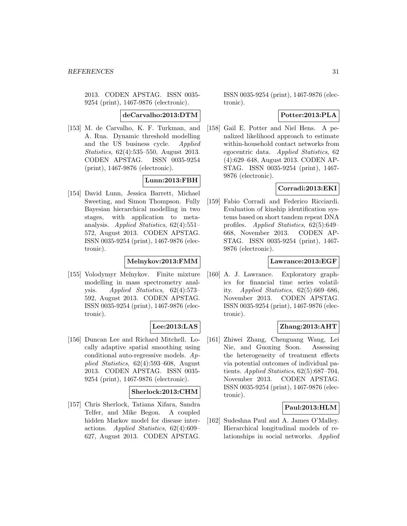2013. CODEN APSTAG. ISSN 0035- 9254 (print), 1467-9876 (electronic).

**deCarvalho:2013:DTM**

[153] M. de Carvalho, K. F. Turkman, and A. Rua. Dynamic threshold modelling and the US business cycle. Applied Statistics, 62(4):535–550, August 2013. CODEN APSTAG. ISSN 0035-9254 (print), 1467-9876 (electronic).

### **Lunn:2013:FBH**

[154] David Lunn, Jessica Barrett, Michael Sweeting, and Simon Thompson. Fully Bayesian hierarchical modelling in two stages, with application to metaanalysis. Applied Statistics, 62(4):551– 572, August 2013. CODEN APSTAG. ISSN 0035-9254 (print), 1467-9876 (electronic).

### **Melnykov:2013:FMM**

[155] Volodymyr Melnykov. Finite mixture modelling in mass spectrometry analysis. Applied Statistics, 62(4):573– 592, August 2013. CODEN APSTAG. ISSN 0035-9254 (print), 1467-9876 (electronic).

### **Lee:2013:LAS**

[156] Duncan Lee and Richard Mitchell. Locally adaptive spatial smoothing using conditional auto-regressive models. Applied Statistics, 62(4):593–608, August 2013. CODEN APSTAG. ISSN 0035- 9254 (print), 1467-9876 (electronic).

### **Sherlock:2013:CHM**

[157] Chris Sherlock, Tatiana Xifara, Sandra Telfer, and Mike Begon. A coupled hidden Markov model for disease interactions. Applied Statistics, 62(4):609– 627, August 2013. CODEN APSTAG.

ISSN 0035-9254 (print), 1467-9876 (electronic).

### **Potter:2013:PLA**

[158] Gail E. Potter and Niel Hens. A penalized likelihood approach to estimate within-household contact networks from egocentric data. Applied Statistics, 62 (4):629–648, August 2013. CODEN AP-STAG. ISSN 0035-9254 (print), 1467- 9876 (electronic).

### **Corradi:2013:EKI**

[159] Fabio Corradi and Federico Ricciardi. Evaluation of kinship identification systems based on short tandem repeat DNA profiles. Applied Statistics, 62(5):649– 668, November 2013. CODEN AP-STAG. ISSN 0035-9254 (print), 1467- 9876 (electronic).

### **Lawrance:2013:EGF**

[160] A. J. Lawrance. Exploratory graphics for financial time series volatility. Applied Statistics, 62(5):669–686, November 2013. CODEN APSTAG. ISSN 0035-9254 (print), 1467-9876 (electronic).

### **Zhang:2013:AHT**

[161] Zhiwei Zhang, Chenguang Wang, Lei Nie, and Guoxing Soon. Assessing the heterogeneity of treatment effects via potential outcomes of individual patients. Applied Statistics, 62(5):687–704, November 2013. CODEN APSTAG. ISSN 0035-9254 (print), 1467-9876 (electronic).

### **Paul:2013:HLM**

[162] Sudeshna Paul and A. James O'Malley. Hierarchical longitudinal models of relationships in social networks. Applied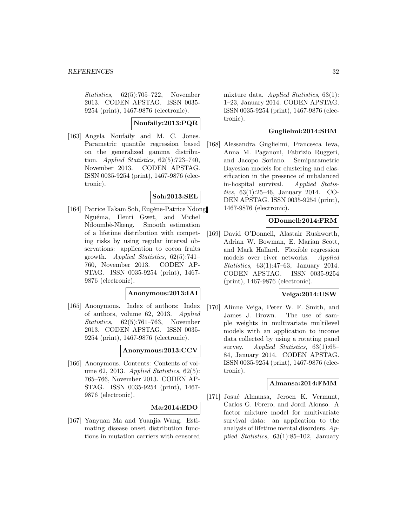Statistics, 62(5):705–722, November 2013. CODEN APSTAG. ISSN 0035- 9254 (print), 1467-9876 (electronic).

### **Noufaily:2013:PQR**

[163] Angela Noufaily and M. C. Jones. Parametric quantile regression based on the generalized gamma distribution. Applied Statistics, 62(5):723–740, November 2013. CODEN APSTAG. ISSN 0035-9254 (print), 1467-9876 (electronic).

### **Soh:2013:SEL**

[164] Patrice Takam Soh, Eugène-Patrice Ndong Nguéma, Henri Gwet, and Michel Ndoumbè-Nkeng. Smooth estimation of a lifetime distribution with competing risks by using regular interval observations: application to cocoa fruits growth. Applied Statistics,  $62(5):741-$ 760, November 2013. CODEN AP-STAG. ISSN 0035-9254 (print), 1467- 9876 (electronic).

### **Anonymous:2013:IAI**

[165] Anonymous. Index of authors: Index of authors, volume 62, 2013. Applied Statistics, 62(5):761–763, November 2013. CODEN APSTAG. ISSN 0035- 9254 (print), 1467-9876 (electronic).

### **Anonymous:2013:CCV**

[166] Anonymous. Contents: Contents of volume 62, 2013. Applied Statistics, 62(5): 765–766, November 2013. CODEN AP-STAG. ISSN 0035-9254 (print), 1467- 9876 (electronic).

### **Ma:2014:EDO**

[167] Yanyuan Ma and Yuanjia Wang. Estimating disease onset distribution functions in mutation carriers with censored mixture data. Applied Statistics, 63(1): 1–23, January 2014. CODEN APSTAG. ISSN 0035-9254 (print), 1467-9876 (electronic).

### **Guglielmi:2014:SBM**

[168] Alessandra Guglielmi, Francesca Ieva, Anna M. Paganoni, Fabrizio Ruggeri, and Jacopo Soriano. Semiparametric Bayesian models for clustering and classification in the presence of unbalanced in-hospital survival. Applied Statistics, 63(1):25–46, January 2014. CO-DEN APSTAG. ISSN 0035-9254 (print), 1467-9876 (electronic).

### **ODonnell:2014:FRM**

[169] David O'Donnell, Alastair Rushworth, Adrian W. Bowman, E. Marian Scott, and Mark Hallard. Flexible regression models over river networks. Applied Statistics, 63(1):47–63, January 2014. CODEN APSTAG. ISSN 0035-9254 (print), 1467-9876 (electronic).

### **Veiga:2014:USW**

[170] Alinne Veiga, Peter W. F. Smith, and James J. Brown. The use of sample weights in multivariate multilevel models with an application to income data collected by using a rotating panel survey. Applied Statistics, 63(1):65– 84, January 2014. CODEN APSTAG. ISSN 0035-9254 (print), 1467-9876 (electronic).

### **Almansa:2014:FMM**

[171] Josué Almansa, Jeroen K. Vermunt, Carlos G. Forero, and Jordi Alonso. A factor mixture model for multivariate survival data: an application to the analysis of lifetime mental disorders. Applied Statistics, 63(1):85–102, January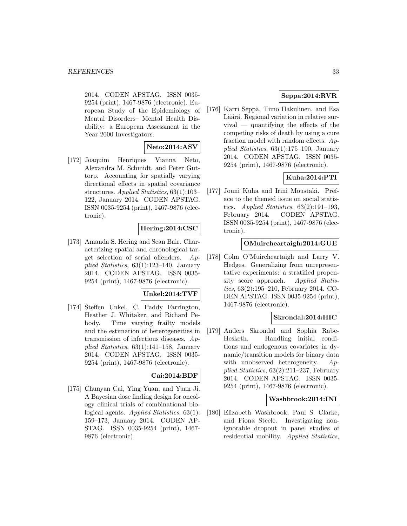2014. CODEN APSTAG. ISSN 0035- 9254 (print), 1467-9876 (electronic). European Study of the Epidemiology of Mental Disorders– Mental Health Disability: a European Assessment in the Year 2000 Investigators.

### **Neto:2014:ASV**

[172] Joaquim Henriques Vianna Neto, Alexandra M. Schmidt, and Peter Guttorp. Accounting for spatially varying directional effects in spatial covariance structures. Applied Statistics, 63(1):103– 122, January 2014. CODEN APSTAG. ISSN 0035-9254 (print), 1467-9876 (electronic).

### **Hering:2014:CSC**

[173] Amanda S. Hering and Sean Bair. Characterizing spatial and chronological target selection of serial offenders. Applied Statistics, 63(1):123–140, January 2014. CODEN APSTAG. ISSN 0035- 9254 (print), 1467-9876 (electronic).

### **Unkel:2014:TVF**

[174] Steffen Unkel, C. Paddy Farrington, Heather J. Whitaker, and Richard Pebody. Time varying frailty models and the estimation of heterogeneities in transmission of infectious diseases. Applied Statistics, 63(1):141–158, January 2014. CODEN APSTAG. ISSN 0035- 9254 (print), 1467-9876 (electronic).

### **Cai:2014:BDF**

[175] Chunyan Cai, Ying Yuan, and Yuan Ji. A Bayesian dose finding design for oncology clinical trials of combinational biological agents. Applied Statistics, 63(1): 159–173, January 2014. CODEN AP-STAG. ISSN 0035-9254 (print), 1467- 9876 (electronic).

### **Seppa:2014:RVR**

[176] Karri Seppä, Timo Hakulinen, and Esa Läärä. Regional variation in relative survival — quantifying the effects of the competing risks of death by using a cure fraction model with random effects.  $Ap$ plied Statistics, 63(1):175–190, January 2014. CODEN APSTAG. ISSN 0035- 9254 (print), 1467-9876 (electronic).

### **Kuha:2014:PTI**

[177] Jouni Kuha and Irini Moustaki. Preface to the themed issue on social statistics. Applied Statistics,  $63(2):191-193$ , February 2014. CODEN APSTAG. ISSN 0035-9254 (print), 1467-9876 (electronic).

### **OMuircheartaigh:2014:GUE**

[178] Colm O'Muircheartaigh and Larry V. Hedges. Generalizing from unrepresentative experiments: a stratified propensity score approach. Applied Statistics, 63(2):195–210, February 2014. CO-DEN APSTAG. ISSN 0035-9254 (print), 1467-9876 (electronic).

### **Skrondal:2014:HIC**

[179] Anders Skrondal and Sophia Rabe-Hesketh. Handling initial conditions and endogenous covariates in dynamic/transition models for binary data with unobserved heterogeneity. Applied Statistics, 63(2):211–237, February 2014. CODEN APSTAG. ISSN 0035- 9254 (print), 1467-9876 (electronic).

#### **Washbrook:2014:INI**

[180] Elizabeth Washbrook, Paul S. Clarke, and Fiona Steele. Investigating nonignorable dropout in panel studies of residential mobility. Applied Statistics,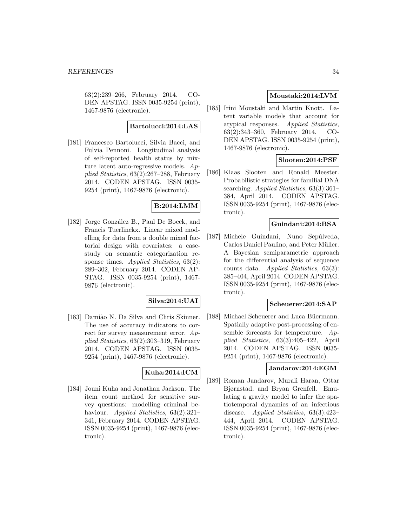63(2):239–266, February 2014. CO-DEN APSTAG. ISSN 0035-9254 (print), 1467-9876 (electronic).

#### **Bartolucci:2014:LAS**

[181] Francesco Bartolucci, Silvia Bacci, and Fulvia Pennoni. Longitudinal analysis of self-reported health status by mixture latent auto-regressive models. Applied Statistics, 63(2):267–288, February 2014. CODEN APSTAG. ISSN 0035- 9254 (print), 1467-9876 (electronic).

### **B:2014:LMM**

[182] Jorge González B., Paul De Boeck, and Francis Tuerlinckx. Linear mixed modelling for data from a double mixed factorial design with covariates: a casestudy on semantic categorization response times. Applied Statistics, 63(2): 289–302, February 2014. CODEN AP-STAG. ISSN 0035-9254 (print), 1467- 9876 (electronic).

### **Silva:2014:UAI**

[183] Damião N. Da Silva and Chris Skinner. The use of accuracy indicators to correct for survey measurement error.  $Ap$ plied Statistics, 63(2):303–319, February 2014. CODEN APSTAG. ISSN 0035- 9254 (print), 1467-9876 (electronic).

### **Kuha:2014:ICM**

[184] Jouni Kuha and Jonathan Jackson. The item count method for sensitive survey questions: modelling criminal behaviour. Applied Statistics, 63(2):321-341, February 2014. CODEN APSTAG. ISSN 0035-9254 (print), 1467-9876 (electronic).

### **Moustaki:2014:LVM**

[185] Irini Moustaki and Martin Knott. Latent variable models that account for atypical responses. Applied Statistics, 63(2):343–360, February 2014. CO-DEN APSTAG. ISSN 0035-9254 (print), 1467-9876 (electronic).

### **Slooten:2014:PSF**

[186] Klaas Slooten and Ronald Meester. Probabilistic strategies for familial DNA searching. *Applied Statistics*, 63(3):361– 384, April 2014. CODEN APSTAG. ISSN 0035-9254 (print), 1467-9876 (electronic).

#### **Guindani:2014:BSA**

[187] Michele Guindani, Nuno Sepúlveda, Carlos Daniel Paulino, and Peter Müller. A Bayesian semiparametric approach for the differential analysis of sequence counts data. Applied Statistics, 63(3): 385–404, April 2014. CODEN APSTAG. ISSN 0035-9254 (print), 1467-9876 (electronic).

#### **Scheuerer:2014:SAP**

[188] Michael Scheuerer and Luca Büermann. Spatially adaptive post-processing of ensemble forecasts for temperature. Applied Statistics, 63(3):405–422, April 2014. CODEN APSTAG. ISSN 0035- 9254 (print), 1467-9876 (electronic).

### **Jandarov:2014:EGM**

[189] Roman Jandarov, Murali Haran, Ottar Bjørnstad, and Bryan Grenfell. Emulating a gravity model to infer the spatiotemporal dynamics of an infectious disease. Applied Statistics, 63(3):423– 444, April 2014. CODEN APSTAG. ISSN 0035-9254 (print), 1467-9876 (electronic).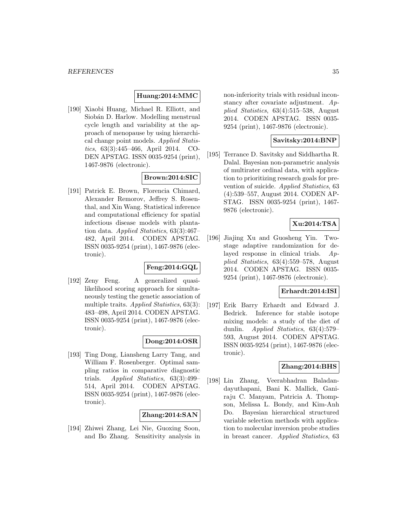#### **Huang:2014:MMC**

[190] Xiaobi Huang, Michael R. Elliott, and Siobán D. Harlow. Modelling menstrual cycle length and variability at the approach of menopause by using hierarchical change point models. Applied Statistics, 63(3):445–466, April 2014. CO-DEN APSTAG. ISSN 0035-9254 (print), 1467-9876 (electronic).

### **Brown:2014:SIC**

[191] Patrick E. Brown, Florencia Chimard, Alexander Remorov, Jeffrey S. Rosenthal, and Xin Wang. Statistical inference and computational efficiency for spatial infectious disease models with plantation data. Applied Statistics, 63(3):467– 482, April 2014. CODEN APSTAG. ISSN 0035-9254 (print), 1467-9876 (electronic).

### **Feng:2014:GQL**

[192] Zeny Feng. A generalized quasilikelihood scoring approach for simultaneously testing the genetic association of multiple traits. Applied Statistics, 63(3): 483–498, April 2014. CODEN APSTAG. ISSN 0035-9254 (print), 1467-9876 (electronic).

### **Dong:2014:OSR**

[193] Ting Dong, Liansheng Larry Tang, and William F. Rosenberger. Optimal sampling ratios in comparative diagnostic trials. Applied Statistics, 63(3):499– 514, April 2014. CODEN APSTAG. ISSN 0035-9254 (print), 1467-9876 (electronic).

### **Zhang:2014:SAN**

[194] Zhiwei Zhang, Lei Nie, Guoxing Soon, and Bo Zhang. Sensitivity analysis in non-inferiority trials with residual inconstancy after covariate adjustment.  $Ap$ plied Statistics, 63(4):515–538, August 2014. CODEN APSTAG. ISSN 0035- 9254 (print), 1467-9876 (electronic).

#### **Savitsky:2014:BNP**

[195] Terrance D. Savitsky and Siddhartha R. Dalal. Bayesian non-parametric analysis of multirater ordinal data, with application to prioritizing research goals for prevention of suicide. Applied Statistics, 63 (4):539–557, August 2014. CODEN AP-STAG. ISSN 0035-9254 (print), 1467- 9876 (electronic).

### **Xu:2014:TSA**

[196] Jiajing Xu and Guosheng Yin. Twostage adaptive randomization for delayed response in clinical trials. Applied Statistics, 63(4):559–578, August 2014. CODEN APSTAG. ISSN 0035- 9254 (print), 1467-9876 (electronic).

### **Erhardt:2014:ISI**

[197] Erik Barry Erhardt and Edward J. Bedrick. Inference for stable isotope mixing models: a study of the diet of dunlin. Applied Statistics, 63(4):579– 593, August 2014. CODEN APSTAG. ISSN 0035-9254 (print), 1467-9876 (electronic).

### **Zhang:2014:BHS**

[198] Lin Zhang, Veerabhadran Baladandayuthapani, Bani K. Mallick, Ganiraju C. Manyam, Patricia A. Thompson, Melissa L. Bondy, and Kim-Anh Do. Bayesian hierarchical structured variable selection methods with application to molecular inversion probe studies in breast cancer. Applied Statistics, 63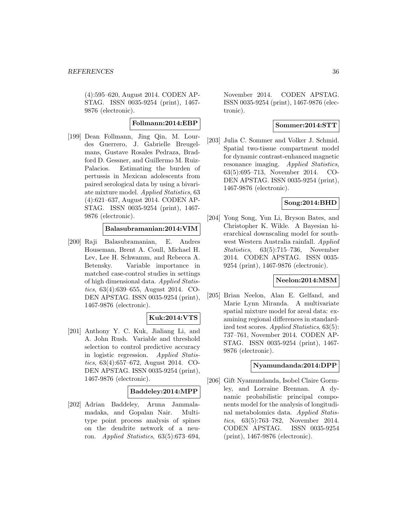(4):595–620, August 2014. CODEN AP-STAG. ISSN 0035-9254 (print), 1467- 9876 (electronic).

### **Follmann:2014:EBP**

[199] Dean Follmann, Jing Qin, M. Lourdes Guerrero, J. Gabrielle Breugelmans, Gustave Rosales Pedraza, Bradford D. Gessner, and Guillermo M. Ruiz-Palacios. Estimating the burden of pertussis in Mexican adolescents from paired serological data by using a bivariate mixture model. Applied Statistics, 63 (4):621–637, August 2014. CODEN AP-STAG. ISSN 0035-9254 (print), 1467- 9876 (electronic).

### **Balasubramanian:2014:VIM**

[200] Raji Balasubramanian, E. Andres Houseman, Brent A. Coull, Michael H. Lev, Lee H. Schwamm, and Rebecca A. Betensky. Variable importance in matched case-control studies in settings of high dimensional data. Applied Statistics, 63(4):639–655, August 2014. CO-DEN APSTAG. ISSN 0035-9254 (print), 1467-9876 (electronic).

### **Kuk:2014:VTS**

[201] Anthony Y. C. Kuk, Jialiang Li, and A. John Rush. Variable and threshold selection to control predictive accuracy in logistic regression. Applied Statistics, 63(4):657–672, August 2014. CO-DEN APSTAG. ISSN 0035-9254 (print), 1467-9876 (electronic).

#### **Baddeley:2014:MPP**

[202] Adrian Baddeley, Aruna Jammalamadaka, and Gopalan Nair. Multitype point process analysis of spines on the dendrite network of a neuron. Applied Statistics, 63(5):673–694,

November 2014. CODEN APSTAG. ISSN 0035-9254 (print), 1467-9876 (electronic).

### **Sommer:2014:STT**

[203] Julia C. Sommer and Volker J. Schmid. Spatial two-tissue compartment model for dynamic contrast-enhanced magnetic resonance imaging. Applied Statistics, 63(5):695–713, November 2014. CO-DEN APSTAG. ISSN 0035-9254 (print), 1467-9876 (electronic).

### **Song:2014:BHD**

[204] Yong Song, Yun Li, Bryson Bates, and Christopher K. Wikle. A Bayesian hierarchical downscaling model for southwest Western Australia rainfall. Applied Statistics, 63(5):715–736, November 2014. CODEN APSTAG. ISSN 0035- 9254 (print), 1467-9876 (electronic).

### **Neelon:2014:MSM**

[205] Brian Neelon, Alan E. Gelfand, and Marie Lynn Miranda. A multivariate spatial mixture model for areal data: examining regional differences in standardized test scores. Applied Statistics, 63(5): 737–761, November 2014. CODEN AP-STAG. ISSN 0035-9254 (print), 1467- 9876 (electronic).

### **Nyamundanda:2014:DPP**

[206] Gift Nyamundanda, Isobel Claire Gormley, and Lorraine Brennan. A dynamic probabilistic principal components model for the analysis of longitudinal metabolomics data. Applied Statistics, 63(5):763–782, November 2014. CODEN APSTAG. ISSN 0035-9254 (print), 1467-9876 (electronic).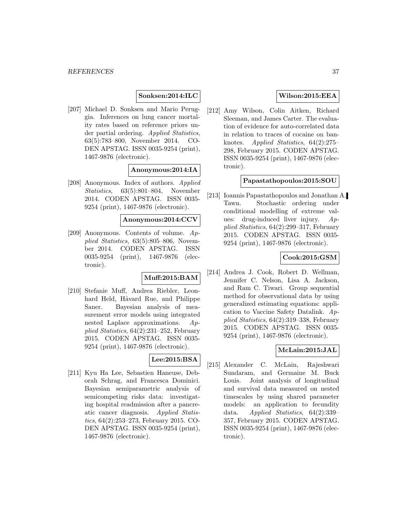### **Sonksen:2014:ILC**

[207] Michael D. Sonksen and Mario Peruggia. Inferences on lung cancer mortality rates based on reference priors under partial ordering. Applied Statistics, 63(5):783–800, November 2014. CO-DEN APSTAG. ISSN 0035-9254 (print), 1467-9876 (electronic).

### **Anonymous:2014:IA**

[208] Anonymous. Index of authors. Applied Statistics, 63(5):801–804, November 2014. CODEN APSTAG. ISSN 0035- 9254 (print), 1467-9876 (electronic).

**Anonymous:2014:CCV**

[209] Anonymous. Contents of volume. Applied Statistics, 63(5):805–806, November 2014. CODEN APSTAG. ISSN 0035-9254 (print), 1467-9876 (electronic).

#### **Muff:2015:BAM**

[210] Stefanie Muff, Andrea Riebler, Leonhard Held, Håvard Rue, and Philippe Saner. Bayesian analysis of measurement error models using integrated nested Laplace approximations. Applied Statistics, 64(2):231–252, February 2015. CODEN APSTAG. ISSN 0035- 9254 (print), 1467-9876 (electronic).

### **Lee:2015:BSA**

[211] Kyu Ha Lee, Sebastien Haneuse, Deborah Schrag, and Francesca Dominici. Bayesian semiparametric analysis of semicompeting risks data: investigating hospital readmission after a pancreatic cancer diagnosis. Applied Statistics, 64(2):253–273, February 2015. CO-DEN APSTAG. ISSN 0035-9254 (print), 1467-9876 (electronic).

### **Wilson:2015:EEA**

[212] Amy Wilson, Colin Aitken, Richard Sleeman, and James Carter. The evaluation of evidence for auto-correlated data in relation to traces of cocaine on banknotes. Applied Statistics, 64(2):275– 298, February 2015. CODEN APSTAG. ISSN 0035-9254 (print), 1467-9876 (electronic).

#### **Papastathopoulos:2015:SOU**

[213] Ioannis Papastathopoulos and Jonathan A. Tawn. Stochastic ordering under conditional modelling of extreme values: drug-induced liver injury.  $Ap$ plied Statistics, 64(2):299–317, February 2015. CODEN APSTAG. ISSN 0035- 9254 (print), 1467-9876 (electronic).

### **Cook:2015:GSM**

[214] Andrea J. Cook, Robert D. Wellman, Jennifer C. Nelson, Lisa A. Jackson, and Ram C. Tiwari. Group sequential method for observational data by using generalized estimating equations: application to Vaccine Safety Datalink. Applied Statistics, 64(2):319–338, February 2015. CODEN APSTAG. ISSN 0035- 9254 (print), 1467-9876 (electronic).

### **McLain:2015:JAL**

[215] Alexander C. McLain, Rajeshwari Sundaram, and Germaine M. Buck Louis. Joint analysis of longitudinal and survival data measured on nested timescales by using shared parameter models: an application to fecundity data. Applied Statistics, 64(2):339– 357, February 2015. CODEN APSTAG. ISSN 0035-9254 (print), 1467-9876 (electronic).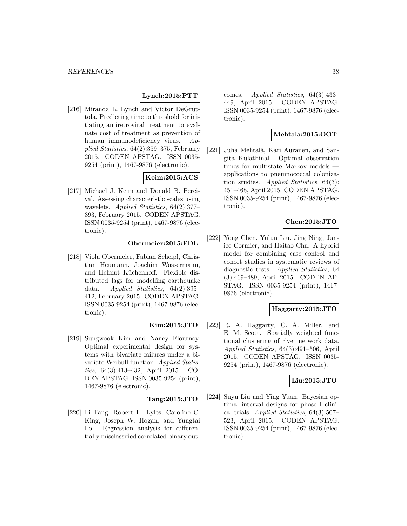### **Lynch:2015:PTT**

[216] Miranda L. Lynch and Victor DeGruttola. Predicting time to threshold for initiating antiretroviral treatment to evaluate cost of treatment as prevention of human immunodeficiency virus. Applied Statistics, 64(2):359–375, February 2015. CODEN APSTAG. ISSN 0035- 9254 (print), 1467-9876 (electronic).

### **Keim:2015:ACS**

[217] Michael J. Keim and Donald B. Percival. Assessing characteristic scales using wavelets. Applied Statistics, 64(2):377– 393, February 2015. CODEN APSTAG. ISSN 0035-9254 (print), 1467-9876 (electronic).

### **Obermeier:2015:FDL**

[218] Viola Obermeier, Fabian Scheipl, Christian Heumann, Joachim Wassermann, and Helmut Küchenhoff. Flexible distributed lags for modelling earthquake data. Applied Statistics, 64(2):395– 412, February 2015. CODEN APSTAG. ISSN 0035-9254 (print), 1467-9876 (electronic).

### **Kim:2015:JTO**

[219] Sungwook Kim and Nancy Flournoy. Optimal experimental design for systems with bivariate failures under a bivariate Weibull function. Applied Statistics, 64(3):413–432, April 2015. CO-DEN APSTAG. ISSN 0035-9254 (print), 1467-9876 (electronic).

### **Tang:2015:JTO**

[220] Li Tang, Robert H. Lyles, Caroline C. King, Joseph W. Hogan, and Yungtai Lo. Regression analysis for differentially misclassified correlated binary outcomes. Applied Statistics, 64(3):433– 449, April 2015. CODEN APSTAG. ISSN 0035-9254 (print), 1467-9876 (electronic).

### **Mehtala:2015:OOT**

[221] Juha Mehtälä, Kari Auranen, and Sangita Kulathinal. Optimal observation times for multistate Markov models applications to pneumococcal colonization studies. Applied Statistics, 64(3): 451–468, April 2015. CODEN APSTAG. ISSN 0035-9254 (print), 1467-9876 (electronic).

### **Chen:2015:JTO**

[222] Yong Chen, Yulun Liu, Jing Ning, Janice Cormier, and Haitao Chu. A hybrid model for combining case–control and cohort studies in systematic reviews of diagnostic tests. Applied Statistics, 64 (3):469–489, April 2015. CODEN AP-STAG. ISSN 0035-9254 (print), 1467- 9876 (electronic).

### **Haggarty:2015:JTO**

[223] R. A. Haggarty, C. A. Miller, and E. M. Scott. Spatially weighted functional clustering of river network data. Applied Statistics, 64(3):491–506, April 2015. CODEN APSTAG. ISSN 0035- 9254 (print), 1467-9876 (electronic).

#### **Liu:2015:JTO**

[224] Suyu Liu and Ying Yuan. Bayesian optimal interval designs for phase I clinical trials. Applied Statistics,  $64(3):507-$ 523, April 2015. CODEN APSTAG. ISSN 0035-9254 (print), 1467-9876 (electronic).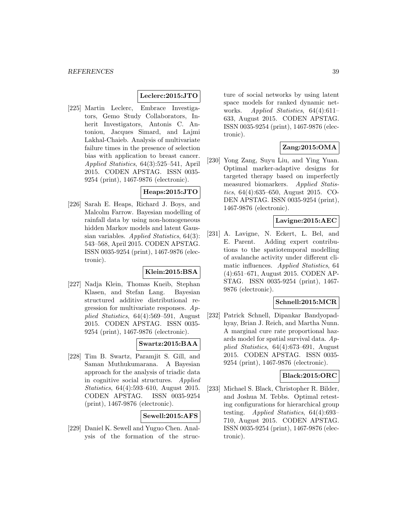### **Leclerc:2015:JTO**

[225] Martin Leclerc, Embrace Investigators, Gemo Study Collaborators, Inherit Investigators, Antonis C. Antoniou, Jacques Simard, and Lajmi Lakhal-Chaieb. Analysis of multivariate failure times in the presence of selection bias with application to breast cancer. Applied Statistics, 64(3):525–541, April 2015. CODEN APSTAG. ISSN 0035- 9254 (print), 1467-9876 (electronic).

### **Heaps:2015:JTO**

[226] Sarah E. Heaps, Richard J. Boys, and Malcolm Farrow. Bayesian modelling of rainfall data by using non-homogeneous hidden Markov models and latent Gaussian variables. Applied Statistics, 64(3): 543–568, April 2015. CODEN APSTAG. ISSN 0035-9254 (print), 1467-9876 (electronic).

#### **Klein:2015:BSA**

[227] Nadja Klein, Thomas Kneib, Stephan Klasen, and Stefan Lang. Bayesian structured additive distributional regression for multivariate responses. Applied Statistics, 64(4):569–591, August 2015. CODEN APSTAG. ISSN 0035- 9254 (print), 1467-9876 (electronic).

### **Swartz:2015:BAA**

[228] Tim B. Swartz, Paramjit S. Gill, and Saman Muthukumarana. A Bayesian approach for the analysis of triadic data in cognitive social structures. Applied Statistics, 64(4):593–610, August 2015. CODEN APSTAG. ISSN 0035-9254 (print), 1467-9876 (electronic).

### **Sewell:2015:AFS**

[229] Daniel K. Sewell and Yuguo Chen. Analysis of the formation of the structure of social networks by using latent space models for ranked dynamic networks. Applied Statistics, 64(4):611– 633, August 2015. CODEN APSTAG. ISSN 0035-9254 (print), 1467-9876 (electronic).

### **Zang:2015:OMA**

[230] Yong Zang, Suyu Liu, and Ying Yuan. Optimal marker-adaptive designs for targeted therapy based on imperfectly measured biomarkers. Applied Statistics, 64(4):635–650, August 2015. CO-DEN APSTAG. ISSN 0035-9254 (print), 1467-9876 (electronic).

### **Lavigne:2015:AEC**

[231] A. Lavigne, N. Eckert, L. Bel, and E. Parent. Adding expert contributions to the spatiotemporal modelling of avalanche activity under different climatic influences. Applied Statistics, 64 (4):651–671, August 2015. CODEN AP-STAG. ISSN 0035-9254 (print), 1467- 9876 (electronic).

### **Schnell:2015:MCR**

[232] Patrick Schnell, Dipankar Bandyopadhyay, Brian J. Reich, and Martha Nunn. A marginal cure rate proportional hazards model for spatial survival data. Applied Statistics, 64(4):673–691, August 2015. CODEN APSTAG. ISSN 0035- 9254 (print), 1467-9876 (electronic).

#### **Black:2015:ORC**

[233] Michael S. Black, Christopher R. Bilder, and Joshua M. Tebbs. Optimal retesting configurations for hierarchical group testing. Applied Statistics, 64(4):693– 710, August 2015. CODEN APSTAG. ISSN 0035-9254 (print), 1467-9876 (electronic).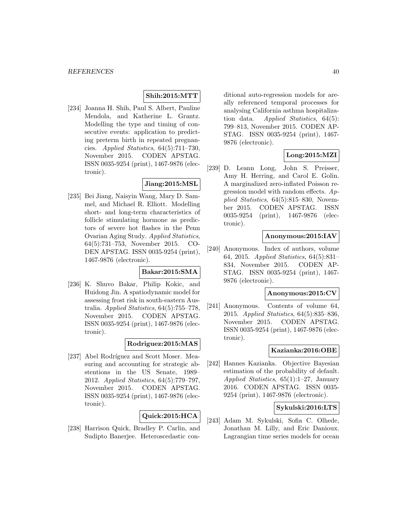#### **Shih:2015:MTT**

[234] Joanna H. Shih, Paul S. Albert, Pauline Mendola, and Katherine L. Grantz. Modelling the type and timing of consecutive events: application to predicting preterm birth in repeated pregnancies. Applied Statistics, 64(5):711–730, November 2015. CODEN APSTAG. ISSN 0035-9254 (print), 1467-9876 (electronic).

### **Jiang:2015:MSL**

[235] Bei Jiang, Naisyin Wang, Mary D. Sammel, and Michael R. Elliott. Modelling short- and long-term characteristics of follicle stimulating hormone as predictors of severe hot flashes in the Penn Ovarian Aging Study. Applied Statistics, 64(5):731–753, November 2015. CO-DEN APSTAG. ISSN 0035-9254 (print), 1467-9876 (electronic).

#### **Bakar:2015:SMA**

[236] K. Shuvo Bakar, Philip Kokic, and Huidong Jin. A spatiodynamic model for assessing frost risk in south-eastern Australia. Applied Statistics, 64(5):755–778, November 2015. CODEN APSTAG. ISSN 0035-9254 (print), 1467-9876 (electronic).

### **Rodriguez:2015:MAS**

[237] Abel Rodríguez and Scott Moser. Measuring and accounting for strategic abstentions in the US Senate, 1989– 2012. Applied Statistics, 64(5):779–797, November 2015. CODEN APSTAG. ISSN 0035-9254 (print), 1467-9876 (electronic).

### **Quick:2015:HCA**

[238] Harrison Quick, Bradley P. Carlin, and Sudipto Banerjee. Heteroscedastic conditional auto-regression models for areally referenced temporal processes for analysing California asthma hospitalization data. Applied Statistics,  $64(5)$ : 799–813, November 2015. CODEN AP-STAG. ISSN 0035-9254 (print), 1467- 9876 (electronic).

### **Long:2015:MZI**

[239] D. Leann Long, John S. Preisser, Amy H. Herring, and Carol E. Golin. A marginalized zero-inflated Poisson regression model with random effects.  $Ap$ plied Statistics, 64(5):815–830, November 2015. CODEN APSTAG. ISSN 0035-9254 (print), 1467-9876 (electronic).

#### **Anonymous:2015:IAV**

[240] Anonymous. Index of authors, volume 64, 2015. Applied Statistics, 64(5):831– 834, November 2015. CODEN AP-STAG. ISSN 0035-9254 (print), 1467- 9876 (electronic).

#### **Anonymous:2015:CV**

[241] Anonymous. Contents of volume 64, 2015. Applied Statistics, 64(5):835–836, November 2015. CODEN APSTAG. ISSN 0035-9254 (print), 1467-9876 (electronic).

#### **Kazianka:2016:OBE**

[242] Hannes Kazianka. Objective Bayesian estimation of the probability of default. Applied Statistics, 65(1):1–27, January 2016. CODEN APSTAG. ISSN 0035- 9254 (print), 1467-9876 (electronic).

### **Sykulski:2016:LTS**

[243] Adam M. Sykulski, Sofia C. Olhede, Jonathan M. Lilly, and Eric Danioux. Lagrangian time series models for ocean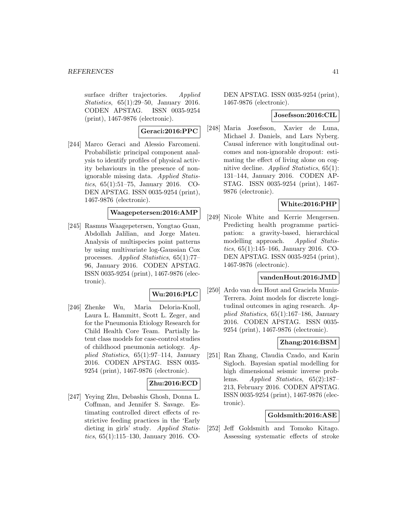surface drifter trajectories. Applied Statistics, 65(1):29–50, January 2016. CODEN APSTAG. ISSN 0035-9254 (print), 1467-9876 (electronic).

### **Geraci:2016:PPC**

[244] Marco Geraci and Alessio Farcomeni. Probabilistic principal component analysis to identify profiles of physical activity behaviours in the presence of nonignorable missing data. Applied Statistics, 65(1):51–75, January 2016. CO-DEN APSTAG. ISSN 0035-9254 (print), 1467-9876 (electronic).

### **Waagepetersen:2016:AMP**

[245] Rasmus Waagepetersen, Yongtao Guan, Abdollah Jalilian, and Jorge Mateu. Analysis of multispecies point patterns by using multivariate log-Gaussian Cox processes. Applied Statistics, 65(1):77– 96, January 2016. CODEN APSTAG. ISSN 0035-9254 (print), 1467-9876 (electronic).

### **Wu:2016:PLC**

[246] Zhenke Wu, Maria Deloria-Knoll, Laura L. Hammitt, Scott L. Zeger, and for the Pneumonia Etiology Research for Child Health Core Team. Partially latent class models for case-control studies of childhood pneumonia aetiology. Applied Statistics, 65(1):97–114, January 2016. CODEN APSTAG. ISSN 0035- 9254 (print), 1467-9876 (electronic).

### **Zhu:2016:ECD**

[247] Yeying Zhu, Debashis Ghosh, Donna L. Coffman, and Jennifer S. Savage. Estimating controlled direct effects of restrictive feeding practices in the 'Early dieting in girls' study. Applied Statistics, 65(1):115–130, January 2016. CO-

DEN APSTAG. ISSN 0035-9254 (print), 1467-9876 (electronic).

#### **Josefsson:2016:CIL**

[248] Maria Josefsson, Xavier de Luna, Michael J. Daniels, and Lars Nyberg. Causal inference with longitudinal outcomes and non-ignorable dropout: estimating the effect of living alone on cognitive decline. Applied Statistics, 65(1): 131–144, January 2016. CODEN AP-STAG. ISSN 0035-9254 (print), 1467- 9876 (electronic).

### **White:2016:PHP**

[249] Nicole White and Kerrie Mengersen. Predicting health programme participation: a gravity-based, hierarchical modelling approach. Applied Statistics, 65(1):145–166, January 2016. CO-DEN APSTAG. ISSN 0035-9254 (print), 1467-9876 (electronic).

#### **vandenHout:2016:JMD**

[250] Ardo van den Hout and Graciela Muniz-Terrera. Joint models for discrete longitudinal outcomes in aging research. Applied Statistics, 65(1):167–186, January 2016. CODEN APSTAG. ISSN 0035- 9254 (print), 1467-9876 (electronic).

### **Zhang:2016:BSM**

[251] Ran Zhang, Claudia Czado, and Karin Sigloch. Bayesian spatial modelling for high dimensional seismic inverse problems. Applied Statistics, 65(2):187– 213, February 2016. CODEN APSTAG. ISSN 0035-9254 (print), 1467-9876 (electronic).

### **Goldsmith:2016:ASE**

[252] Jeff Goldsmith and Tomoko Kitago. Assessing systematic effects of stroke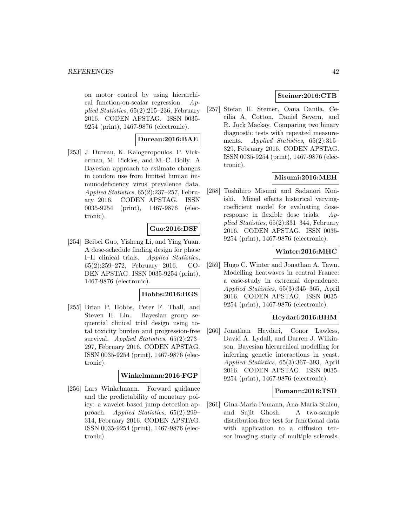on motor control by using hierarchical function-on-scalar regression.  $Ap$ plied Statistics, 65(2):215–236, February 2016. CODEN APSTAG. ISSN 0035- 9254 (print), 1467-9876 (electronic).

### **Dureau:2016:BAE**

[253] J. Dureau, K. Kalogeropoulos, P. Vickerman, M. Pickles, and M.-C. Boily. A Bayesian approach to estimate changes in condom use from limited human immunodeficiency virus prevalence data. Applied Statistics, 65(2):237–257, February 2016. CODEN APSTAG. ISSN 0035-9254 (print), 1467-9876 (electronic).

### **Guo:2016:DSF**

[254] Beibei Guo, Yisheng Li, and Ying Yuan. A dose-schedule finding design for phase I–II clinical trials. Applied Statistics, 65(2):259–272, February 2016. CO-DEN APSTAG. ISSN 0035-9254 (print), 1467-9876 (electronic).

#### **Hobbs:2016:BGS**

[255] Brian P. Hobbs, Peter F. Thall, and Steven H. Lin. Bayesian group sequential clinical trial design using total toxicity burden and progression-free survival. Applied Statistics, 65(2):273– 297, February 2016. CODEN APSTAG. ISSN 0035-9254 (print), 1467-9876 (electronic).

#### **Winkelmann:2016:FGP**

[256] Lars Winkelmann. Forward guidance and the predictability of monetary policy: a wavelet-based jump detection approach. Applied Statistics, 65(2):299– 314, February 2016. CODEN APSTAG. ISSN 0035-9254 (print), 1467-9876 (electronic).

### **Steiner:2016:CTB**

[257] Stefan H. Steiner, Oana Danila, Cecilia A. Cotton, Daniel Severn, and R. Jock Mackay. Comparing two binary diagnostic tests with repeated measurements. Applied Statistics,  $65(2):315-$ 329, February 2016. CODEN APSTAG. ISSN 0035-9254 (print), 1467-9876 (electronic).

### **Misumi:2016:MEH**

[258] Toshihiro Misumi and Sadanori Konishi. Mixed effects historical varyingcoefficient model for evaluating doseresponse in flexible dose trials. Applied Statistics, 65(2):331–344, February 2016. CODEN APSTAG. ISSN 0035- 9254 (print), 1467-9876 (electronic).

### **Winter:2016:MHC**

[259] Hugo C. Winter and Jonathan A. Tawn. Modelling heatwaves in central France: a case-study in extremal dependence. Applied Statistics, 65(3):345–365, April 2016. CODEN APSTAG. ISSN 0035- 9254 (print), 1467-9876 (electronic).

### **Heydari:2016:BHM**

[260] Jonathan Heydari, Conor Lawless, David A. Lydall, and Darren J. Wilkinson. Bayesian hierarchical modelling for inferring genetic interactions in yeast. Applied Statistics, 65(3):367–393, April 2016. CODEN APSTAG. ISSN 0035- 9254 (print), 1467-9876 (electronic).

### **Pomann:2016:TSD**

[261] Gina-Maria Pomann, Ana-Maria Staicu, and Sujit Ghosh. A two-sample distribution-free test for functional data with application to a diffusion tensor imaging study of multiple sclerosis.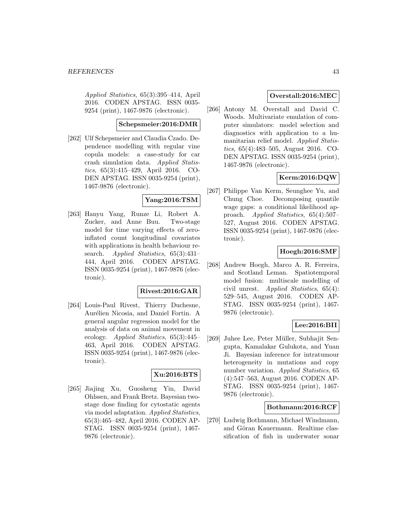Applied Statistics, 65(3):395–414, April 2016. CODEN APSTAG. ISSN 0035- 9254 (print), 1467-9876 (electronic).

#### **Schepsmeier:2016:DMR**

[262] Ulf Schepsmeier and Claudia Czado. Dependence modelling with regular vine copula models: a case-study for car crash simulation data. Applied Statistics, 65(3):415–429, April 2016. CO-DEN APSTAG. ISSN 0035-9254 (print), 1467-9876 (electronic).

### **Yang:2016:TSM**

[263] Hanyu Yang, Runze Li, Robert A. Zucker, and Anne Buu. Two-stage model for time varying effects of zeroinflated count longitudinal covariates with applications in health behaviour research. *Applied Statistics*, 65(3):431– 444, April 2016. CODEN APSTAG. ISSN 0035-9254 (print), 1467-9876 (electronic).

### **Rivest:2016:GAR**

[264] Louis-Paul Rivest, Thierry Duchesne, Aurélien Nicosia, and Daniel Fortin. A general angular regression model for the analysis of data on animal movement in ecology. Applied Statistics, 65(3):445– 463, April 2016. CODEN APSTAG. ISSN 0035-9254 (print), 1467-9876 (electronic).

### **Xu:2016:BTS**

[265] Jiajing Xu, Guosheng Yin, David Ohlssen, and Frank Bretz. Bayesian twostage dose finding for cytostatic agents via model adaptation. Applied Statistics, 65(3):465–482, April 2016. CODEN AP-STAG. ISSN 0035-9254 (print), 1467- 9876 (electronic).

### **Overstall:2016:MEC**

[266] Antony M. Overstall and David C. Woods. Multivariate emulation of computer simulators: model selection and diagnostics with application to a humanitarian relief model. Applied Statistics, 65(4):483–505, August 2016. CO-DEN APSTAG. ISSN 0035-9254 (print), 1467-9876 (electronic).

### **Kerm:2016:DQW**

[267] Philippe Van Kerm, Seunghee Yu, and Chung Choe. Decomposing quantile wage gaps: a conditional likelihood approach. Applied Statistics, 65(4):507– 527, August 2016. CODEN APSTAG. ISSN 0035-9254 (print), 1467-9876 (electronic).

### **Hoegh:2016:SMF**

[268] Andrew Hoegh, Marco A. R. Ferreira, and Scotland Leman. Spatiotemporal model fusion: multiscale modelling of civil unrest. Applied Statistics, 65(4): 529–545, August 2016. CODEN AP-STAG. ISSN 0035-9254 (print), 1467- 9876 (electronic).

### **Lee:2016:BII**

[269] Juhee Lee, Peter Müller, Subhajit Sengupta, Kamalakar Gulukota, and Yuan Ji. Bayesian inference for intratumour heterogeneity in mutations and copy number variation. Applied Statistics, 65 (4):547–563, August 2016. CODEN AP-STAG. ISSN 0035-9254 (print), 1467- 9876 (electronic).

#### **Bothmann:2016:RCF**

[270] Ludwig Bothmann, Michael Windmann, and Göran Kauermann. Realtime classification of fish in underwater sonar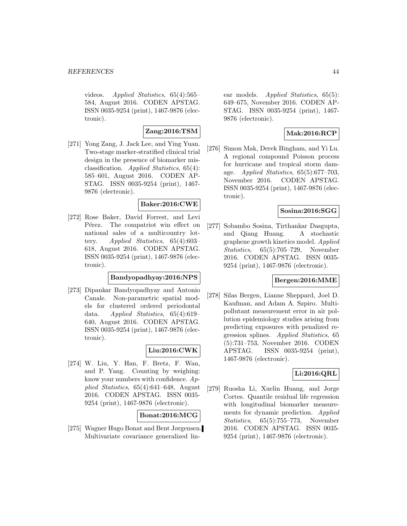videos. Applied Statistics, 65(4):565– 584, August 2016. CODEN APSTAG. ISSN 0035-9254 (print), 1467-9876 (electronic).

### **Zang:2016:TSM**

[271] Yong Zang, J. Jack Lee, and Ying Yuan. Two-stage marker-stratified clinical trial design in the presence of biomarker misclassification. Applied Statistics, 65(4): 585–601, August 2016. CODEN AP-STAG. ISSN 0035-9254 (print), 1467- 9876 (electronic).

### **Baker:2016:CWE**

[272] Rose Baker, David Forrest, and Levi Pérez. The compatriot win effect on national sales of a multicountry lottery. Applied Statistics, 65(4):603– 618, August 2016. CODEN APSTAG. ISSN 0035-9254 (print), 1467-9876 (electronic).

### **Bandyopadhyay:2016:NPS**

[273] Dipankar Bandyopadhyay and Antonio Canale. Non-parametric spatial models for clustered ordered periodontal data. Applied Statistics, 65(4):619– 640, August 2016. CODEN APSTAG. ISSN 0035-9254 (print), 1467-9876 (electronic).

### **Liu:2016:CWK**

[274] W. Liu, Y. Han, F. Bretz, F. Wan, and P. Yang. Counting by weighing: know your numbers with confidence.  $Ap$ plied Statistics, 65(4):641–648, August 2016. CODEN APSTAG. ISSN 0035- 9254 (print), 1467-9876 (electronic).

### **Bonat:2016:MCG**

[275] Wagner Hugo Bonat and Bent Jørgensen. Multivariate covariance generalized linear models. *Applied Statistics*, 65(5): 649–675, November 2016. CODEN AP-STAG. ISSN 0035-9254 (print), 1467- 9876 (electronic).

### **Mak:2016:RCP**

[276] Simon Mak, Derek Bingham, and Yi Lu. A regional compound Poisson process for hurricane and tropical storm damage. Applied Statistics, 65(5):677–703, November 2016. CODEN APSTAG. ISSN 0035-9254 (print), 1467-9876 (electronic).

### **Sosina:2016:SGG**

[277] Sobambo Sosina, Tirthankar Dasgupta, and Qiang Huang. A stochastic graphene growth kinetics model. Applied Statistics, 65(5):705–729, November 2016. CODEN APSTAG. ISSN 0035- 9254 (print), 1467-9876 (electronic).

### **Bergen:2016:MME**

[278] Silas Bergen, Lianne Sheppard, Joel D. Kaufman, and Adam A. Szpiro. Multipollutant measurement error in air pollution epidemiology studies arising from predicting exposures with penalized regression splines. Applied Statistics, 65 (5):731–753, November 2016. CODEN APSTAG. ISSN 0035-9254 (print), 1467-9876 (electronic).

### **Li:2016:QRL**

[279] Ruosha Li, Xuelin Huang, and Jorge Cortes. Quantile residual life regression with longitudinal biomarker measurements for dynamic prediction. Applied Statistics, 65(5):755–773, November 2016. CODEN APSTAG. ISSN 0035- 9254 (print), 1467-9876 (electronic).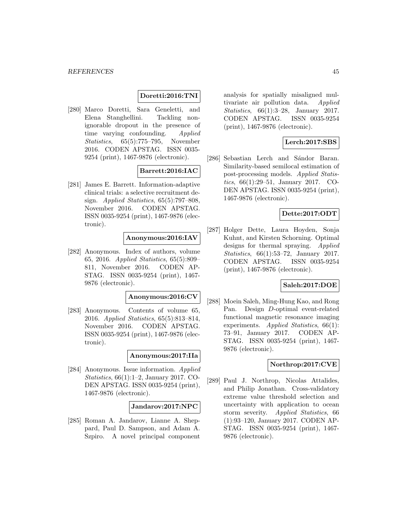### **Doretti:2016:TNI**

[280] Marco Doretti, Sara Geneletti, and Elena Stanghellini. Tackling nonignorable dropout in the presence of time varying confounding. Applied Statistics, 65(5):775–795, November 2016. CODEN APSTAG. ISSN 0035- 9254 (print), 1467-9876 (electronic).

### **Barrett:2016:IAC**

[281] James E. Barrett. Information-adaptive clinical trials: a selective recruitment design. Applied Statistics, 65(5):797–808, November 2016. CODEN APSTAG. ISSN 0035-9254 (print), 1467-9876 (electronic).

### **Anonymous:2016:IAV**

[282] Anonymous. Index of authors, volume 65, 2016. Applied Statistics, 65(5):809– 811, November 2016. CODEN AP-STAG. ISSN 0035-9254 (print), 1467- 9876 (electronic).

### **Anonymous:2016:CV**

[283] Anonymous. Contents of volume 65, 2016. Applied Statistics, 65(5):813–814, November 2016. CODEN APSTAG. ISSN 0035-9254 (print), 1467-9876 (electronic).

#### **Anonymous:2017:IIa**

[284] Anonymous. Issue information. Applied Statistics, 66(1):1–2, January 2017. CO-DEN APSTAG. ISSN 0035-9254 (print), 1467-9876 (electronic).

#### **Jandarov:2017:NPC**

[285] Roman A. Jandarov, Lianne A. Sheppard, Paul D. Sampson, and Adam A. Szpiro. A novel principal component analysis for spatially misaligned multivariate air pollution data. Applied Statistics, 66(1):3–28, January 2017. CODEN APSTAG. ISSN 0035-9254 (print), 1467-9876 (electronic).

### **Lerch:2017:SBS**

[286] Sebastian Lerch and Sándor Baran. Similarity-based semilocal estimation of post-processing models. Applied Statistics, 66(1):29–51, January 2017. CO-DEN APSTAG. ISSN 0035-9254 (print), 1467-9876 (electronic).

### **Dette:2017:ODT**

[287] Holger Dette, Laura Hoyden, Sonja Kuhnt, and Kirsten Schorning. Optimal designs for thermal spraying. Applied Statistics, 66(1):53–72, January 2017. CODEN APSTAG. ISSN 0035-9254 (print), 1467-9876 (electronic).

#### **Saleh:2017:DOE**

[288] Moein Saleh, Ming-Hung Kao, and Rong Pan. Design D-optimal event-related functional magnetic resonance imaging experiments. Applied Statistics, 66(1): 73–91, January 2017. CODEN AP-STAG. ISSN 0035-9254 (print), 1467- 9876 (electronic).

### **Northrop:2017:CVE**

[289] Paul J. Northrop, Nicolas Attalides, and Philip Jonathan. Cross-validatory extreme value threshold selection and uncertainty with application to ocean storm severity. Applied Statistics, 66 (1):93–120, January 2017. CODEN AP-STAG. ISSN 0035-9254 (print), 1467- 9876 (electronic).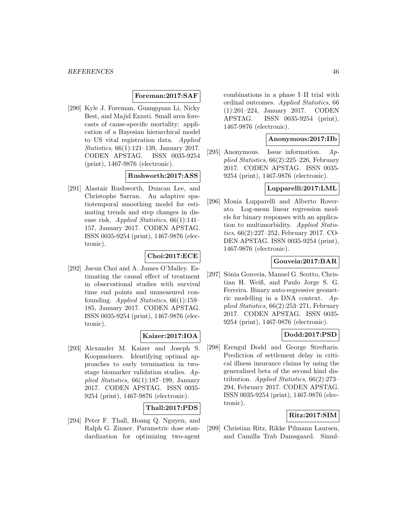### **Foreman:2017:SAF**

[290] Kyle J. Foreman, Guangquan Li, Nicky Best, and Majid Ezzati. Small area forecasts of cause-specific mortality: application of a Bayesian hierarchical model to US vital registration data. Applied Statistics, 66(1):121–139, January 2017. CODEN APSTAG. ISSN 0035-9254 (print), 1467-9876 (electronic).

### **Rushworth:2017:ASS**

[291] Alastair Rushworth, Duncan Lee, and Christophe Sarran. An adaptive spatiotemporal smoothing model for estimating trends and step changes in disease risk. Applied Statistics, 66(1):141– 157, January 2017. CODEN APSTAG. ISSN 0035-9254 (print), 1467-9876 (electronic).

### **Choi:2017:ECE**

[292] Jaeun Choi and A. James O'Malley. Estimating the causal effect of treatment in observational studies with survival time end points and unmeasured confounding. Applied Statistics, 66(1):159– 185, January 2017. CODEN APSTAG. ISSN 0035-9254 (print), 1467-9876 (electronic).

### **Kaizer:2017:IOA**

[293] Alexander M. Kaizer and Joseph S. Koopmeiners. Identifying optimal approaches to early termination in twostage biomarker validation studies. Applied Statistics, 66(1):187–199, January 2017. CODEN APSTAG. ISSN 0035- 9254 (print), 1467-9876 (electronic).

### **Thall:2017:PDS**

[294] Peter F. Thall, Hoang Q. Nguyen, and Ralph G. Zinner. Parametric dose standardization for optimizing two-agent combinations in a phase I–II trial with ordinal outcomes. Applied Statistics, 66 (1):201–224, January 2017. CODEN APSTAG. ISSN 0035-9254 (print), 1467-9876 (electronic).

#### **Anonymous:2017:IIb**

[295] Anonymous. Issue information. Applied Statistics, 66(2):225–226, February 2017. CODEN APSTAG. ISSN 0035- 9254 (print), 1467-9876 (electronic).

### **Lupparelli:2017:LML**

[296] Monia Lupparelli and Alberto Roverato. Log-mean linear regression models for binary responses with an application to multimorbidity. Applied Statistics, 66(2):227–252, February 2017. CO-DEN APSTAG. ISSN 0035-9254 (print), 1467-9876 (electronic).

### **Gouveia:2017:BAR**

[297] Sónia Gouveia, Manuel G. Scotto, Christian H. Weiß, and Paulo Jorge S. G. Ferreira. Binary auto-regressive geometric modelling in a DNA context. Applied Statistics, 66(2):253–271, February 2017. CODEN APSTAG. ISSN 0035- 9254 (print), 1467-9876 (electronic).

### **Dodd:2017:PSD**

[298] Erengul Dodd and George Streftaris. Prediction of settlement delay in critical illness insurance claims by using the generalized beta of the second kind distribution. Applied Statistics, 66(2):273– 294, February 2017. CODEN APSTAG. ISSN 0035-9254 (print), 1467-9876 (electronic).

### **Ritz:2017:SIM**

[299] Christian Ritz, Rikke Pilmann Laursen, and Camilla Trab Damsgaard. Simul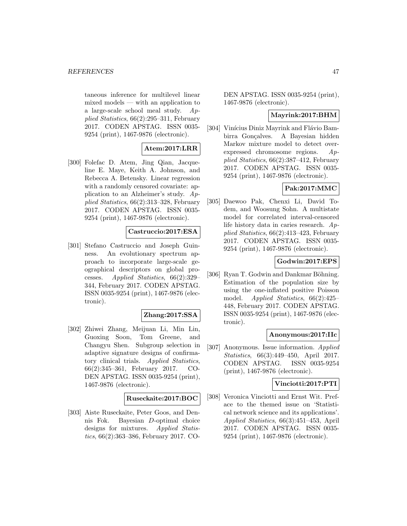taneous inference for multilevel linear mixed models — with an application to a large-scale school meal study. Applied Statistics, 66(2):295–311, February 2017. CODEN APSTAG. ISSN 0035- 9254 (print), 1467-9876 (electronic).

### **Atem:2017:LRR**

[300] Folefac D. Atem, Jing Qian, Jacqueline E. Maye, Keith A. Johnson, and Rebecca A. Betensky. Linear regression with a randomly censored covariate: application to an Alzheimer's study. Applied Statistics, 66(2):313–328, February 2017. CODEN APSTAG. ISSN 0035- 9254 (print), 1467-9876 (electronic).

### **Castruccio:2017:ESA**

[301] Stefano Castruccio and Joseph Guinness. An evolutionary spectrum approach to incorporate large-scale geographical descriptors on global processes. Applied Statistics, 66(2):329– 344, February 2017. CODEN APSTAG. ISSN 0035-9254 (print), 1467-9876 (electronic).

### **Zhang:2017:SSA**

[302] Zhiwei Zhang, Meijuan Li, Min Lin, Guoxing Soon, Tom Greene, and Changyu Shen. Subgroup selection in adaptive signature designs of confirmatory clinical trials. Applied Statistics, 66(2):345–361, February 2017. CO-DEN APSTAG. ISSN 0035-9254 (print), 1467-9876 (electronic).

### **Ruseckaite:2017:BOC**

[303] Aiste Ruseckaite, Peter Goos, and Dennis Fok. Bayesian D-optimal choice designs for mixtures. Applied Statistics, 66(2):363–386, February 2017. CO-

DEN APSTAG. ISSN 0035-9254 (print), 1467-9876 (electronic).

#### **Mayrink:2017:BHM**

[304] Vinícius Diniz Mayrink and Flávio Bambirra Gonçalves. A Bayesian hidden Markov mixture model to detect overexpressed chromosome regions. Applied Statistics, 66(2):387–412, February 2017. CODEN APSTAG. ISSN 0035- 9254 (print), 1467-9876 (electronic).

### **Pak:2017:MMC**

[305] Daewoo Pak, Chenxi Li, David Todem, and Woosung Sohn. A multistate model for correlated interval-censored life history data in caries research. Applied Statistics, 66(2):413–423, February 2017. CODEN APSTAG. ISSN 0035- 9254 (print), 1467-9876 (electronic).

### **Godwin:2017:EPS**

[306] Ryan T. Godwin and Dankmar Böhning. Estimation of the population size by using the one-inflated positive Poisson model. Applied Statistics, 66(2):425– 448, February 2017. CODEN APSTAG. ISSN 0035-9254 (print), 1467-9876 (electronic).

### **Anonymous:2017:IIc**

[307] Anonymous. Issue information. Applied Statistics, 66(3):449–450, April 2017. CODEN APSTAG. ISSN 0035-9254 (print), 1467-9876 (electronic).

### **Vinciotti:2017:PTI**

[308] Veronica Vinciotti and Ernst Wit. Preface to the themed issue on 'Statistical network science and its applications'. Applied Statistics, 66(3):451–453, April 2017. CODEN APSTAG. ISSN 0035- 9254 (print), 1467-9876 (electronic).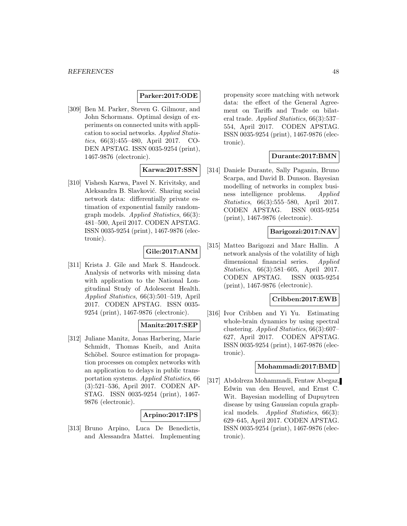### **Parker:2017:ODE**

[309] Ben M. Parker, Steven G. Gilmour, and John Schormans. Optimal design of experiments on connected units with application to social networks. Applied Statistics, 66(3):455–480, April 2017. CO-DEN APSTAG. ISSN 0035-9254 (print), 1467-9876 (electronic).

### **Karwa:2017:SSN**

[310] Vishesh Karwa, Pavel N. Krivitsky, and Aleksandra B. Slavković. Sharing social network data: differentially private estimation of exponential family randomgraph models. Applied Statistics, 66(3): 481–500, April 2017. CODEN APSTAG. ISSN 0035-9254 (print), 1467-9876 (electronic).

### **Gile:2017:ANM**

[311] Krista J. Gile and Mark S. Handcock. Analysis of networks with missing data with application to the National Longitudinal Study of Adolescent Health. Applied Statistics, 66(3):501–519, April 2017. CODEN APSTAG. ISSN 0035- 9254 (print), 1467-9876 (electronic).

### **Manitz:2017:SEP**

[312] Juliane Manitz, Jonas Harbering, Marie Schmidt, Thomas Kneib, and Anita Schöbel. Source estimation for propagation processes on complex networks with an application to delays in public transportation systems. Applied Statistics, 66 (3):521–536, April 2017. CODEN AP-STAG. ISSN 0035-9254 (print), 1467- 9876 (electronic).

### **Arpino:2017:IPS**

[313] Bruno Arpino, Luca De Benedictis, and Alessandra Mattei. Implementing propensity score matching with network data: the effect of the General Agreement on Tariffs and Trade on bilateral trade. Applied Statistics, 66(3):537– 554, April 2017. CODEN APSTAG. ISSN 0035-9254 (print), 1467-9876 (electronic).

### **Durante:2017:BMN**

[314] Daniele Durante, Sally Paganin, Bruno Scarpa, and David B. Dunson. Bayesian modelling of networks in complex business intelligence problems. Applied Statistics, 66(3):555–580, April 2017. CODEN APSTAG. ISSN 0035-9254 (print), 1467-9876 (electronic).

### **Barigozzi:2017:NAV**

[315] Matteo Barigozzi and Marc Hallin. A network analysis of the volatility of high dimensional financial series. Applied Statistics, 66(3):581–605, April 2017. CODEN APSTAG. ISSN 0035-9254 (print), 1467-9876 (electronic).

#### **Cribben:2017:EWB**

[316] Ivor Cribben and Yi Yu. Estimating whole-brain dynamics by using spectral clustering. Applied Statistics, 66(3):607– 627, April 2017. CODEN APSTAG. ISSN 0035-9254 (print), 1467-9876 (electronic).

### **Mohammadi:2017:BMD**

[317] Abdolreza Mohammadi, Fentaw Abegaz, Edwin van den Heuvel, and Ernst C. Wit. Bayesian modelling of Dupuytren disease by using Gaussian copula graphical models. Applied Statistics, 66(3): 629–645, April 2017. CODEN APSTAG. ISSN 0035-9254 (print), 1467-9876 (electronic).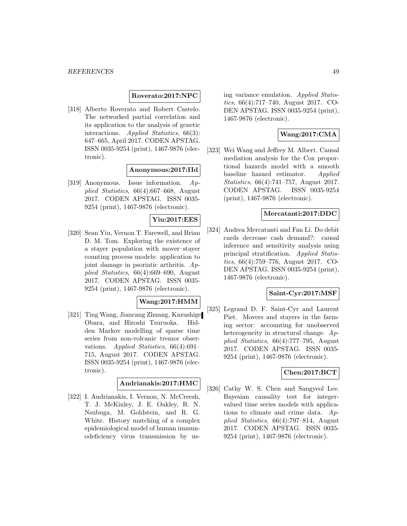#### **Roverato:2017:NPC**

[318] Alberto Roverato and Robert Castelo. The networked partial correlation and its application to the analysis of genetic interactions. Applied Statistics, 66(3): 647–665, April 2017. CODEN APSTAG. ISSN 0035-9254 (print), 1467-9876 (electronic).

#### **Anonymous:2017:IId**

[319] Anonymous. Issue information. Applied Statistics, 66(4):667–668, August 2017. CODEN APSTAG. ISSN 0035- 9254 (print), 1467-9876 (electronic).

### **Yiu:2017:EES**

[320] Sean Yiu, Vernon T. Farewell, and Brian D. M. Tom. Exploring the existence of a stayer population with mover–stayer counting process models: application to joint damage in psoriatic arthritis. Applied Statistics, 66(4):669–690, August 2017. CODEN APSTAG. ISSN 0035- 9254 (print), 1467-9876 (electronic).

#### **Wang:2017:HMM**

[321] Ting Wang, Jiancang Zhuang, Kazushige Obara, and Hiroshi Tsuruoka. Hidden Markov modelling of sparse time series from non-volcanic tremor observations. Applied Statistics, 66(4):691– 715, August 2017. CODEN APSTAG. ISSN 0035-9254 (print), 1467-9876 (electronic).

### **Andrianakis:2017:HMC**

[322] I. Andrianakis, I. Vernon, N. McCreesh, T. J. McKinley, J. E. Oakley, R. N. Nsubuga, M. Goldstein, and R. G. White. History matching of a complex epidemiological model of human immunodeficiency virus transmission by using variance emulation. Applied Statistics, 66(4):717–740, August 2017. CO-DEN APSTAG. ISSN 0035-9254 (print), 1467-9876 (electronic).

### **Wang:2017:CMA**

[323] Wei Wang and Jeffrey M. Albert. Causal mediation analysis for the Cox proportional hazards model with a smooth baseline hazard estimator. Applied Statistics, 66(4):741–757, August 2017. CODEN APSTAG. ISSN 0035-9254 (print), 1467-9876 (electronic).

### **Mercatanti:2017:DDC**

[324] Andrea Mercatanti and Fan Li. Do debit cards decrease cash demand?: causal inference and sensitivity analysis using principal stratification. Applied Statistics, 66(4):759–776, August 2017. CO-DEN APSTAG. ISSN 0035-9254 (print), 1467-9876 (electronic).

#### **Saint-Cyr:2017:MSF**

[325] Legrand D. F. Saint-Cyr and Laurent Piet. Movers and stayers in the farming sector: accounting for unobserved heterogeneity in structural change. Applied Statistics, 66(4):777–795, August 2017. CODEN APSTAG. ISSN 0035- 9254 (print), 1467-9876 (electronic).

### **Chen:2017:BCT**

[326] Cathy W. S. Chen and Sangyeol Lee. Bayesian causality test for integervalued time series models with applications to climate and crime data. Applied Statistics, 66(4):797–814, August 2017. CODEN APSTAG. ISSN 0035- 9254 (print), 1467-9876 (electronic).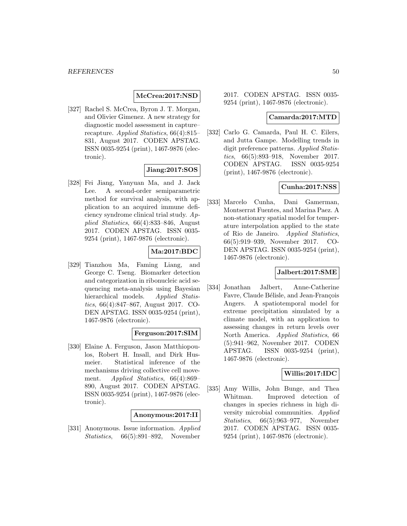### **McCrea:2017:NSD**

[327] Rachel S. McCrea, Byron J. T. Morgan, and Olivier Gimenez. A new strategy for diagnostic model assessment in capture– recapture. Applied Statistics, 66(4):815– 831, August 2017. CODEN APSTAG. ISSN 0035-9254 (print), 1467-9876 (electronic).

### **Jiang:2017:SOS**

[328] Fei Jiang, Yanyuan Ma, and J. Jack Lee. A second-order semiparametric method for survival analysis, with application to an acquired immune deficiency syndrome clinical trial study. Applied Statistics, 66(4):833–846, August 2017. CODEN APSTAG. ISSN 0035- 9254 (print), 1467-9876 (electronic).

### **Ma:2017:BDC**

[329] Tianzhou Ma, Faming Liang, and George C. Tseng. Biomarker detection and categorization in ribonucleic acid sequencing meta-analysis using Bayesian hierarchical models. Applied Statistics, 66(4):847–867, August 2017. CO-DEN APSTAG. ISSN 0035-9254 (print), 1467-9876 (electronic).

### **Ferguson:2017:SIM**

[330] Elaine A. Ferguson, Jason Matthiopoulos, Robert H. Insall, and Dirk Husmeier. Statistical inference of the mechanisms driving collective cell movement. Applied Statistics, 66(4):869– 890, August 2017. CODEN APSTAG. ISSN 0035-9254 (print), 1467-9876 (electronic).

#### **Anonymous:2017:II**

[331] Anonymous. Issue information. Applied Statistics, 66(5):891–892, November

2017. CODEN APSTAG. ISSN 0035- 9254 (print), 1467-9876 (electronic).

#### **Camarda:2017:MTD**

[332] Carlo G. Camarda, Paul H. C. Eilers, and Jutta Gampe. Modelling trends in digit preference patterns. Applied Statistics, 66(5):893–918, November 2017. CODEN APSTAG. ISSN 0035-9254 (print), 1467-9876 (electronic).

### **Cunha:2017:NSS**

[333] Marcelo Cunha, Dani Gamerman, Montserrat Fuentes, and Marina Paez. A non-stationary spatial model for temperature interpolation applied to the state of Rio de Janeiro. Applied Statistics, 66(5):919–939, November 2017. CO-DEN APSTAG. ISSN 0035-9254 (print), 1467-9876 (electronic).

### **Jalbert:2017:SME**

[334] Jonathan Jalbert, Anne-Catherine Favre, Claude Bélisle, and Jean-François Angers. A spatiotemporal model for extreme precipitation simulated by a climate model, with an application to assessing changes in return levels over North America. Applied Statistics, 66 (5):941–962, November 2017. CODEN APSTAG. ISSN 0035-9254 (print), 1467-9876 (electronic).

#### **Willis:2017:IDC**

[335] Amy Willis, John Bunge, and Thea Whitman. Improved detection of changes in species richness in high diversity microbial communities. Applied Statistics, 66(5):963–977, November 2017. CODEN APSTAG. ISSN 0035- 9254 (print), 1467-9876 (electronic).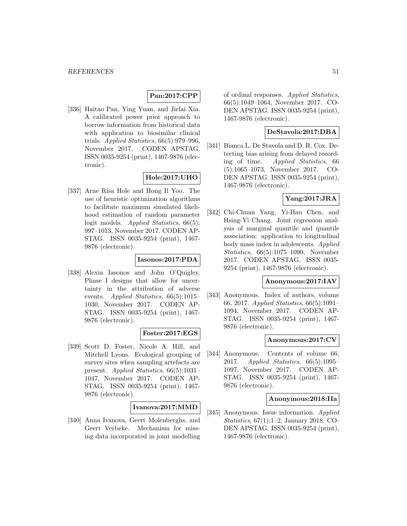### **Pan:2017:CPP**

[336] Haitao Pan, Ying Yuan, and Jielai Xia. A calibrated power prior approach to borrow information from historical data with application to biosimilar clinical trials. Applied Statistics, 66(5):979–996, November 2017. CODEN APSTAG. ISSN 0035-9254 (print), 1467-9876 (electronic).

### **Hole:2017:UHO**

[337] Arne Risa Hole and Hong Il Yoo. The use of heuristic optimization algorithms to facilitate maximum simulated likelihood estimation of random parameter logit models. Applied Statistics, 66(5): 997–1013, November 2017. CODEN AP-STAG. ISSN 0035-9254 (print), 1467- 9876 (electronic).

### **Iasonos:2017:PDA**

[338] Alexia Iasonos and John O'Quigley. Phase I designs that allow for uncertainty in the attribution of adverse events. Applied Statistics, 66(5):1015– 1030, November 2017. CODEN AP-STAG. ISSN 0035-9254 (print), 1467- 9876 (electronic).

### **Foster:2017:EGS**

[339] Scott D. Foster, Nicole A. Hill, and Mitchell Lyons. Ecological grouping of survey sites when sampling artefacts are present. Applied Statistics, 66(5):1031– 1047, November 2017. CODEN AP-STAG. ISSN 0035-9254 (print), 1467- 9876 (electronic).

### **Ivanova:2017:MMD**

[340] Anna Ivanova, Geert Molenberghs, and Geert Verbeke. Mechanism for missing data incorporated in joint modelling of ordinal responses. Applied Statistics, 66(5):1049–1064, November 2017. CO-DEN APSTAG. ISSN 0035-9254 (print), 1467-9876 (electronic).

### **DeStavola:2017:DBA**

[341] Bianca L. De Stavola and D. R. Cox. Detecting bias arising from delayed recording of time. Applied Statistics, 66 (5):1065–1073, November 2017. CO-DEN APSTAG. ISSN 0035-9254 (print), 1467-9876 (electronic).

### **Yang:2017:JRA**

[342] Chi-Chuan Yang, Yi-Hau Chen, and Hsing-Yi Chang. Joint regression analysis of marginal quantile and quantile association: application to longitudinal body mass index in adolescents. Applied Statistics, 66(5):1075–1090, November 2017. CODEN APSTAG. ISSN 0035- 9254 (print), 1467-9876 (electronic).

### **Anonymous:2017:IAV**

[343] Anonymous. Index of authors, volume 66, 2017. Applied Statistics, 66(5):1091– 1094, November 2017. CODEN AP-STAG. ISSN 0035-9254 (print), 1467- 9876 (electronic).

### **Anonymous:2017:CV**

[344] Anonymous. Contents of volume 66, 2017. Applied Statistics, 66(5):1095– 1097, November 2017. CODEN AP-STAG. ISSN 0035-9254 (print), 1467- 9876 (electronic).

#### **Anonymous:2018:IIa**

[345] Anonymous. Issue information. Applied Statistics, 67(1):1–2, January 2018. CO-DEN APSTAG. ISSN 0035-9254 (print), 1467-9876 (electronic).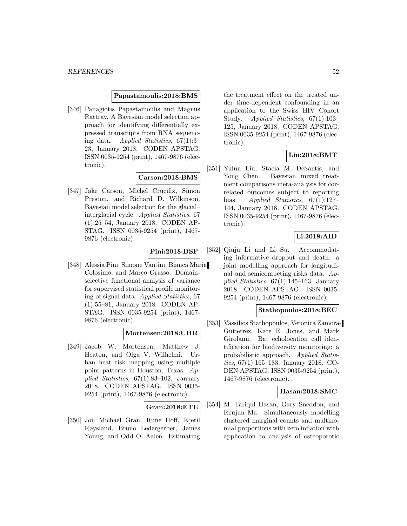#### **Papastamoulis:2018:BMS**

[346] Panagiotis Papastamoulis and Magnus Rattray. A Bayesian model selection approach for identifying differentially expressed transcripts from RNA sequencing data. Applied Statistics, 67(1):3– 23, January 2018. CODEN APSTAG. ISSN 0035-9254 (print), 1467-9876 (electronic).

### **Carson:2018:BMS**

[347] Jake Carson, Michel Crucifix, Simon Preston, and Richard D. Wilkinson. Bayesian model selection for the glacial– interglacial cycle. Applied Statistics, 67 (1):25–54, January 2018. CODEN AP-STAG. ISSN 0035-9254 (print), 1467- 9876 (electronic).

### **Pini:2018:DSF**

[348] Alessia Pini, Simone Vantini, Bianca Maria Colosimo, and Marco Grasso. Domainselective functional analysis of variance for supervised statistical profile monitoring of signal data. Applied Statistics, 67 (1):55–81, January 2018. CODEN AP-STAG. ISSN 0035-9254 (print), 1467- 9876 (electronic).

#### **Mortensen:2018:UHR**

[349] Jacob W. Mortensen, Matthew J. Heaton, and Olga V. Wilhelmi. Urban heat risk mapping using multiple point patterns in Houston, Texas. Applied Statistics, 67(1):83–102, January 2018. CODEN APSTAG. ISSN 0035- 9254 (print), 1467-9876 (electronic).

#### **Gran:2018:ETE**

[350] Jon Michael Gran, Rune Hoff, Kjetil Røysland, Bruno Ledergerber, James Young, and Odd O. Aalen. Estimating

the treatment effect on the treated under time-dependent confounding in an application to the Swiss HIV Cohort Study. Applied Statistics, 67(1):103– 125, January 2018. CODEN APSTAG. ISSN 0035-9254 (print), 1467-9876 (electronic).

### **Liu:2018:BMT**

[351] Yulun Liu, Stacia M. DeSantis, and Yong Chen. Bayesian mixed treatment comparisons meta-analysis for correlated outcomes subject to reporting bias. Applied Statistics,  $67(1):127-$ 144, January 2018. CODEN APSTAG. ISSN 0035-9254 (print), 1467-9876 (electronic).

### **Li:2018:AID**

[352] Qiuju Li and Li Su. Accommodating informative dropout and death: a joint modelling approach for longitudinal and semicompeting risks data. Applied Statistics,  $67(1):145-163$ , January 2018. CODEN APSTAG. ISSN 0035- 9254 (print), 1467-9876 (electronic).

### **Stathopoulos:2018:BEC**

[353] Vassilios Stathopoulos, Veronica Zamora-Gutierrez, Kate E. Jones, and Mark Girolami. Bat echolocation call identification for biodiversity monitoring: a probabilistic approach. Applied Statistics, 67(1):165–183, January 2018. CO-DEN APSTAG. ISSN 0035-9254 (print), 1467-9876 (electronic).

### **Hasan:2018:SMC**

[354] M. Tariqul Hasan, Gary Sneddon, and Renjun Ma. Simultaneously modelling clustered marginal counts and multinomial proportions with zero inflation with application to analysis of osteoporotic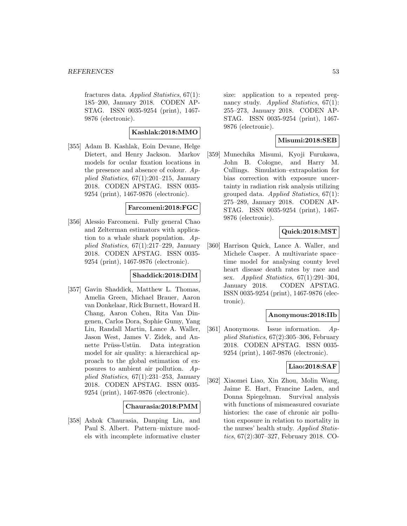fractures data. Applied Statistics, 67(1): 185–200, January 2018. CODEN AP-STAG. ISSN 0035-9254 (print), 1467- 9876 (electronic).

### **Kashlak:2018:MMO**

[355] Adam B. Kashlak, Eoin Devane, Helge Dietert, and Henry Jackson. Markov models for ocular fixation locations in the presence and absence of colour. Applied Statistics,  $67(1):201-215$ , January 2018. CODEN APSTAG. ISSN 0035- 9254 (print), 1467-9876 (electronic).

### **Farcomeni:2018:FGC**

[356] Alessio Farcomeni. Fully general Chao and Zelterman estimators with application to a whale shark population.  $Ap$ plied Statistics, 67(1):217–229, January 2018. CODEN APSTAG. ISSN 0035- 9254 (print), 1467-9876 (electronic).

### **Shaddick:2018:DIM**

[357] Gavin Shaddick, Matthew L. Thomas, Amelia Green, Michael Brauer, Aaron van Donkelaar, Rick Burnett, Howard H. Chang, Aaron Cohen, Rita Van Dingenen, Carlos Dora, Sophie Gumy, Yang Liu, Randall Martin, Lance A. Waller, Jason West, James V. Zidek, and Annette Prüss-Ustün. Data integration model for air quality: a hierarchical approach to the global estimation of exposures to ambient air pollution. Applied Statistics, 67(1):231–253, January 2018. CODEN APSTAG. ISSN 0035- 9254 (print), 1467-9876 (electronic).

#### **Chaurasia:2018:PMM**

[358] Ashok Chaurasia, Danping Liu, and Paul S. Albert. Pattern–mixture models with incomplete informative cluster size: application to a repeated pregnancy study. Applied Statistics,  $67(1)$ : 255–273, January 2018. CODEN AP-STAG. ISSN 0035-9254 (print), 1467- 9876 (electronic).

### **Misumi:2018:SEB**

[359] Munechika Misumi, Kyoji Furukawa, John B. Cologne, and Harry M. Cullings. Simulation–extrapolation for bias correction with exposure uncertainty in radiation risk analysis utilizing grouped data. Applied Statistics, 67(1): 275–289, January 2018. CODEN AP-STAG. ISSN 0035-9254 (print), 1467- 9876 (electronic).

### **Quick:2018:MST**

[360] Harrison Quick, Lance A. Waller, and Michele Casper. A multivariate space– time model for analysing county level heart disease death rates by race and sex. Applied Statistics,  $67(1):291-304$ , January 2018. CODEN APSTAG. ISSN 0035-9254 (print), 1467-9876 (electronic).

#### **Anonymous:2018:IIb**

[361] Anonymous. Issue information. Applied Statistics, 67(2):305–306, February 2018. CODEN APSTAG. ISSN 0035- 9254 (print), 1467-9876 (electronic).

#### **Liao:2018:SAF**

[362] Xiaomei Liao, Xin Zhou, Molin Wang, Jaime E. Hart, Francine Laden, and Donna Spiegelman. Survival analysis with functions of mismeasured covariate histories: the case of chronic air pollution exposure in relation to mortality in the nurses' health study. Applied Statistics, 67(2):307–327, February 2018. CO-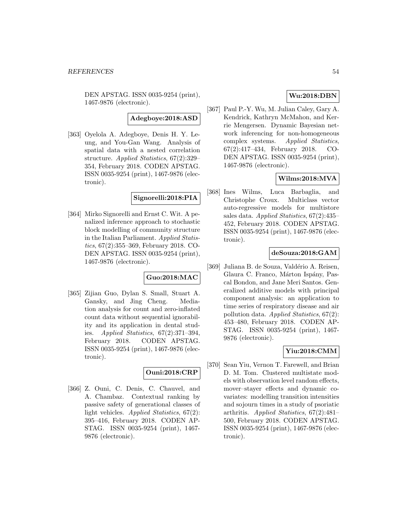DEN APSTAG. ISSN 0035-9254 (print), 1467-9876 (electronic).

**Adegboye:2018:ASD**

[363] Oyelola A. Adegboye, Denis H. Y. Leung, and You-Gan Wang. Analysis of spatial data with a nested correlation structure. Applied Statistics, 67(2):329– 354, February 2018. CODEN APSTAG. ISSN 0035-9254 (print), 1467-9876 (electronic).

### **Signorelli:2018:PIA**

[364] Mirko Signorelli and Ernst C. Wit. A penalized inference approach to stochastic block modelling of community structure in the Italian Parliament. Applied Statistics, 67(2):355–369, February 2018. CO-DEN APSTAG. ISSN 0035-9254 (print), 1467-9876 (electronic).

### **Guo:2018:MAC**

[365] Zijian Guo, Dylan S. Small, Stuart A. Gansky, and Jing Cheng. Mediation analysis for count and zero-inflated count data without sequential ignorability and its application in dental studies. Applied Statistics, 67(2):371–394, February 2018. CODEN APSTAG. ISSN 0035-9254 (print), 1467-9876 (electronic).

### **Ouni:2018:CRP**

[366] Z. Ouni, C. Denis, C. Chauvel, and A. Chambaz. Contextual ranking by passive safety of generational classes of light vehicles. Applied Statistics, 67(2): 395–416, February 2018. CODEN AP-STAG. ISSN 0035-9254 (print), 1467- 9876 (electronic).

### **Wu:2018:DBN**

[367] Paul P.-Y. Wu, M. Julian Caley, Gary A. Kendrick, Kathryn McMahon, and Kerrie Mengersen. Dynamic Bayesian network inferencing for non-homogeneous complex systems. Applied Statistics, 67(2):417–434, February 2018. CO-DEN APSTAG. ISSN 0035-9254 (print), 1467-9876 (electronic).

### **Wilms:2018:MVA**

[368] Ines Wilms, Luca Barbaglia, and Christophe Croux. Multiclass vector auto-regressive models for multistore sales data. Applied Statistics, 67(2):435– 452, February 2018. CODEN APSTAG. ISSN 0035-9254 (print), 1467-9876 (electronic).

### **deSouza:2018:GAM**

[369] Juliana B. de Souza, Valdério A. Reisen, Glaura C. Franco, Márton Ispány, Pascal Bondon, and Jane Meri Santos. Generalized additive models with principal component analysis: an application to time series of respiratory disease and air pollution data. Applied Statistics, 67(2): 453–480, February 2018. CODEN AP-STAG. ISSN 0035-9254 (print), 1467- 9876 (electronic).

### **Yiu:2018:CMM**

[370] Sean Yiu, Vernon T. Farewell, and Brian D. M. Tom. Clustered multistate models with observation level random effects, mover–stayer effects and dynamic covariates: modelling transition intensities and sojourn times in a study of psoriatic arthritis. Applied Statistics, 67(2):481– 500, February 2018. CODEN APSTAG. ISSN 0035-9254 (print), 1467-9876 (electronic).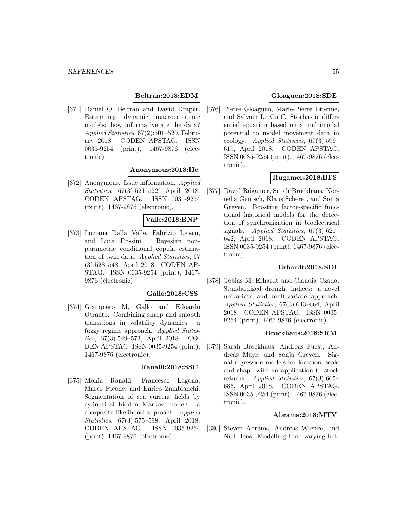### **Beltran:2018:EDM**

[371] Daniel O. Beltran and David Draper. Estimating dynamic macroeconomic models: how informative are the data? Applied Statistics, 67(2):501–520, February 2018. CODEN APSTAG. ISSN 0035-9254 (print), 1467-9876 (electronic).

#### **Anonymous:2018:IIc**

[372] Anonymous. Issue information. Applied Statistics, 67(3):521–522, April 2018. CODEN APSTAG. ISSN 0035-9254 (print), 1467-9876 (electronic).

#### **Valle:2018:BNP**

[373] Luciana Dalla Valle, Fabrizio Leisen, and Luca Rossini. Bayesian nonparametric conditional copula estimation of twin data. Applied Statistics, 67 (3):523–548, April 2018. CODEN AP-STAG. ISSN 0035-9254 (print), 1467- 9876 (electronic).

#### **Gallo:2018:CSS**

[374] Giampiero M. Gallo and Edoardo Otranto. Combining sharp and smooth transitions in volatility dynamics: a fuzzy regime approach. Applied Statistics, 67(3):549–573, April 2018. CO-DEN APSTAG. ISSN 0035-9254 (print), 1467-9876 (electronic).

### **Ranalli:2018:SSC**

[375] Monia Ranalli, Francesco Lagona, Marco Picone, and Enrico Zambianchi. Segmentation of sea current fields by cylindrical hidden Markov models: a composite likelihood approach. Applied Statistics, 67(3):575–598, April 2018. CODEN APSTAG. ISSN 0035-9254 (print), 1467-9876 (electronic).

### **Gloaguen:2018:SDE**

[376] Pierre Gloaguen, Marie-Pierre Etienne, and Sylvain Le Corff. Stochastic differential equation based on a multimodal potential to model movement data in ecology. Applied Statistics, 67(3):599– 619, April 2018. CODEN APSTAG. ISSN 0035-9254 (print), 1467-9876 (electronic).

### **Rugamer:2018:BFS**

[377] David Rügamer, Sarah Brockhaus, Kornelia Gentsch, Klaus Scherer, and Sonja Greven. Boosting factor-specific functional historical models for the detection of synchronization in bioelectrical signals. Applied Statistics, 67(3):621– 642, April 2018. CODEN APSTAG. ISSN 0035-9254 (print), 1467-9876 (electronic).

### **Erhardt:2018:SDI**

[378] Tobias M. Erhardt and Claudia Czado. Standardized drought indices: a novel univariate and multivariate approach. Applied Statistics, 67(3):643–664, April 2018. CODEN APSTAG. ISSN 0035- 9254 (print), 1467-9876 (electronic).

#### **Brockhaus:2018:SRM**

[379] Sarah Brockhaus, Andreas Fuest, Andreas Mayr, and Sonja Greven. Signal regression models for location, scale and shape with an application to stock returns. Applied Statistics, 67(3):665– 686, April 2018. CODEN APSTAG. ISSN 0035-9254 (print), 1467-9876 (electronic).

#### **Abrams:2018:MTV**

[380] Steven Abrams, Andreas Wienke, and Niel Hens. Modelling time varying het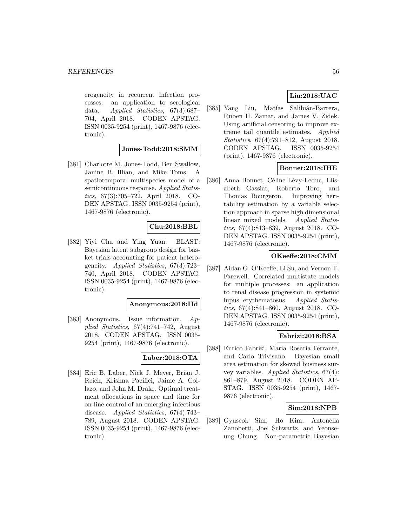erogeneity in recurrent infection processes: an application to serological data. Applied Statistics, 67(3):687– 704, April 2018. CODEN APSTAG. ISSN 0035-9254 (print), 1467-9876 (electronic).

### **Jones-Todd:2018:SMM**

[381] Charlotte M. Jones-Todd, Ben Swallow, Janine B. Illian, and Mike Toms. A spatiotemporal multispecies model of a semicontinuous response. Applied Statistics, 67(3):705–722, April 2018. CO-DEN APSTAG. ISSN 0035-9254 (print), 1467-9876 (electronic).

### **Chu:2018:BBL**

[382] Yiyi Chu and Ying Yuan. BLAST: Bayesian latent subgroup design for basket trials accounting for patient heterogeneity. Applied Statistics, 67(3):723– 740, April 2018. CODEN APSTAG. ISSN 0035-9254 (print), 1467-9876 (electronic).

#### **Anonymous:2018:IId**

[383] Anonymous. Issue information. Applied Statistics, 67(4):741–742, August 2018. CODEN APSTAG. ISSN 0035- 9254 (print), 1467-9876 (electronic).

### **Laber:2018:OTA**

[384] Eric B. Laber, Nick J. Meyer, Brian J. Reich, Krishna Pacifici, Jaime A. Collazo, and John M. Drake. Optimal treatment allocations in space and time for on-line control of an emerging infectious disease. Applied Statistics, 67(4):743– 789, August 2018. CODEN APSTAG. ISSN 0035-9254 (print), 1467-9876 (electronic).

### **Liu:2018:UAC**

[385] Yang Liu, Matías Salibián-Barrera, Ruben H. Zamar, and James V. Zidek. Using artificial censoring to improve extreme tail quantile estimates. Applied Statistics, 67(4):791–812, August 2018. CODEN APSTAG. ISSN 0035-9254 (print), 1467-9876 (electronic).

### **Bonnet:2018:IHE**

[386] Anna Bonnet, Céline Lévy-Leduc, Elisabeth Gassiat, Roberto Toro, and Thomas Bourgeron. Improving heritability estimation by a variable selection approach in sparse high dimensional linear mixed models. Applied Statistics, 67(4):813–839, August 2018. CO-DEN APSTAG. ISSN 0035-9254 (print), 1467-9876 (electronic).

### **OKeeffe:2018:CMM**

[387] Aidan G. O'Keeffe, Li Su, and Vernon T. Farewell. Correlated multistate models for multiple processes: an application to renal disease progression in systemic lupus erythematosus. Applied Statistics, 67(4):841–860, August 2018. CO-DEN APSTAG. ISSN 0035-9254 (print), 1467-9876 (electronic).

### **Fabrizi:2018:BSA**

[388] Enrico Fabrizi, Maria Rosaria Ferrante, and Carlo Trivisano. Bayesian small area estimation for skewed business survey variables. Applied Statistics, 67(4): 861–879, August 2018. CODEN AP-STAG. ISSN 0035-9254 (print), 1467- 9876 (electronic).

### **Sim:2018:NPB**

[389] Gyuseok Sim, Ho Kim, Antonella Zanobetti, Joel Schwartz, and Yeonseung Chung. Non-parametric Bayesian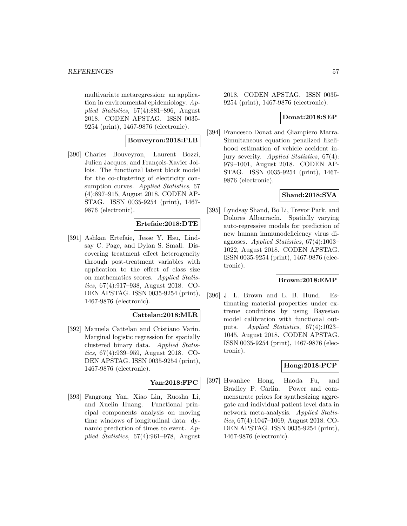multivariate metaregression: an application in environmental epidemiology. Applied Statistics, 67(4):881–896, August 2018. CODEN APSTAG. ISSN 0035- 9254 (print), 1467-9876 (electronic).

### **Bouveyron:2018:FLB**

[390] Charles Bouveyron, Laurent Bozzi, Julien Jacques, and François-Xavier Jollois. The functional latent block model for the co-clustering of electricity consumption curves. Applied Statistics, 67 (4):897–915, August 2018. CODEN AP-STAG. ISSN 0035-9254 (print), 1467- 9876 (electronic).

#### **Ertefaie:2018:DTE**

[391] Ashkan Ertefaie, Jesse Y. Hsu, Lindsay C. Page, and Dylan S. Small. Discovering treatment effect heterogeneity through post-treatment variables with application to the effect of class size on mathematics scores. Applied Statistics, 67(4):917–938, August 2018. CO-DEN APSTAG. ISSN 0035-9254 (print), 1467-9876 (electronic).

### **Cattelan:2018:MLR**

[392] Manuela Cattelan and Cristiano Varin. Marginal logistic regression for spatially clustered binary data. Applied Statistics, 67(4):939–959, August 2018. CO-DEN APSTAG. ISSN 0035-9254 (print), 1467-9876 (electronic).

### **Yan:2018:FPC**

[393] Fangrong Yan, Xiao Lin, Ruosha Li, and Xuelin Huang. Functional principal components analysis on moving time windows of longitudinal data: dynamic prediction of times to event. Applied Statistics, 67(4):961–978, August

2018. CODEN APSTAG. ISSN 0035- 9254 (print), 1467-9876 (electronic).

#### **Donat:2018:SEP**

[394] Francesco Donat and Giampiero Marra. Simultaneous equation penalized likelihood estimation of vehicle accident injury severity. Applied Statistics, 67(4): 979–1001, August 2018. CODEN AP-STAG. ISSN 0035-9254 (print), 1467- 9876 (electronic).

#### **Shand:2018:SVA**

[395] Lyndsay Shand, Bo Li, Trevor Park, and Dolores Albarracín. Spatially varying auto-regressive models for prediction of new human immunodeficiency virus diagnoses. Applied Statistics, 67(4):1003– 1022, August 2018. CODEN APSTAG. ISSN 0035-9254 (print), 1467-9876 (electronic).

#### **Brown:2018:EMP**

[396] J. L. Brown and L. B. Hund. Estimating material properties under extreme conditions by using Bayesian model calibration with functional outputs. Applied Statistics, 67(4):1023– 1045, August 2018. CODEN APSTAG. ISSN 0035-9254 (print), 1467-9876 (electronic).

### **Hong:2018:PCP**

[397] Hwanhee Hong, Haoda Fu, and Bradley P. Carlin. Power and commensurate priors for synthesizing aggregate and individual patient level data in network meta-analysis. Applied Statistics, 67(4):1047–1069, August 2018. CO-DEN APSTAG. ISSN 0035-9254 (print), 1467-9876 (electronic).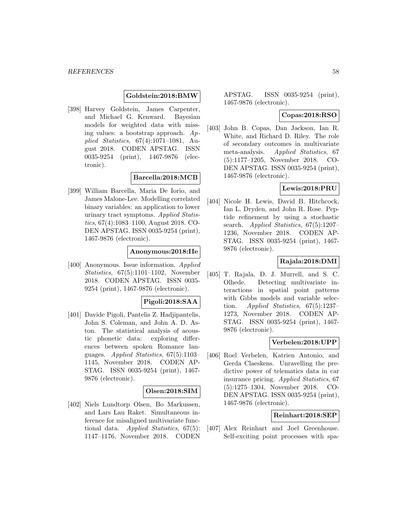#### **Goldstein:2018:BMW**

[398] Harvey Goldstein, James Carpenter, and Michael G. Kenward. Bayesian models for weighted data with missing values: a bootstrap approach. Applied Statistics, 67(4):1071–1081, August 2018. CODEN APSTAG. ISSN 0035-9254 (print), 1467-9876 (electronic).

### **Barcella:2018:MCB**

[399] William Barcella, Maria De Iorio, and James Malone-Lee. Modelling correlated binary variables: an application to lower urinary tract symptoms. Applied Statistics, 67(4):1083–1100, August 2018. CO-DEN APSTAG. ISSN 0035-9254 (print), 1467-9876 (electronic).

#### **Anonymous:2018:IIe**

[400] Anonymous. Issue information. Applied Statistics, 67(5):1101–1102, November 2018. CODEN APSTAG. ISSN 0035- 9254 (print), 1467-9876 (electronic).

### **Pigoli:2018:SAA**

[401] Davide Pigoli, Pantelis Z. Hadjipantelis, John S. Coleman, and John A. D. Aston. The statistical analysis of acoustic phonetic data: exploring differences between spoken Romance languages. Applied Statistics, 67(5):1103– 1145, November 2018. CODEN AP-STAG. ISSN 0035-9254 (print), 1467- 9876 (electronic).

### **Olsen:2018:SIM**

[402] Niels Lundtorp Olsen, Bo Markussen, and Lars Lau Raket. Simultaneous inference for misaligned multivariate functional data. Applied Statistics, 67(5): 1147–1176, November 2018. CODEN

APSTAG. ISSN 0035-9254 (print), 1467-9876 (electronic).

#### **Copas:2018:RSO**

[403] John B. Copas, Dan Jackson, Ian R. White, and Richard D. Riley. The role of secondary outcomes in multivariate meta-analysis. Applied Statistics, 67 (5):1177–1205, November 2018. CO-DEN APSTAG. ISSN 0035-9254 (print), 1467-9876 (electronic).

### **Lewis:2018:PRU**

[404] Nicole H. Lewis, David B. Hitchcock, Ian L. Dryden, and John R. Rose. Peptide refinement by using a stochastic search. Applied Statistics, 67(5):1207– 1236, November 2018. CODEN AP-STAG. ISSN 0035-9254 (print), 1467- 9876 (electronic).

### **Rajala:2018:DMI**

[405] T. Rajala, D. J. Murrell, and S. C. Olhede. Detecting multivariate interactions in spatial point patterns with Gibbs models and variable selection. Applied Statistics, 67(5):1237– 1273, November 2018. CODEN AP-STAG. ISSN 0035-9254 (print), 1467- 9876 (electronic).

#### **Verbelen:2018:UPP**

[406] Roel Verbelen, Katrien Antonio, and Gerda Claeskens. Unravelling the predictive power of telematics data in car insurance pricing. Applied Statistics, 67 (5):1275–1304, November 2018. CO-DEN APSTAG. ISSN 0035-9254 (print), 1467-9876 (electronic).

#### **Reinhart:2018:SEP**

[407] Alex Reinhart and Joel Greenhouse. Self-exciting point processes with spa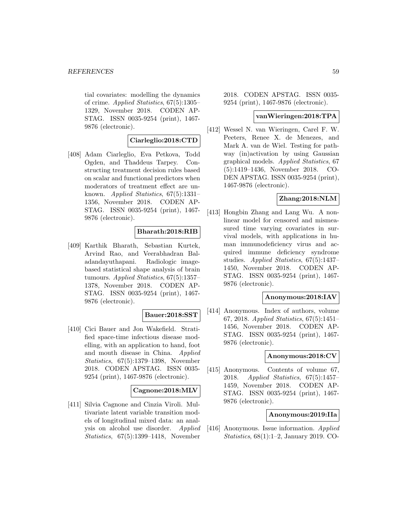tial covariates: modelling the dynamics of crime. Applied Statistics, 67(5):1305– 1329, November 2018. CODEN AP-STAG. ISSN 0035-9254 (print), 1467- 9876 (electronic).

### **Ciarleglio:2018:CTD**

[408] Adam Ciarleglio, Eva Petkova, Todd Ogden, and Thaddeus Tarpey. Constructing treatment decision rules based on scalar and functional predictors when moderators of treatment effect are unknown. Applied Statistics, 67(5):1331– 1356, November 2018. CODEN AP-STAG. ISSN 0035-9254 (print), 1467- 9876 (electronic).

### **Bharath:2018:RIB**

[409] Karthik Bharath, Sebastian Kurtek, Arvind Rao, and Veerabhadran Baladandayuthapani. Radiologic imagebased statistical shape analysis of brain tumours. Applied Statistics, 67(5):1357– 1378, November 2018. CODEN AP-STAG. ISSN 0035-9254 (print), 1467- 9876 (electronic).

#### **Bauer:2018:SST**

[410] Cici Bauer and Jon Wakefield. Stratified space-time infectious disease modelling, with an application to hand, foot and mouth disease in China. Applied Statistics, 67(5):1379–1398, November 2018. CODEN APSTAG. ISSN 0035- 9254 (print), 1467-9876 (electronic).

#### **Cagnone:2018:MLV**

[411] Silvia Cagnone and Cinzia Viroli. Multivariate latent variable transition models of longitudinal mixed data: an analysis on alcohol use disorder. Applied Statistics, 67(5):1399–1418, November

2018. CODEN APSTAG. ISSN 0035- 9254 (print), 1467-9876 (electronic).

#### **vanWieringen:2018:TPA**

[412] Wessel N. van Wieringen, Carel F. W. Peeters, Renee X. de Menezes, and Mark A. van de Wiel. Testing for pathway (in)activation by using Gaussian graphical models. Applied Statistics, 67 (5):1419–1436, November 2018. CO-DEN APSTAG. ISSN 0035-9254 (print), 1467-9876 (electronic).

### **Zhang:2018:NLM**

[413] Hongbin Zhang and Lang Wu. A nonlinear model for censored and mismeasured time varying covariates in survival models, with applications in human immunodeficiency virus and acquired immune deficiency syndrome studies. Applied Statistics, 67(5):1437– 1450, November 2018. CODEN AP-STAG. ISSN 0035-9254 (print), 1467- 9876 (electronic).

### **Anonymous:2018:IAV**

[414] Anonymous. Index of authors, volume 67, 2018. Applied Statistics, 67(5):1451– 1456, November 2018. CODEN AP-STAG. ISSN 0035-9254 (print), 1467- 9876 (electronic).

### **Anonymous:2018:CV**

[415] Anonymous. Contents of volume 67, 2018. Applied Statistics, 67(5):1457– 1459, November 2018. CODEN AP-STAG. ISSN 0035-9254 (print), 1467- 9876 (electronic).

#### **Anonymous:2019:IIa**

[416] Anonymous. Issue information. Applied Statistics, 68(1):1–2, January 2019. CO-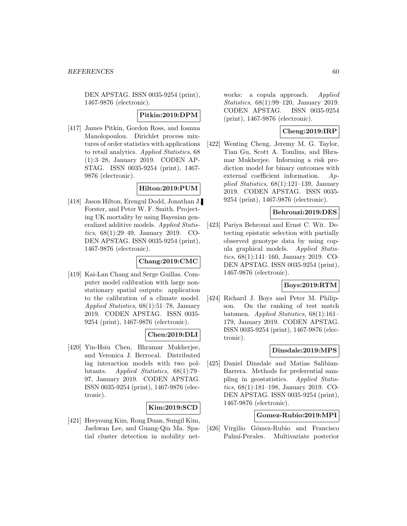DEN APSTAG. ISSN 0035-9254 (print), 1467-9876 (electronic).

### **Pitkin:2019:DPM**

[417] James Pitkin, Gordon Ross, and Ioanna Manolopoulou. Dirichlet process mixtures of order statistics with applications to retail analytics. Applied Statistics, 68 (1):3–28, January 2019. CODEN AP-STAG. ISSN 0035-9254 (print), 1467- 9876 (electronic).

### **Hilton:2019:PUM**

[418] Jason Hilton, Erengul Dodd, Jonathan J. Forster, and Peter W. F. Smith. Projecting UK mortality by using Bayesian generalized additive models. Applied Statistics, 68(1):29–49, January 2019. CO-DEN APSTAG. ISSN 0035-9254 (print), 1467-9876 (electronic).

### **Chang:2019:CMC**

[419] Kai-Lan Chang and Serge Guillas. Computer model calibration with large nonstationary spatial outputs: application to the calibration of a climate model. Applied Statistics, 68(1):51–78, January 2019. CODEN APSTAG. ISSN 0035- 9254 (print), 1467-9876 (electronic).

### **Chen:2019:DLI**

[420] Yin-Hsiu Chen, Bhramar Mukherjee, and Veronica J. Berrocal. Distributed lag interaction models with two pollutants. Applied Statistics, 68(1):79– 97, January 2019. CODEN APSTAG. ISSN 0035-9254 (print), 1467-9876 (electronic).

### **Kim:2019:SCD**

[421] Heeyoung Kim, Rong Duan, Sungil Kim, Jaehwan Lee, and Guang-Qin Ma. Spatial cluster detection in mobility networks: a copula approach. *Applied* Statistics, 68(1):99–120, January 2019. CODEN APSTAG. ISSN 0035-9254 (print), 1467-9876 (electronic).

### **Cheng:2019:IRP**

[422] Wenting Cheng, Jeremy M. G. Taylor, Tian Gu, Scott A. Tomlins, and Bhramar Mukherjee. Informing a risk prediction model for binary outcomes with external coefficient information. Applied Statistics, 68(1):121–139, January 2019. CODEN APSTAG. ISSN 0035- 9254 (print), 1467-9876 (electronic).

#### **Behrouzi:2019:DES**

[423] Pariya Behrouzi and Ernst C. Wit. Detecting epistatic selection with partially observed genotype data by using copula graphical models. Applied Statistics, 68(1):141–160, January 2019. CO-DEN APSTAG. ISSN 0035-9254 (print), 1467-9876 (electronic).

### **Boys:2019:RTM**

[424] Richard J. Boys and Peter M. Philipson. On the ranking of test match batsmen. Applied Statistics, 68(1):161– 179, January 2019. CODEN APSTAG. ISSN 0035-9254 (print), 1467-9876 (electronic).

#### **Dinsdale:2019:MPS**

[425] Daniel Dinsdale and Matias Salibian-Barrera. Methods for preferential sampling in geostatistics. Applied Statistics, 68(1):181–198, January 2019. CO-DEN APSTAG. ISSN 0035-9254 (print), 1467-9876 (electronic).

### **Gomez-Rubio:2019:MPI**

[426] Virgilio Gómez-Rubio and Francisco Palmí-Perales. Multivariate posterior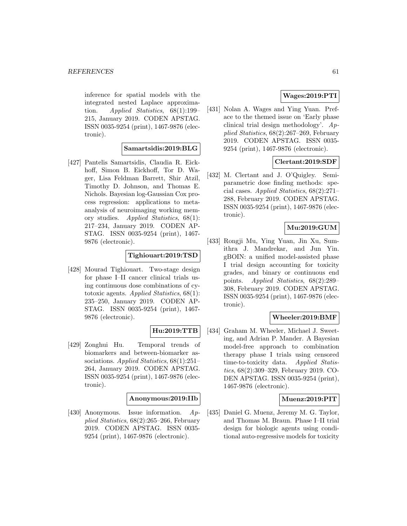inference for spatial models with the integrated nested Laplace approximation. Applied Statistics, 68(1):199– 215, January 2019. CODEN APSTAG. ISSN 0035-9254 (print), 1467-9876 (electronic).

### **Samartsidis:2019:BLG**

[427] Pantelis Samartsidis, Claudia R. Eickhoff, Simon B. Eickhoff, Tor D. Wager, Lisa Feldman Barrett, Shir Atzil, Timothy D. Johnson, and Thomas E. Nichols. Bayesian log-Gaussian Cox process regression: applications to metaanalysis of neuroimaging working memory studies. Applied Statistics, 68(1): 217–234, January 2019. CODEN AP-STAG. ISSN 0035-9254 (print), 1467- 9876 (electronic).

#### **Tighiouart:2019:TSD**

[428] Mourad Tighiouart. Two-stage design for phase I–II cancer clinical trials using continuous dose combinations of cytotoxic agents. Applied Statistics, 68(1): 235–250, January 2019. CODEN AP-STAG. ISSN 0035-9254 (print), 1467- 9876 (electronic).

### **Hu:2019:TTB**

[429] Zonghui Hu. Temporal trends of biomarkers and between-biomarker associations. Applied Statistics, 68(1):251– 264, January 2019. CODEN APSTAG. ISSN 0035-9254 (print), 1467-9876 (electronic).

#### **Anonymous:2019:IIb**

[430] Anonymous. Issue information. Applied Statistics, 68(2):265–266, February 2019. CODEN APSTAG. ISSN 0035- 9254 (print), 1467-9876 (electronic).

### **Wages:2019:PTI**

[431] Nolan A. Wages and Ying Yuan. Preface to the themed issue on 'Early phase clinical trial design methodology'. Applied Statistics, 68(2):267–269, February 2019. CODEN APSTAG. ISSN 0035- 9254 (print), 1467-9876 (electronic).

### **Clertant:2019:SDF**

[432] M. Clertant and J. O'Quigley. Semiparametric dose finding methods: special cases. Applied Statistics, 68(2):271– 288, February 2019. CODEN APSTAG. ISSN 0035-9254 (print), 1467-9876 (electronic).

### **Mu:2019:GUM**

[433] Rongji Mu, Ying Yuan, Jin Xu, Sumithra J. Mandrekar, and Jun Yin. gBOIN: a unified model-assisted phase I trial design accounting for toxicity grades, and binary or continuous end points. Applied Statistics, 68(2):289– 308, February 2019. CODEN APSTAG. ISSN 0035-9254 (print), 1467-9876 (electronic).

### **Wheeler:2019:BMF**

[434] Graham M. Wheeler, Michael J. Sweeting, and Adrian P. Mander. A Bayesian model-free approach to combination therapy phase I trials using censored time-to-toxicity data. Applied Statistics, 68(2):309–329, February 2019. CO-DEN APSTAG. ISSN 0035-9254 (print), 1467-9876 (electronic).

#### **Muenz:2019:PIT**

[435] Daniel G. Muenz, Jeremy M. G. Taylor, and Thomas M. Braun. Phase I–II trial design for biologic agents using conditional auto-regressive models for toxicity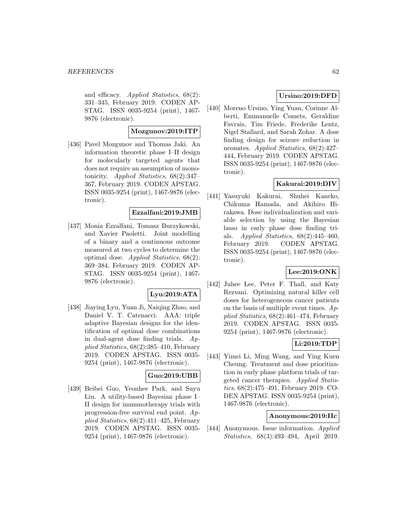and efficacy. Applied Statistics, 68(2): 331–345, February 2019. CODEN AP-STAG. ISSN 0035-9254 (print), 1467- 9876 (electronic).

#### **Mozgunov:2019:ITP**

[436] Pavel Mozgunov and Thomas Jaki. An information theoretic phase I–II design for molecularly targeted agents that does not require an assumption of monotonicity. Applied Statistics, 68(2):347– 367, February 2019. CODEN APSTAG. ISSN 0035-9254 (print), 1467-9876 (electronic).

#### **Ezzalfani:2019:JMB**

[437] Monia Ezzalfani, Tomasz Burzykowski, and Xavier Paoletti. Joint modelling of a binary and a continuous outcome measured at two cycles to determine the optimal dose. Applied Statistics, 68(2): 369–384, February 2019. CODEN AP-STAG. ISSN 0035-9254 (print), 1467- 9876 (electronic).

#### **Lyu:2019:ATA**

[438] Jiaying Lyu, Yuan Ji, Naiqing Zhao, and Daniel V. T. Catenacci. AAA: triple adaptive Bayesian designs for the identification of optimal dose combinations in dual-agent dose finding trials. Applied Statistics, 68(2):385–410, February 2019. CODEN APSTAG. ISSN 0035- 9254 (print), 1467-9876 (electronic).

### **Guo:2019:UBB**

[439] Beibei Guo, Yeonhee Park, and Suyu Liu. A utility-based Bayesian phase I– II design for immunotherapy trials with progression-free survival end point. Applied Statistics, 68(2):411–425, February 2019. CODEN APSTAG. ISSN 0035- 9254 (print), 1467-9876 (electronic).

### **Ursino:2019:DFD**

[440] Moreno Ursino, Ying Yuan, Corinne Alberti, Emmanuelle Comets, Geraldine Favrais, Tim Friede, Frederike Lentz, Nigel Stallard, and Sarah Zohar. A dose finding design for seizure reduction in neonates. Applied Statistics, 68(2):427– 444, February 2019. CODEN APSTAG. ISSN 0035-9254 (print), 1467-9876 (electronic).

### **Kakurai:2019:DIV**

[441] Yasuyuki Kakurai, Shuhei Kaneko, Chikuma Hamada, and Akihiro Hirakawa. Dose individualization and variable selection by using the Bayesian lasso in early phase dose finding trials. Applied Statistics, 68(2):445–460, February 2019. CODEN APSTAG. ISSN 0035-9254 (print), 1467-9876 (electronic).

### **Lee:2019:ONK**

[442] Juhee Lee, Peter F. Thall, and Katy Rezvani. Optimizing natural killer cell doses for heterogeneous cancer patients on the basis of multiple event times.  $Ap$ plied Statistics, 68(2):461–474, February 2019. CODEN APSTAG. ISSN 0035- 9254 (print), 1467-9876 (electronic).

### **Li:2019:TDP**

[443] Yimei Li, Ming Wang, and Ying Kuen Cheung. Treatment and dose prioritization in early phase platform trials of targeted cancer therapies. Applied Statistics, 68(2):475–491, February 2019. CO-DEN APSTAG. ISSN 0035-9254 (print), 1467-9876 (electronic).

#### **Anonymous:2019:IIc**

[444] Anonymous. Issue information. Applied Statistics, 68(3):493–494, April 2019.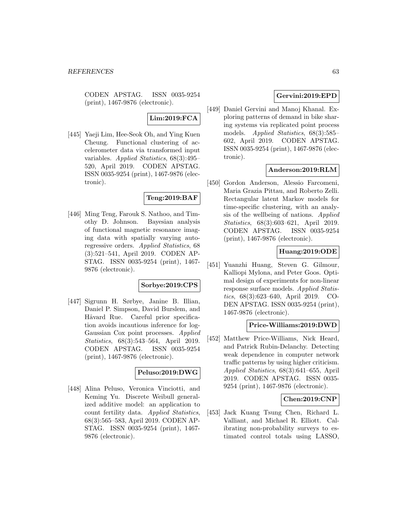CODEN APSTAG. ISSN 0035-9254 (print), 1467-9876 (electronic).

### **Lim:2019:FCA**

[445] Yaeji Lim, Hee-Seok Oh, and Ying Kuen Cheung. Functional clustering of accelerometer data via transformed input variables. Applied Statistics, 68(3):495– 520, April 2019. CODEN APSTAG. ISSN 0035-9254 (print), 1467-9876 (electronic).

### **Teng:2019:BAF**

[446] Ming Teng, Farouk S. Nathoo, and Timothy D. Johnson. Bayesian analysis of functional magnetic resonance imaging data with spatially varying autoregressive orders. Applied Statistics, 68 (3):521–541, April 2019. CODEN AP-STAG. ISSN 0035-9254 (print), 1467- 9876 (electronic).

### **Sorbye:2019:CPS**

[447] Sigrunn H. Sørbye, Janine B. Illian, Daniel P. Simpson, David Burslem, and Håvard Rue. Careful prior specification avoids incautious inference for log-Gaussian Cox point processes. Applied Statistics, 68(3):543–564, April 2019. CODEN APSTAG. ISSN 0035-9254 (print), 1467-9876 (electronic).

### **Peluso:2019:DWG**

[448] Alina Peluso, Veronica Vinciotti, and Keming Yu. Discrete Weibull generalized additive model: an application to count fertility data. Applied Statistics, 68(3):565–583, April 2019. CODEN AP-STAG. ISSN 0035-9254 (print), 1467- 9876 (electronic).

### **Gervini:2019:EPD**

[449] Daniel Gervini and Manoj Khanal. Exploring patterns of demand in bike sharing systems via replicated point process models. Applied Statistics, 68(3):585– 602, April 2019. CODEN APSTAG. ISSN 0035-9254 (print), 1467-9876 (electronic).

### **Anderson:2019:RLM**

[450] Gordon Anderson, Alessio Farcomeni, Maria Grazia Pittau, and Roberto Zelli. Rectangular latent Markov models for time-specific clustering, with an analysis of the wellbeing of nations. Applied Statistics, 68(3):603–621, April 2019. CODEN APSTAG. ISSN 0035-9254 (print), 1467-9876 (electronic).

### **Huang:2019:ODE**

[451] Yuanzhi Huang, Steven G. Gilmour, Kalliopi Mylona, and Peter Goos. Optimal design of experiments for non-linear response surface models. Applied Statistics, 68(3):623–640, April 2019. CO-DEN APSTAG. ISSN 0035-9254 (print), 1467-9876 (electronic).

### **Price-Williams:2019:DWD**

[452] Matthew Price-Williams, Nick Heard, and Patrick Rubin-Delanchy. Detecting weak dependence in computer network traffic patterns by using higher criticism. Applied Statistics, 68(3):641–655, April 2019. CODEN APSTAG. ISSN 0035- 9254 (print), 1467-9876 (electronic).

#### **Chen:2019:CNP**

[453] Jack Kuang Tsung Chen, Richard L. Valliant, and Michael R. Elliott. Calibrating non-probability surveys to estimated control totals using LASSO,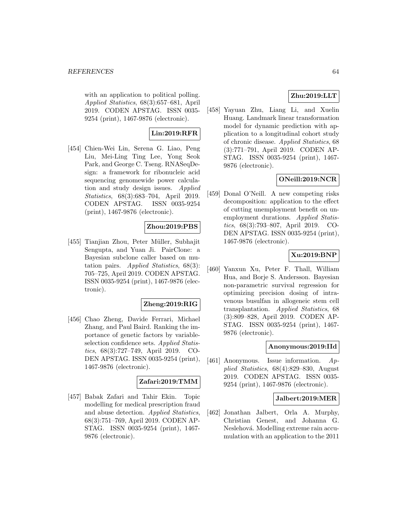with an application to political polling. Applied Statistics, 68(3):657–681, April 2019. CODEN APSTAG. ISSN 0035- 9254 (print), 1467-9876 (electronic).

## **Lin:2019:RFR**

[454] Chien-Wei Lin, Serena G. Liao, Peng Liu, Mei-Ling Ting Lee, Yong Seok Park, and George C. Tseng. RNASeqDesign: a framework for ribonucleic acid sequencing genomewide power calculation and study design issues. Applied Statistics, 68(3):683–704, April 2019. CODEN APSTAG. ISSN 0035-9254 (print), 1467-9876 (electronic).

### **Zhou:2019:PBS**

[455] Tianjian Zhou, Peter Müller, Subhajit Sengupta, and Yuan Ji. PairClone: a Bayesian subclone caller based on mutation pairs. Applied Statistics, 68(3): 705–725, April 2019. CODEN APSTAG. ISSN 0035-9254 (print), 1467-9876 (electronic).

### **Zheng:2019:RIG**

[456] Chao Zheng, Davide Ferrari, Michael Zhang, and Paul Baird. Ranking the importance of genetic factors by variableselection confidence sets. Applied Statistics, 68(3):727–749, April 2019. CO-DEN APSTAG. ISSN 0035-9254 (print), 1467-9876 (electronic).

### **Zafari:2019:TMM**

[457] Babak Zafari and Tahir Ekin. Topic modelling for medical prescription fraud and abuse detection. Applied Statistics, 68(3):751–769, April 2019. CODEN AP-STAG. ISSN 0035-9254 (print), 1467- 9876 (electronic).

### **Zhu:2019:LLT**

[458] Yayuan Zhu, Liang Li, and Xuelin Huang. Landmark linear transformation model for dynamic prediction with application to a longitudinal cohort study of chronic disease. Applied Statistics, 68 (3):771–791, April 2019. CODEN AP-STAG. ISSN 0035-9254 (print), 1467- 9876 (electronic).

### **ONeill:2019:NCR**

[459] Donal O'Neill. A new competing risks decomposition: application to the effect of cutting unemployment benefit on unemployment durations. Applied Statistics, 68(3):793–807, April 2019. CO-DEN APSTAG. ISSN 0035-9254 (print), 1467-9876 (electronic).

### **Xu:2019:BNP**

[460] Yanxun Xu, Peter F. Thall, William Hua, and Borje S. Andersson. Bayesian non-parametric survival regression for optimizing precision dosing of intravenous busulfan in allogeneic stem cell transplantation. Applied Statistics, 68 (3):809–828, April 2019. CODEN AP-STAG. ISSN 0035-9254 (print), 1467- 9876 (electronic).

### **Anonymous:2019:IId**

[461] Anonymous. Issue information. Applied Statistics, 68(4):829–830, August 2019. CODEN APSTAG. ISSN 0035- 9254 (print), 1467-9876 (electronic).

### **Jalbert:2019:MER**

[462] Jonathan Jalbert, Orla A. Murphy, Christian Genest, and Johanna G. Neslehová. Modelling extreme rain accumulation with an application to the 2011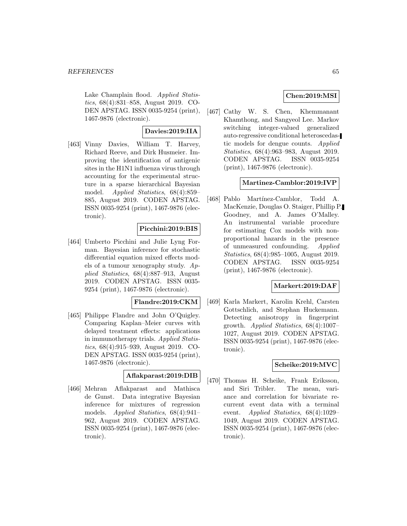Lake Champlain flood. Applied Statistics, 68(4):831–858, August 2019. CO-DEN APSTAG. ISSN 0035-9254 (print), 1467-9876 (electronic).

### **Davies:2019:IIA**

[463] Vinny Davies, William T. Harvey, Richard Reeve, and Dirk Husmeier. Improving the identification of antigenic sites in the H1N1 influenza virus through accounting for the experimental structure in a sparse hierarchical Bayesian model. Applied Statistics, 68(4):859– 885, August 2019. CODEN APSTAG. ISSN 0035-9254 (print), 1467-9876 (electronic).

### **Picchini:2019:BIS**

[464] Umberto Picchini and Julie Lyng Forman. Bayesian inference for stochastic differential equation mixed effects models of a tumour xenography study.  $Ap$ plied Statistics, 68(4):887–913, August 2019. CODEN APSTAG. ISSN 0035- 9254 (print), 1467-9876 (electronic).

### **Flandre:2019:CKM**

[465] Philippe Flandre and John O'Quigley. Comparing Kaplan–Meier curves with delayed treatment effects: applications in immunotherapy trials. Applied Statistics, 68(4):915–939, August 2019. CO-DEN APSTAG. ISSN 0035-9254 (print), 1467-9876 (electronic).

### **Aflakparast:2019:DIB**

[466] Mehran Aflakparast and Mathisca de Gunst. Data integrative Bayesian inference for mixtures of regression models. Applied Statistics, 68(4):941– 962, August 2019. CODEN APSTAG. ISSN 0035-9254 (print), 1467-9876 (electronic).

### **Chen:2019:MSI**

[467] Cathy W. S. Chen, Khemmanant Khamthong, and Sangyeol Lee. Markov switching integer-valued generalized auto-regressive conditional heteroscedastic models for dengue counts. Applied Statistics, 68(4):963–983, August 2019. CODEN APSTAG. ISSN 0035-9254 (print), 1467-9876 (electronic).

### **Martinez-Camblor:2019:IVP**

[468] Pablo Martínez-Camblor, Todd A. MacKenzie, Douglas O. Staiger, Phillip P. Goodney, and A. James O'Malley. An instrumental variable procedure for estimating Cox models with nonproportional hazards in the presence of unmeasured confounding. Applied Statistics, 68(4):985–1005, August 2019. CODEN APSTAG. ISSN 0035-9254 (print), 1467-9876 (electronic).

### **Markert:2019:DAF**

[469] Karla Markert, Karolin Krehl, Carsten Gottschlich, and Stephan Huckemann. Detecting anisotropy in fingerprint growth. Applied Statistics, 68(4):1007– 1027, August 2019. CODEN APSTAG. ISSN 0035-9254 (print), 1467-9876 (electronic).

### **Scheike:2019:MVC**

[470] Thomas H. Scheike, Frank Eriksson, and Siri Tribler. The mean, variance and correlation for bivariate recurrent event data with a terminal event. Applied Statistics, 68(4):1029– 1049, August 2019. CODEN APSTAG. ISSN 0035-9254 (print), 1467-9876 (electronic).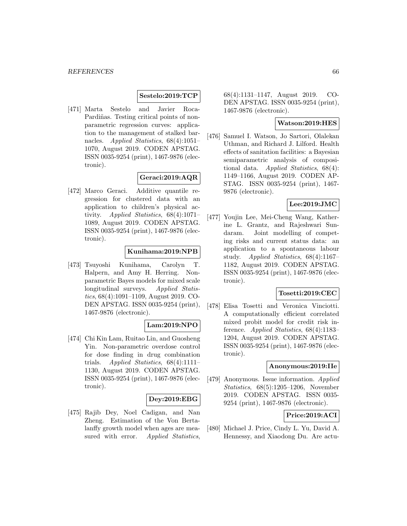### **Sestelo:2019:TCP**

[471] Marta Sestelo and Javier Roca-Pardiñas. Testing critical points of nonparametric regression curves: application to the management of stalked barnacles. Applied Statistics, 68(4):1051– 1070, August 2019. CODEN APSTAG. ISSN 0035-9254 (print), 1467-9876 (electronic).

### **Geraci:2019:AQR**

[472] Marco Geraci. Additive quantile regression for clustered data with an application to children's physical activity. Applied Statistics, 68(4):1071– 1089, August 2019. CODEN APSTAG. ISSN 0035-9254 (print), 1467-9876 (electronic).

### **Kunihama:2019:NPB**

[473] Tsuyoshi Kunihama, Carolyn T. Halpern, and Amy H. Herring. Nonparametric Bayes models for mixed scale longitudinal surveys. Applied Statistics, 68(4):1091–1109, August 2019. CO-DEN APSTAG. ISSN 0035-9254 (print), 1467-9876 (electronic).

### **Lam:2019:NPO**

[474] Chi Kin Lam, Ruitao Lin, and Guosheng Yin. Non-parametric overdose control for dose finding in drug combination trials. Applied Statistics, 68(4):1111– 1130, August 2019. CODEN APSTAG. ISSN 0035-9254 (print), 1467-9876 (electronic).

#### **Dey:2019:EBG**

[475] Rajib Dey, Noel Cadigan, and Nan Zheng. Estimation of the Von Bertalanffy growth model when ages are measured with error. Applied Statistics,

68(4):1131–1147, August 2019. CO-DEN APSTAG. ISSN 0035-9254 (print), 1467-9876 (electronic).

### **Watson:2019:HES**

[476] Samuel I. Watson, Jo Sartori, Olalekan Uthman, and Richard J. Lilford. Health effects of sanitation facilities: a Bayesian semiparametric analysis of compositional data. Applied Statistics,  $68(4)$ : 1149–1166, August 2019. CODEN AP-STAG. ISSN 0035-9254 (print), 1467- 9876 (electronic).

### **Lee:2019:JMC**

[477] Youjin Lee, Mei-Cheng Wang, Katherine L. Grantz, and Rajeshwari Sundaram. Joint modelling of competing risks and current status data: an application to a spontaneous labour study. Applied Statistics, 68(4):1167– 1182, August 2019. CODEN APSTAG. ISSN 0035-9254 (print), 1467-9876 (electronic).

### **Tosetti:2019:CEC**

[478] Elisa Tosetti and Veronica Vinciotti. A computationally efficient correlated mixed probit model for credit risk inference. Applied Statistics, 68(4):1183– 1204, August 2019. CODEN APSTAG. ISSN 0035-9254 (print), 1467-9876 (electronic).

#### **Anonymous:2019:IIe**

[479] Anonymous. Issue information. Applied Statistics, 68(5):1205–1206, November 2019. CODEN APSTAG. ISSN 0035- 9254 (print), 1467-9876 (electronic).

### **Price:2019:ACI**

[480] Michael J. Price, Cindy L. Yu, David A. Hennessy, and Xiaodong Du. Are actu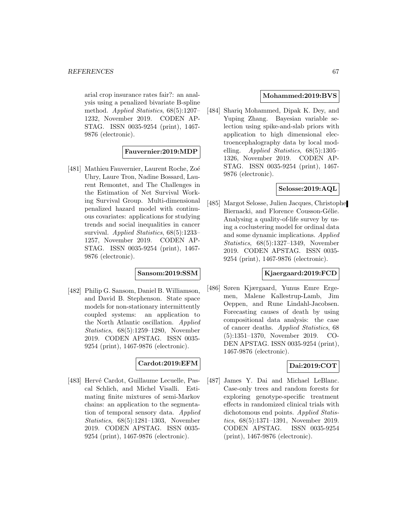arial crop insurance rates fair?: an analysis using a penalized bivariate B-spline method. Applied Statistics, 68(5):1207– 1232, November 2019. CODEN AP-STAG. ISSN 0035-9254 (print), 1467- 9876 (electronic).

**Fauvernier:2019:MDP**

[481] Mathieu Fauvernier, Laurent Roche, Zoé Uhry, Laure Tron, Nadine Bossard, Laurent Remontet, and The Challenges in the Estimation of Net Survival Working Survival Group. Multi-dimensional penalized hazard model with continuous covariates: applications for studying trends and social inequalities in cancer survival. Applied Statistics, 68(5):1233– 1257, November 2019. CODEN AP-STAG. ISSN 0035-9254 (print), 1467- 9876 (electronic).

### **Sansom:2019:SSM**

[482] Philip G. Sansom, Daniel B. Williamson, and David B. Stephenson. State space models for non-stationary intermittently coupled systems: an application to the North Atlantic oscillation. Applied Statistics, 68(5):1259–1280, November 2019. CODEN APSTAG. ISSN 0035- 9254 (print), 1467-9876 (electronic).

### **Cardot:2019:EFM**

[483] Hervé Cardot, Guillaume Lecuelle, Pascal Schlich, and Michel Visalli. Estimating finite mixtures of semi-Markov chains: an application to the segmentation of temporal sensory data. Applied Statistics, 68(5):1281–1303, November 2019. CODEN APSTAG. ISSN 0035- 9254 (print), 1467-9876 (electronic).

#### **Mohammed:2019:BVS**

[484] Shariq Mohammed, Dipak K. Dey, and Yuping Zhang. Bayesian variable selection using spike-and-slab priors with application to high dimensional electroencephalography data by local modelling. Applied Statistics,  $68(5):1305-$ 1326, November 2019. CODEN AP-STAG. ISSN 0035-9254 (print), 1467- 9876 (electronic).

### **Selosse:2019:AQL**

[485] Margot Selosse, Julien Jacques, Christophe Biernacki, and Florence Cousson-Gélie. Analysing a quality-of-life survey by using a coclustering model for ordinal data and some dynamic implications. Applied Statistics, 68(5):1327–1349, November 2019. CODEN APSTAG. ISSN 0035- 9254 (print), 1467-9876 (electronic).

### **Kjaergaard:2019:FCD**

[486] Søren Kjærgaard, Yunus Emre Ergemen, Malene Kallestrup-Lamb, Jim Oeppen, and Rune Lindahl-Jacobsen. Forecasting causes of death by using compositional data analysis: the case of cancer deaths. Applied Statistics, 68 (5):1351–1370, November 2019. CO-DEN APSTAG. ISSN 0035-9254 (print), 1467-9876 (electronic).

### **Dai:2019:COT**

[487] James Y. Dai and Michael LeBlanc. Case-only trees and random forests for exploring genotype-specific treatment effects in randomized clinical trials with dichotomous end points. Applied Statistics, 68(5):1371–1391, November 2019. CODEN APSTAG. ISSN 0035-9254 (print), 1467-9876 (electronic).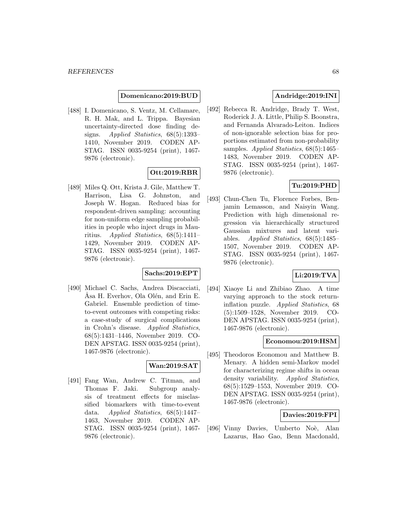#### **Domenicano:2019:BUD**

[488] I. Domenicano, S. Ventz, M. Cellamare, R. H. Mak, and L. Trippa. Bayesian uncertainty-directed dose finding designs. Applied Statistics, 68(5):1393– 1410, November 2019. CODEN AP-STAG. ISSN 0035-9254 (print), 1467- 9876 (electronic).

### **Ott:2019:RBR**

[489] Miles Q. Ott, Krista J. Gile, Matthew T. Harrison, Lisa G. Johnston, and Joseph W. Hogan. Reduced bias for respondent-driven sampling: accounting for non-uniform edge sampling probabilities in people who inject drugs in Mauritius. Applied Statistics, 68(5):1411– 1429, November 2019. CODEN AP-STAG. ISSN 0035-9254 (print), 1467- 9876 (electronic).

### **Sachs:2019:EPT**

[490] Michael C. Sachs, Andrea Discacciati, Åsa H. Everhov, Ola Olén, and Erin E. Gabriel. Ensemble prediction of timeto-event outcomes with competing risks: a case-study of surgical complications in Crohn's disease. Applied Statistics, 68(5):1431–1446, November 2019. CO-DEN APSTAG. ISSN 0035-9254 (print), 1467-9876 (electronic).

### **Wan:2019:SAT**

[491] Fang Wan, Andrew C. Titman, and Thomas F. Jaki. Subgroup analysis of treatment effects for misclassified biomarkers with time-to-event data. Applied Statistics, 68(5):1447– 1463, November 2019. CODEN AP-STAG. ISSN 0035-9254 (print), 1467- 9876 (electronic).

### **Andridge:2019:INI**

[492] Rebecca R. Andridge, Brady T. West, Roderick J. A. Little, Philip S. Boonstra, and Fernanda Alvarado-Leiton. Indices of non-ignorable selection bias for proportions estimated from non-probability samples. *Applied Statistics*, 68(5):1465– 1483, November 2019. CODEN AP-STAG. ISSN 0035-9254 (print), 1467- 9876 (electronic).

### **Tu:2019:PHD**

[493] Chun-Chen Tu, Florence Forbes, Benjamin Lemasson, and Naisyin Wang. Prediction with high dimensional regression via hierarchically structured Gaussian mixtures and latent variables. Applied Statistics, 68(5):1485– 1507, November 2019. CODEN AP-STAG. ISSN 0035-9254 (print), 1467- 9876 (electronic).

### **Li:2019:TVA**

[494] Xiaoye Li and Zhibiao Zhao. A time varying approach to the stock returninflation puzzle. Applied Statistics, 68 (5):1509–1528, November 2019. CO-DEN APSTAG. ISSN 0035-9254 (print), 1467-9876 (electronic).

### **Economou:2019:HSM**

[495] Theodoros Economou and Matthew B. Menary. A hidden semi-Markov model for characterizing regime shifts in ocean density variability. Applied Statistics, 68(5):1529–1553, November 2019. CO-DEN APSTAG. ISSN 0035-9254 (print), 1467-9876 (electronic).

#### **Davies:2019:FPI**

[496] Vinny Davies, Umberto Noè, Alan Lazarus, Hao Gao, Benn Macdonald,